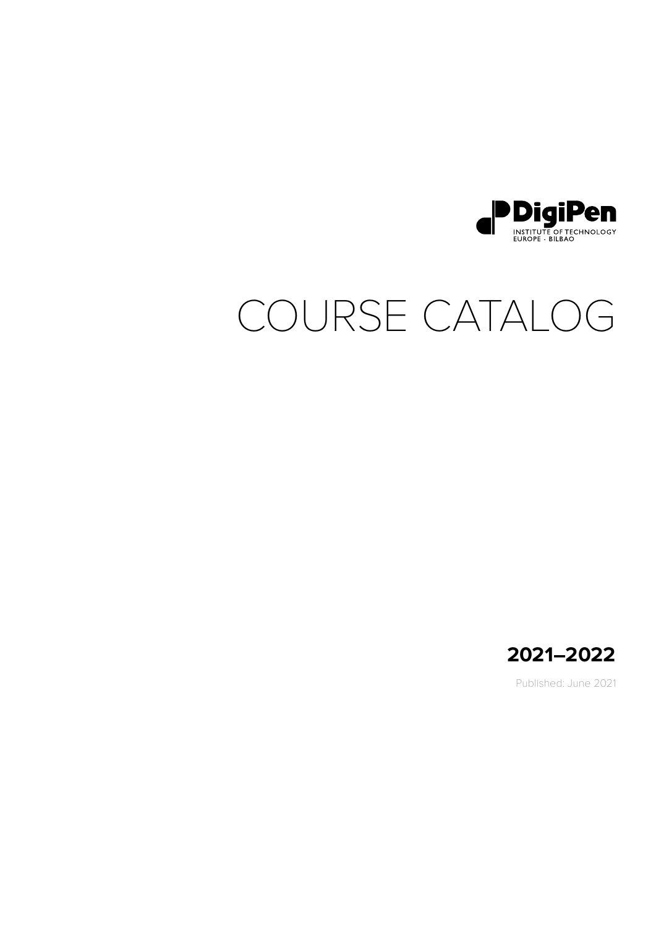

# COURSE CATALOG



Published: June 2021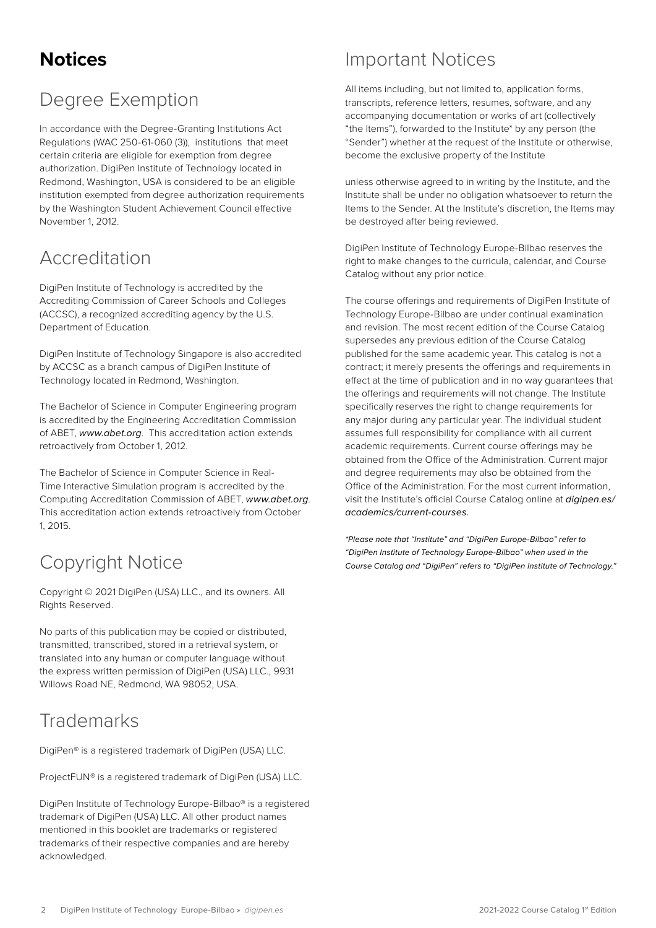# <span id="page-1-0"></span>**Notices**

# Degree Exemption

In accordance with the Degree-Granting Institutions Act Regulations (WAC 250-61-060 (3)), institutions that meet certain criteria are eligible for exemption from degree authorization. DigiPen Institute of Technology located in Redmond, Washington, USA is considered to be an eligible institution exempted from degree authorization requirements by the Washington Student Achievement Council effective November 1, 2012.

### Accreditation

DigiPen Institute of Technology is accredited by the Accrediting Commission of Career Schools and Colleges (ACCSC), a recognized accrediting agency by the U.S. Department of Education.

DigiPen Institute of Technology Singapore is also accredited by ACCSC as a branch campus of DigiPen Institute of Technology located in Redmond, Washington.

The Bachelor of Science in Computer Engineering program is accredited by the Engineering Accreditation Commission of ABET, *www.abet.org*. This accreditation action extends retroactively from October 1, 2012.

The Bachelor of Science in Computer Science in Real-Time Interactive Simulation program is accredited by the Computing Accreditation Commission of ABET, *[www.abet.org](http://www.abet.org)*. This accreditation action extends retroactively from October 1, 2015.

# Copyright Notice

Copyright © 2021 DigiPen (USA) LLC., and its owners. All Rights Reserved.

No parts of this publication may be copied or distributed, transmitted, transcribed, stored in a retrieval system, or translated into any human or computer language without the express written permission of DigiPen (USA) LLC., 9931 Willows Road NF, Redmond, WA 98052, USA.

# **Trademarks**

DigiPen® is a registered trademark of DigiPen (USA) LLC.

ProjectFUN® is a registered trademark of DigiPen (USA) LLC.

DigiPen Institute of Technology Europe-Bilbao® is a registered trademark of DigiPen (USA) LLC. All other product names mentioned in this booklet are trademarks or registered trademarks of their respective companies and are hereby acknowledged.

### Important Notices

All items including, but not limited to, application forms, transcripts, reference letters, resumes, software, and any accompanying documentation or works of art (collectively "the Items"), forwarded to the Institute\* by any person (the "Sender") whether at the request of the Institute or otherwise, become the exclusive property of the Institute

unless otherwise agreed to in writing by the Institute, and the Institute shall be under no obligation whatsoever to return the Items to the Sender. At the Institute's discretion, the Items may be destroyed after being reviewed.

DigiPen Institute of Technology Europe-Bilbao reserves the right to make changes to the curricula, calendar, and Course Catalog without any prior notice.

The course offerings and requirements of DigiPen Institute of Technology Europe-Bilbao are under continual examination and revision. The most recent edition of the Course Catalog supersedes any previous edition of the Course Catalog published for the same academic year. This catalog is not a contract; it merely presents the offerings and requirements in effect at the time of publication and in no way guarantees that the offerings and requirements will not change. The Institute specifically reserves the right to change requirements for any major during any particular year. The individual student assumes full responsibility for compliance with all current academic requirements. Current course offerings may be obtained from the Office of the Administration. Current major and degree requirements may also be obtained from the Office of the Administration. For the most current information, visit the Institute's official Course Catalog online at *[digipen.es/](https://www.digipen.es/academics/current-courses) [academics/current-courses.](https://www.digipen.es/academics/current-courses)*

*\*Please note that "Institute" and "DigiPen Europe-Bilbao" refer to "DigiPen Institute of Technology Europe-Bilbao" when used in the Course Catalog and "DigiPen" refers to "DigiPen Institute of Technology."*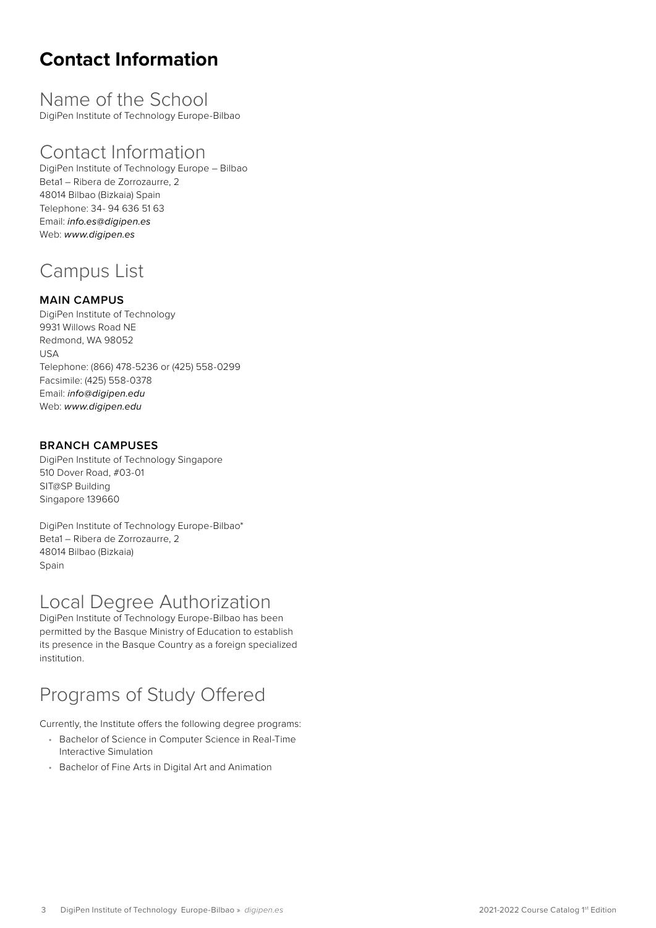# <span id="page-2-0"></span>**Contact Information**

Name of the School DigiPen Institute of Technology Europe-Bilbao

### Contact Information

DigiPen Institute of Technology Europe – Bilbao Beta1 – Ribera de Zorrozaurre, 2 48014 Bilbao (Bizkaia) Spain Telephone: 34- 94 636 51 63 Email: *info.es@digipen.es* Web: *www.digipen.es*

# Campus List

#### **MAIN CAMPUS**

DigiPen Institute of Technology 9931 Willows Road NE Redmond, WA 98052 USA Telephone: (866) 478-5236 or (425) 558-0299 Facsimile: (425) 558-0378 Email: *[info@digipen.edu](mailto:info%40digipen.edu?subject=)* Web: *[www.digipen.edu](https://www.digipen.edu)*

#### **BRANCH CAMPUSES**

DigiPen Institute of Technology Singapore 510 Dover Road, #03-01 SIT@SP Building Singapore 139660

DigiPen Institute of Technology Europe-Bilbao\* Beta1 – Ribera de Zorrozaurre, 2 48014 Bilbao (Bizkaia) Spain

### Local Degree Authorization

DigiPen Institute of Technology Europe-Bilbao has been permitted by the Basque Ministry of Education to establish its presence in the Basque Country as a foreign specialized institution.

# [Programs of Study Offered](https://www.digipen.edu/academics)

Currently, the Institute offers the following degree programs:

- [Bachelor of Science in Computer Science in Real-Time](https://www.digipen.edu/academics/computer-science-degrees/bs-in-computer-science-in-real-time-interactive-simulation)  [Interactive Simulation](https://www.digipen.edu/academics/computer-science-degrees/bs-in-computer-science-in-real-time-interactive-simulation)
- [Bachelor of Fine Arts in Digital Art and Animation](https://www.digipen.edu/academics/art-music-and-design-degrees/bfa-in-digital-art-and-animation)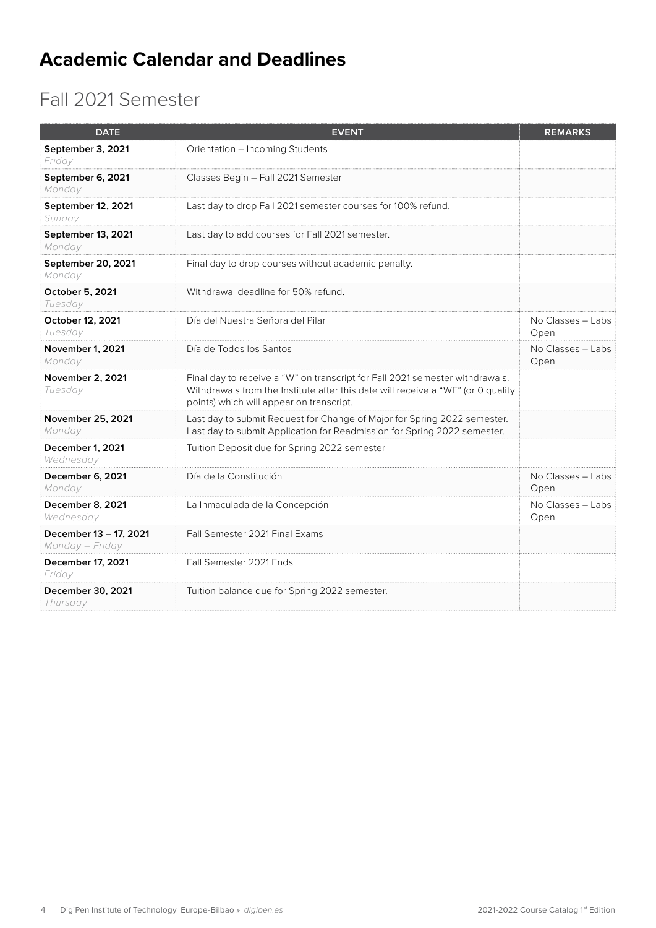# <span id="page-3-0"></span>**Academic Calendar and Deadlines**

# Fall 2021 Semester

| <b>DATE</b>                               | <b>EVENT</b>                                                                                                                                                                                                 | <b>REMARKS</b>              |
|-------------------------------------------|--------------------------------------------------------------------------------------------------------------------------------------------------------------------------------------------------------------|-----------------------------|
| September 3, 2021<br>Friday               | Orientation - Incoming Students                                                                                                                                                                              |                             |
| September 6, 2021<br>Monday               | Classes Begin - Fall 2021 Semester                                                                                                                                                                           |                             |
| September 12, 2021<br>Sunday              | Last day to drop Fall 2021 semester courses for 100% refund.                                                                                                                                                 |                             |
| September 13, 2021<br>Monday              | Last day to add courses for Fall 2021 semester.                                                                                                                                                              |                             |
| September 20, 2021<br>Monday              | Final day to drop courses without academic penalty.                                                                                                                                                          |                             |
| <b>October 5, 2021</b><br>Tuesday         | Withdrawal deadline for 50% refund.                                                                                                                                                                          |                             |
| October 12, 2021<br>Tuesday               | Día del Nuestra Señora del Pilar                                                                                                                                                                             | No Classes - Labs<br>Open   |
| November 1, 2021<br>Monday                | Día de Todos los Santos                                                                                                                                                                                      | No Classes - Labs<br>Open   |
| November 2, 2021<br>Tuesday               | Final day to receive a "W" on transcript for Fall 2021 semester withdrawals.<br>Withdrawals from the Institute after this date will receive a "WF" (or 0 quality<br>points) which will appear on transcript. |                             |
| November 25, 2021<br>Monday               | Last day to submit Request for Change of Major for Spring 2022 semester.<br>Last day to submit Application for Readmission for Spring 2022 semester.                                                         |                             |
| December 1, 2021<br>Wednesday             | Tuition Deposit due for Spring 2022 semester                                                                                                                                                                 |                             |
| December 6, 2021<br>Monday                | Día de la Constitución                                                                                                                                                                                       | No Classes - Labs<br>Open   |
| December 8, 2021<br>Wednesday             | La Inmaculada de la Concepción                                                                                                                                                                               | $No Classes - Labs$<br>Open |
| December 13 - 17, 2021<br>Monday - Friday | Fall Semester 2021 Final Exams                                                                                                                                                                               |                             |
| December 17, 2021<br>Friday               | Fall Semester 2021 Ends                                                                                                                                                                                      |                             |
| December 30, 2021<br>Thursday             | Tuition balance due for Spring 2022 semester.                                                                                                                                                                |                             |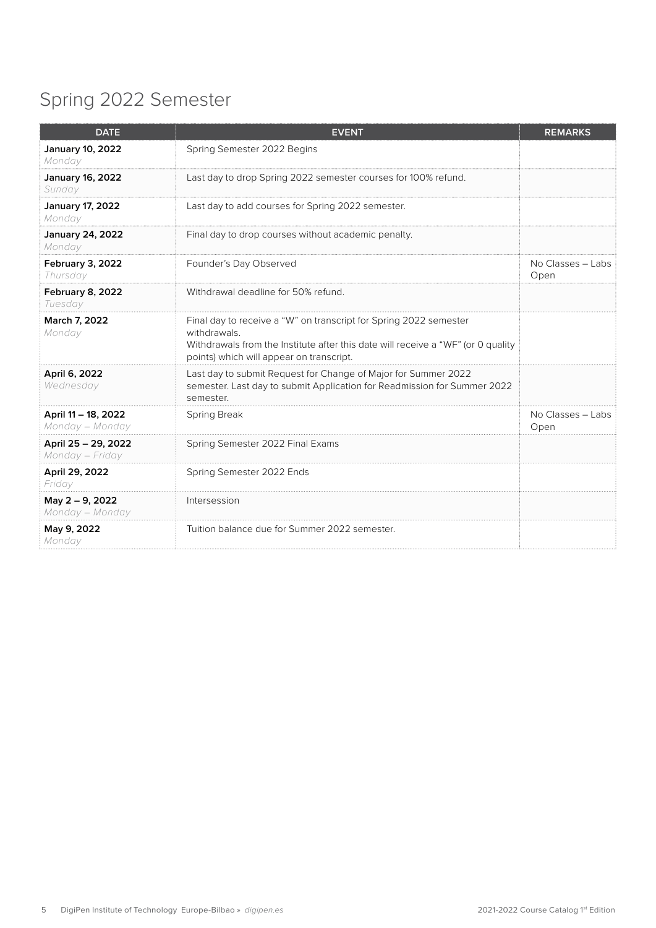# <span id="page-4-0"></span>Spring 2022 Semester

| <b>DATE</b>                            | <b>EVENT</b>                                                                                                                                                                                                      | <b>REMARKS</b>            |
|----------------------------------------|-------------------------------------------------------------------------------------------------------------------------------------------------------------------------------------------------------------------|---------------------------|
| January 10, 2022<br>Monday             | Spring Semester 2022 Begins                                                                                                                                                                                       |                           |
| January 16, 2022<br>Sunday             | Last day to drop Spring 2022 semester courses for 100% refund.                                                                                                                                                    |                           |
| January 17, 2022<br>Monday             | Last day to add courses for Spring 2022 semester.                                                                                                                                                                 |                           |
| <b>January 24, 2022</b><br>Monday      | Final day to drop courses without academic penalty.                                                                                                                                                               |                           |
| February 3, 2022<br>Thursday           | Founder's Day Observed                                                                                                                                                                                            | No Classes - Labs<br>Open |
| February 8, 2022<br>Tuesday            | Withdrawal deadline for 50% refund.                                                                                                                                                                               |                           |
| March 7, 2022<br>Monday                | Final day to receive a "W" on transcript for Spring 2022 semester<br>withdrawals.<br>Withdrawals from the Institute after this date will receive a "WF" (or 0 quality<br>points) which will appear on transcript. |                           |
| April 6, 2022<br>Wednesday             | Last day to submit Request for Change of Major for Summer 2022<br>semester. Last day to submit Application for Readmission for Summer 2022<br>semester.                                                           |                           |
| April 11 - 18, 2022<br>Monday - Monday | Spring Break                                                                                                                                                                                                      | No Classes - Labs<br>Open |
| April 25 - 29, 2022<br>Monday – Friday | Spring Semester 2022 Final Exams                                                                                                                                                                                  |                           |
| April 29, 2022<br>Friday               | Spring Semester 2022 Ends                                                                                                                                                                                         |                           |
| May 2 - 9, 2022<br>Monday - Monday     | Intersession                                                                                                                                                                                                      |                           |
| May 9, 2022<br>Monday                  | Tuition balance due for Summer 2022 semester.                                                                                                                                                                     |                           |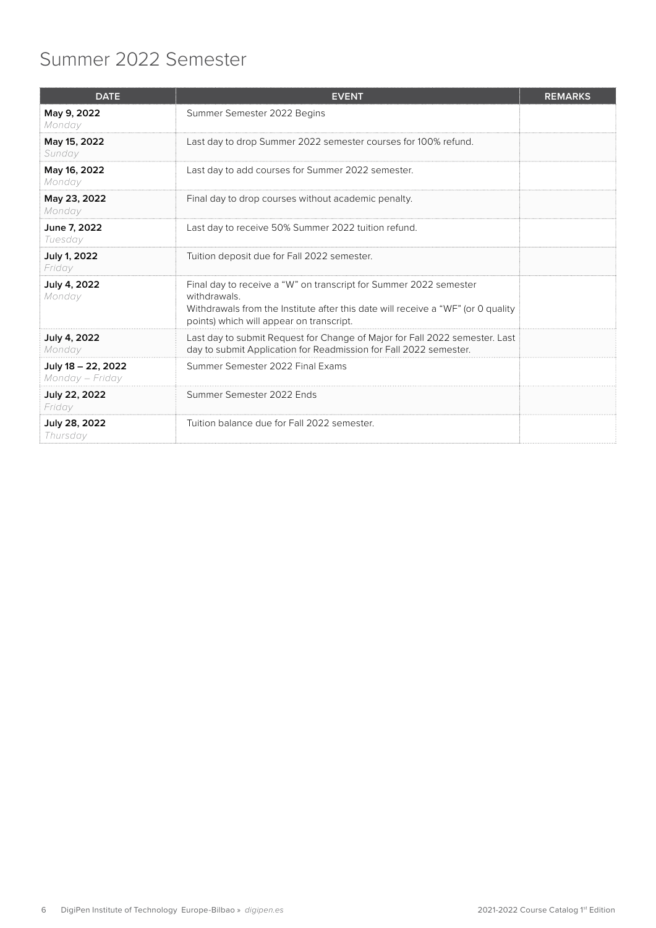# <span id="page-5-0"></span>Summer 2022 Semester

| <b>DATE</b>                           | <b>EVENT</b>                                                                                                                                                                                                      | <b>REMARKS</b> |
|---------------------------------------|-------------------------------------------------------------------------------------------------------------------------------------------------------------------------------------------------------------------|----------------|
| May 9, 2022<br>Monday                 | Summer Semester 2022 Begins                                                                                                                                                                                       |                |
| May 15, 2022<br>Sunday                | Last day to drop Summer 2022 semester courses for 100% refund.                                                                                                                                                    |                |
| May 16, 2022<br>Monday                | Last day to add courses for Summer 2022 semester.                                                                                                                                                                 |                |
| May 23, 2022<br>Monday                | Final day to drop courses without academic penalty.                                                                                                                                                               |                |
| June 7, 2022<br>Tuesday               | Last day to receive 50% Summer 2022 tuition refund.                                                                                                                                                               |                |
| July 1, 2022<br>Friday                | Tuition deposit due for Fall 2022 semester.                                                                                                                                                                       |                |
| July 4, 2022<br>Monday                | Final day to receive a "W" on transcript for Summer 2022 semester<br>withdrawals.<br>Withdrawals from the Institute after this date will receive a "WF" (or 0 quality<br>points) which will appear on transcript. |                |
| July 4, 2022<br>Monday                | Last day to submit Request for Change of Major for Fall 2022 semester. Last<br>day to submit Application for Readmission for Fall 2022 semester.                                                                  |                |
| July 18 - 22, 2022<br>Monday – Friday | Summer Semester 2022 Final Exams                                                                                                                                                                                  |                |
| July 22, 2022<br>Friday               | Summer Semester 2022 Ends                                                                                                                                                                                         |                |
| July 28, 2022<br>Thursday             | Tuition balance due for Fall 2022 semester.                                                                                                                                                                       |                |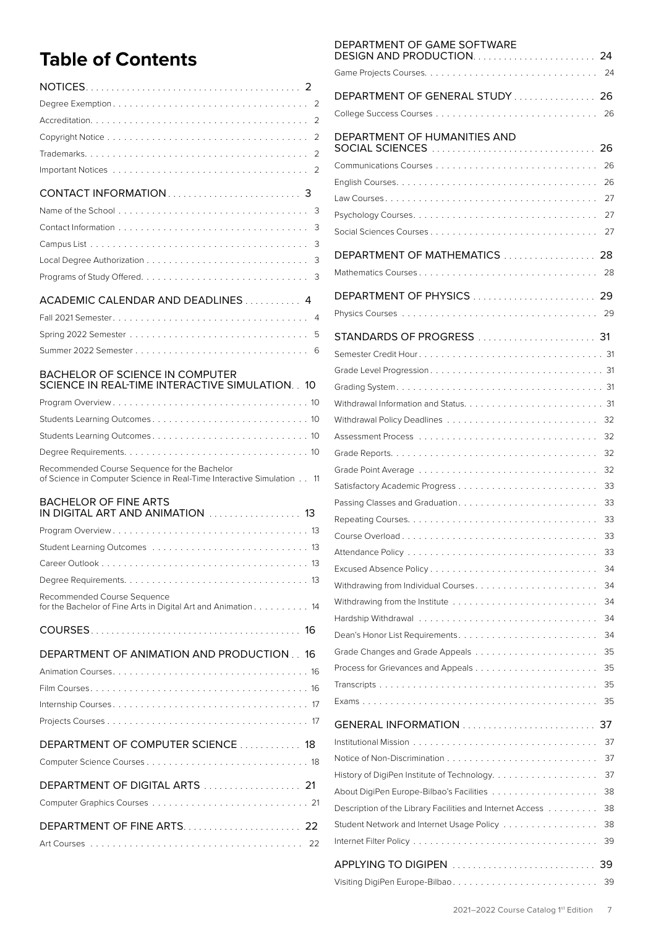# **Table of Contents**

|                                                                                                                       | 2  |
|-----------------------------------------------------------------------------------------------------------------------|----|
|                                                                                                                       |    |
|                                                                                                                       | 2  |
|                                                                                                                       |    |
|                                                                                                                       |    |
|                                                                                                                       |    |
|                                                                                                                       |    |
|                                                                                                                       | 3  |
|                                                                                                                       | 3  |
|                                                                                                                       | 3  |
|                                                                                                                       |    |
| ACADEMIC CALENDAR AND DEADLINES 4                                                                                     |    |
|                                                                                                                       |    |
|                                                                                                                       | 5  |
|                                                                                                                       |    |
|                                                                                                                       |    |
| BACHELOR OF SCIENCE IN COMPUTER                                                                                       |    |
| SCIENCE IN REAL-TIME INTERACTIVE SIMULATION. . 10                                                                     |    |
|                                                                                                                       |    |
|                                                                                                                       |    |
|                                                                                                                       |    |
|                                                                                                                       |    |
| Recommended Course Sequence for the Bachelor<br>of Science in Computer Science in Real-Time Interactive Simulation 11 |    |
|                                                                                                                       |    |
| <b>BACHELOR OF FINE ARTS</b><br>IN DIGITAL ART AND ANIMATION  13                                                      |    |
|                                                                                                                       |    |
|                                                                                                                       |    |
| Career Outlook                                                                                                        | 13 |
|                                                                                                                       |    |
|                                                                                                                       |    |
| Recommended Course Sequence<br>for the Bachelor of Fine Arts in Digital Art and Animation 14                          |    |
|                                                                                                                       |    |
| DEPARTMENT OF ANIMATION AND PRODUCTION 16                                                                             |    |
|                                                                                                                       |    |
|                                                                                                                       |    |
|                                                                                                                       |    |
|                                                                                                                       |    |
|                                                                                                                       |    |
| DEPARTMENT OF COMPUTER SCIENCE  18                                                                                    |    |
|                                                                                                                       |    |
| DEPARTMENT OF DIGITAL ARTS  21                                                                                        |    |
|                                                                                                                       |    |
|                                                                                                                       |    |
|                                                                                                                       |    |

| DEPARTMENT OF GAME SOFTWARE                               |          |
|-----------------------------------------------------------|----------|
|                                                           |          |
| DEPARTMENT OF GENERAL STUDY  26                           |          |
|                                                           | 26       |
| DEPARTMENT OF HUMANITIES AND                              |          |
|                                                           | 26       |
|                                                           | 26       |
|                                                           | 27       |
|                                                           | 27       |
| Social Sciences Courses                                   | 27       |
| DEPARTMENT OF MATHEMATICS                                 | 28       |
|                                                           | 28       |
| DEPARTMENT OF PHYSICS  29                                 |          |
|                                                           |          |
|                                                           |          |
|                                                           |          |
|                                                           |          |
|                                                           |          |
|                                                           |          |
|                                                           | 32       |
|                                                           | 32       |
|                                                           | 32       |
|                                                           | 32       |
|                                                           | 33       |
|                                                           | 33       |
|                                                           | 33       |
|                                                           | 33       |
|                                                           | 33       |
|                                                           | 34       |
|                                                           | 34       |
|                                                           | 34       |
|                                                           | 34       |
| Dean's Honor List Requirements                            | 34       |
|                                                           | 35<br>35 |
|                                                           | 35       |
|                                                           | 35       |
| GENERAL INFORMATION                                       | 37       |
|                                                           | 37       |
|                                                           | 37       |
| History of DigiPen Institute of Technology                | 37       |
|                                                           | 38       |
| Description of the Library Facilities and Internet Access | 38       |
| Student Network and Internet Usage Policy                 | 38       |
|                                                           | 39       |
| APPLYING TO DIGIPEN                                       | 39       |
|                                                           | 39       |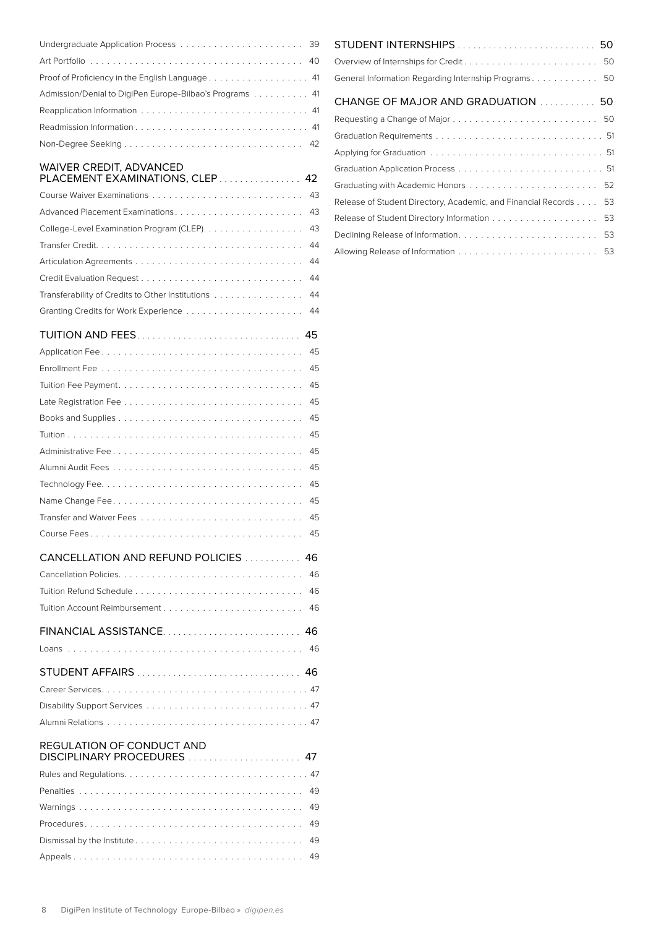| Proof of Proficiency in the English Language 41         |  |
|---------------------------------------------------------|--|
| Admission/Denial to DigiPen Europe-Bilbao's Programs 41 |  |
|                                                         |  |
|                                                         |  |
|                                                         |  |

#### [WAIVER CREDIT, ADVANCED](#page-41-0)

| PLACEMENT EXAMINATIONS, CLEP 42                     |  |
|-----------------------------------------------------|--|
|                                                     |  |
|                                                     |  |
| College-Level Examination Program (CLEP) 43         |  |
|                                                     |  |
|                                                     |  |
|                                                     |  |
| Transferability of Credits to Other Institutions 44 |  |
|                                                     |  |

### TUITION AND FEES[................................](#page-44-0) 45

| 45                                                       |
|----------------------------------------------------------|
| 45                                                       |
| 45                                                       |
| 45                                                       |
| 45                                                       |
| 45                                                       |
| 45                                                       |
| 45                                                       |
| 45                                                       |
| 45                                                       |
| 45                                                       |
| 45                                                       |
| CANCELLATION AND REFUND POLICIES<br>46                   |
| 46                                                       |
| 46                                                       |
| 46                                                       |
| FINANCIAL ASSISTANCE<br>46                               |
| 46                                                       |
|                                                          |
|                                                          |
|                                                          |
|                                                          |
| REGULATION OF CONDUCT AND<br>DISCIPLINARY PROCEDURES  47 |
|                                                          |
|                                                          |
| 49                                                       |

| General Information Regarding Internship Programs 50             |
|------------------------------------------------------------------|
| CHANGE OF MAJOR AND GRADUATION  50                               |
|                                                                  |
|                                                                  |
|                                                                  |
|                                                                  |
|                                                                  |
| Release of Student Directory, Academic, and Financial Records 53 |
|                                                                  |
|                                                                  |
|                                                                  |
|                                                                  |

Procedures [.......................................](#page-48-0) 49 Dismissal by the Institute [..............................](#page-48-0) 49 Appeals [.........................................](#page-48-0) 49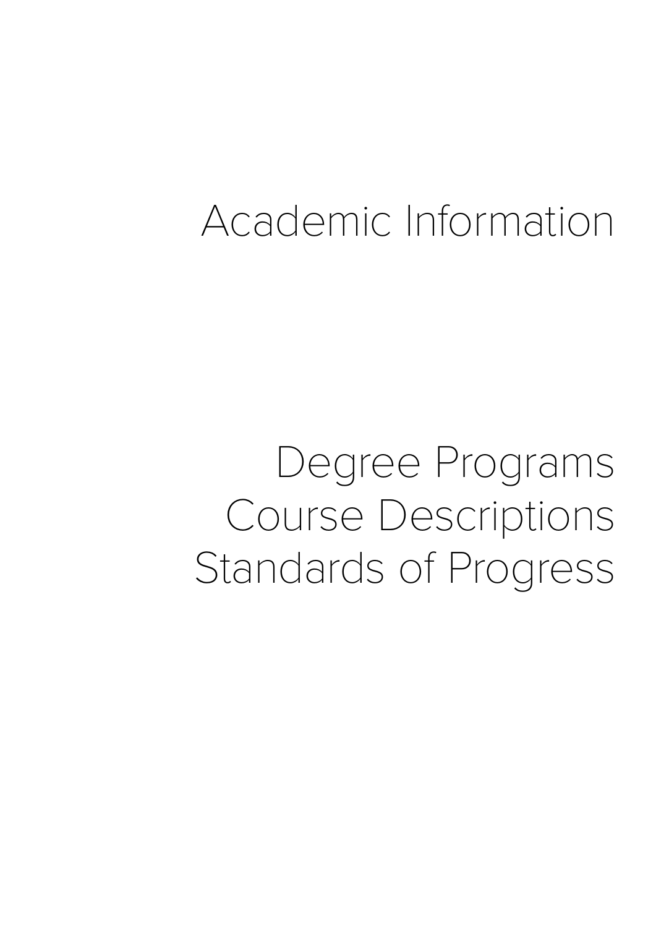# Academic Information

Degree Programs Course Descriptions Standards of Progress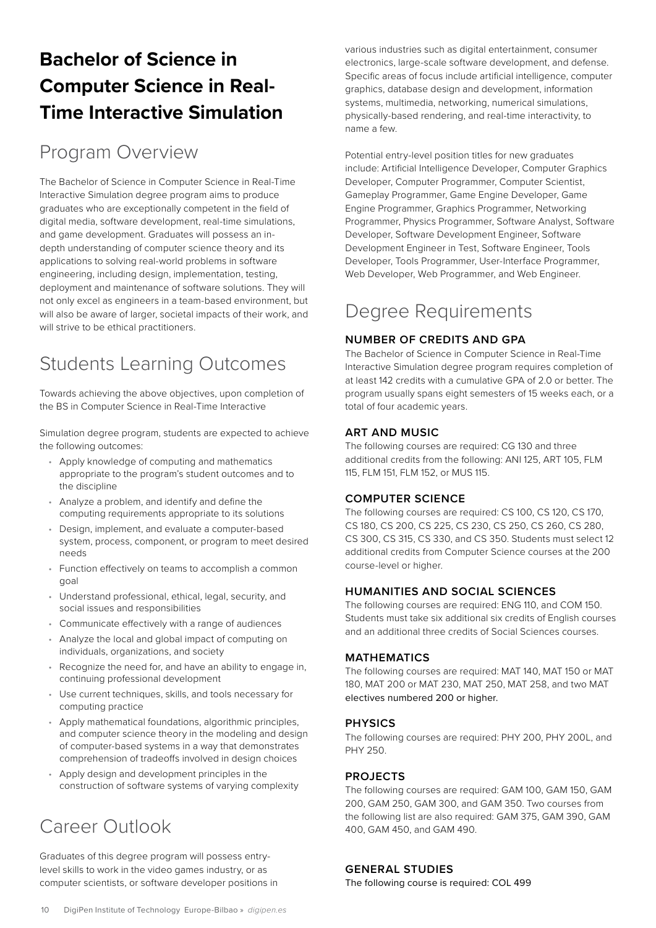# <span id="page-9-0"></span>**Bachelor of Science in Computer Science in Real-Time Interactive Simulation**

### Program Overview

The Bachelor of Science in Computer Science in Real-Time Interactive Simulation degree program aims to produce graduates who are exceptionally competent in the field of digital media, software development, real-time simulations, and game development. Graduates will possess an indepth understanding of computer science theory and its applications to solving real-world problems in software engineering, including design, implementation, testing, deployment and maintenance of software solutions. They will not only excel as engineers in a team-based environment, but will also be aware of larger, societal impacts of their work, and will strive to be ethical practitioners.

# Students Learning Outcomes

Towards achieving the above objectives, upon completion of the BS in Computer Science in Real-Time Interactive

Simulation degree program, students are expected to achieve the following outcomes:

- Apply knowledge of computing and mathematics appropriate to the program's student outcomes and to the discipline
- Analyze a problem, and identify and define the computing requirements appropriate to its solutions
- Design, implement, and evaluate a computer-based system, process, component, or program to meet desired needs
- Function effectively on teams to accomplish a common goal
- Understand professional, ethical, legal, security, and social issues and responsibilities
- Communicate effectively with a range of audiences
- Analyze the local and global impact of computing on individuals, organizations, and society
- Recognize the need for, and have an ability to engage in, continuing professional development
- Use current techniques, skills, and tools necessary for computing practice
- Apply mathematical foundations, algorithmic principles, and computer science theory in the modeling and design of computer-based systems in a way that demonstrates comprehension of tradeoffs involved in design choices
- Apply design and development principles in the construction of software systems of varying complexity

# Career Outlook

Graduates of this degree program will possess entrylevel skills to work in the video games industry, or as computer scientists, or software developer positions in various industries such as digital entertainment, consumer electronics, large-scale software development, and defense. Specific areas of focus include artificial intelligence, computer graphics, database design and development, information systems, multimedia, networking, numerical simulations, physically-based rendering, and real-time interactivity, to name a few.

Potential entry-level position titles for new graduates include: Artificial Intelligence Developer, Computer Graphics Developer, Computer Programmer, Computer Scientist, Gameplay Programmer, Game Engine Developer, Game Engine Programmer, Graphics Programmer, Networking Programmer, Physics Programmer, Software Analyst, Software Developer, Software Development Engineer, Software Development Engineer in Test, Software Engineer, Tools Developer, Tools Programmer, User-Interface Programmer, Web Developer, Web Programmer, and Web Engineer.

# Degree Requirements

#### **NUMBER OF CREDITS AND GPA**

The Bachelor of Science in Computer Science in Real-Time Interactive Simulation degree program requires completion of at least 142 credits with a cumulative GPA of 2.0 or better. The program usually spans eight semesters of 15 weeks each, or a total of four academic years.

#### **ART AND MUSIC**

The following courses are required: CG 130 and three additional credits from the following: ANI 125, ART 105, FLM 115, FLM 151, FLM 152, or MUS 115.

#### **COMPUTER SCIENCE**

The following courses are required: CS 100, CS 120, CS 170, CS 180, CS 200, CS 225, CS 230, CS 250, CS 260, CS 280, CS 300, CS 315, CS 330, and CS 350. Students must select 12 additional credits from Computer Science courses at the 200 course-level or higher.

#### **HUMANITIES AND SOCIAL SCIENCES**

The following courses are required: ENG 110, and COM 150. Students must take six additional six credits of English courses and an additional three credits of Social Sciences courses.

#### **MATHEMATICS**

The following courses are required: MAT 140, MAT 150 or MAT 180, MAT 200 or MAT 230, MAT 250, MAT 258, and two MAT electives numbered 200 or higher.

#### **PHYSICS**

The following courses are required: PHY 200, PHY 200L, and PHY 250.

#### **PROJECTS**

The following courses are required: GAM 100, GAM 150, GAM 200, GAM 250, GAM 300, and GAM 350. Two courses from the following list are also required: GAM 375, GAM 390, GAM 400, GAM 450, and GAM 490.

#### **GENERAL STUDIES**

The following course is required: COL 499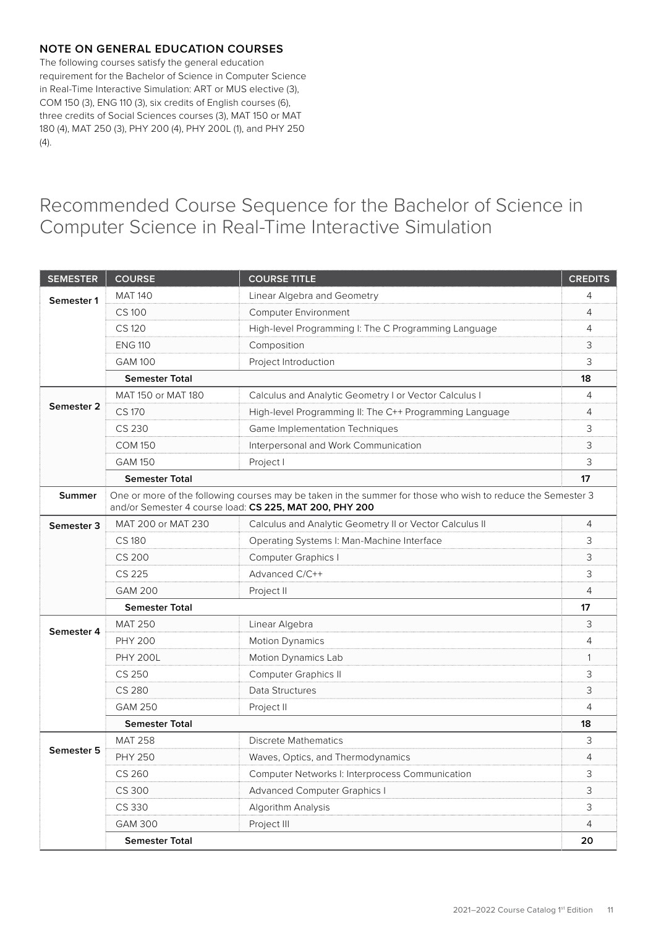#### <span id="page-10-0"></span>**NOTE ON GENERAL EDUCATION COURSES**

The following courses satisfy the general education requirement for the Bachelor of Science in Computer Science in Real-Time Interactive Simulation: ART or MUS elective (3), COM 150 (3), ENG 110 (3), six credits of English courses (6), three credits of Social Sciences courses (3), MAT 150 or MAT 180 (4), MAT 250 (3), PHY 200 (4), PHY 200L (1), and PHY 250 (4).

### Recommended Course Sequence for the Bachelor of Science in Computer Science in Real-Time Interactive Simulation

| <b>SEMESTER</b> | <b>COURSE</b>         | <b>COURSE TITLE</b>                                                                                                                                                    | <b>CREDITS</b> |
|-----------------|-----------------------|------------------------------------------------------------------------------------------------------------------------------------------------------------------------|----------------|
| Semester 1      | <b>MAT 140</b>        | Linear Algebra and Geometry                                                                                                                                            | 4              |
|                 | <b>CS100</b>          | <b>Computer Environment</b>                                                                                                                                            | 4              |
|                 | CS 120                | High-level Programming I: The C Programming Language                                                                                                                   | 4              |
|                 | <b>ENG 110</b>        | Composition                                                                                                                                                            | 3              |
|                 | <b>GAM 100</b>        | Project Introduction                                                                                                                                                   | 3              |
|                 | <b>Semester Total</b> |                                                                                                                                                                        | 18             |
|                 | MAT 150 or MAT 180    | Calculus and Analytic Geometry I or Vector Calculus I                                                                                                                  | 4              |
| Semester 2      | <b>CS 170</b>         | High-level Programming II: The C++ Programming Language                                                                                                                | 4              |
|                 | CS 230                | Game Implementation Techniques                                                                                                                                         | 3              |
|                 | <b>COM 150</b>        | Interpersonal and Work Communication                                                                                                                                   | 3              |
|                 | <b>GAM 150</b>        | Project I                                                                                                                                                              | 3              |
|                 | <b>Semester Total</b> |                                                                                                                                                                        | 17             |
| Summer          |                       | One or more of the following courses may be taken in the summer for those who wish to reduce the Semester 3<br>and/or Semester 4 course load: CS 225, MAT 200, PHY 200 |                |
| Semester 3      | MAT 200 or MAT 230    | Calculus and Analytic Geometry II or Vector Calculus II                                                                                                                | $\overline{4}$ |
|                 | <b>CS180</b>          | Operating Systems I: Man-Machine Interface                                                                                                                             | 3              |
|                 | <b>CS 200</b>         | <b>Computer Graphics I</b>                                                                                                                                             | 3              |
|                 | CS 225                | Advanced C/C++                                                                                                                                                         | 3              |
|                 | <b>GAM 200</b>        | Project II                                                                                                                                                             | 4              |
|                 | <b>Semester Total</b> |                                                                                                                                                                        | 17             |
| Semester 4      | <b>MAT 250</b>        | Linear Algebra                                                                                                                                                         | 3              |
|                 | <b>PHY 200</b>        | <b>Motion Dynamics</b>                                                                                                                                                 | 4              |
|                 | <b>PHY 200L</b>       | Motion Dynamics Lab                                                                                                                                                    | 1              |
|                 | CS 250                | <b>Computer Graphics II</b>                                                                                                                                            | 3              |
|                 | <b>CS 280</b>         | Data Structures                                                                                                                                                        | 3              |
|                 | <b>GAM 250</b>        | Project II                                                                                                                                                             | 4              |
|                 | <b>Semester Total</b> |                                                                                                                                                                        | 18             |
|                 | <b>MAT 258</b>        | <b>Discrete Mathematics</b>                                                                                                                                            | 3              |
| Semester 5      | <b>PHY 250</b>        | Waves, Optics, and Thermodynamics                                                                                                                                      | 4              |
|                 | CS 260                | Computer Networks I: Interprocess Communication                                                                                                                        | 3              |
|                 | CS 300                | <b>Advanced Computer Graphics I</b>                                                                                                                                    | 3              |
|                 | CS 330                | Algorithm Analysis                                                                                                                                                     | 3              |
|                 | <b>GAM 300</b>        | Project III                                                                                                                                                            | 4              |
|                 | <b>Semester Total</b> |                                                                                                                                                                        | 20             |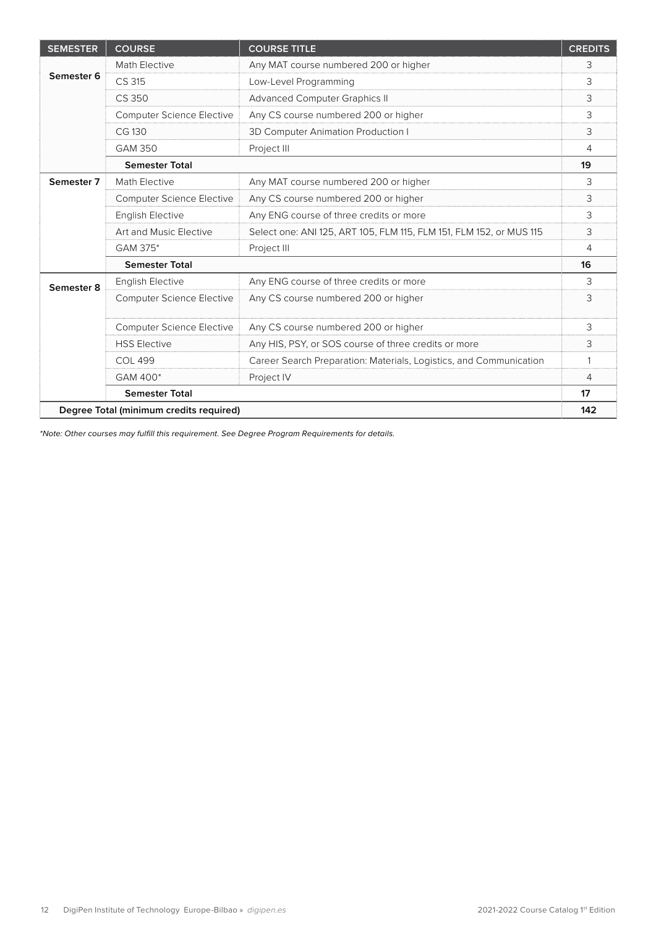| <b>SEMESTER</b>       | <b>COURSE</b>                           | <b>COURSE TITLE</b>                                                 | <b>CREDITS</b> |
|-----------------------|-----------------------------------------|---------------------------------------------------------------------|----------------|
|                       | Math Elective                           | Any MAT course numbered 200 or higher                               | 3              |
| Semester 6            | CS 315                                  | Low-Level Programming                                               | 3              |
|                       | CS 350                                  | <b>Advanced Computer Graphics II</b>                                | 3              |
|                       | <b>Computer Science Elective</b>        | Any CS course numbered 200 or higher                                | 3              |
|                       | CG 130                                  | 3D Computer Animation Production I                                  | 3              |
|                       | <b>GAM 350</b>                          | Project III                                                         | 4              |
|                       | <b>Semester Total</b>                   |                                                                     | 19             |
| Semester <sub>7</sub> | Math Elective                           | Any MAT course numbered 200 or higher                               | 3              |
|                       | <b>Computer Science Elective</b>        | Any CS course numbered 200 or higher                                | 3              |
|                       | <b>English Elective</b>                 | Any ENG course of three credits or more                             | 3              |
|                       | Art and Music Elective                  | Select one: ANI 125, ART 105, FLM 115, FLM 151, FLM 152, or MUS 115 | 3              |
|                       | GAM 375*                                | Project III                                                         | 4              |
|                       | <b>Semester Total</b>                   |                                                                     | 16             |
| Semester 8            | <b>English Elective</b>                 | Any ENG course of three credits or more                             | 3              |
|                       | <b>Computer Science Elective</b>        | Any CS course numbered 200 or higher                                | 3              |
|                       | <b>Computer Science Elective</b>        | Any CS course numbered 200 or higher                                | 3              |
|                       | <b>HSS Elective</b>                     | Any HIS, PSY, or SOS course of three credits or more                | 3              |
|                       | <b>COL 499</b>                          | Career Search Preparation: Materials, Logistics, and Communication  | 1              |
|                       | GAM 400*                                | Project IV                                                          | 4              |
|                       | <b>Semester Total</b>                   |                                                                     | 17             |
|                       | Degree Total (minimum credits required) |                                                                     | 142            |

*\*Note: Other courses may fulfill this requirement. See Degree Program Requirements for details.*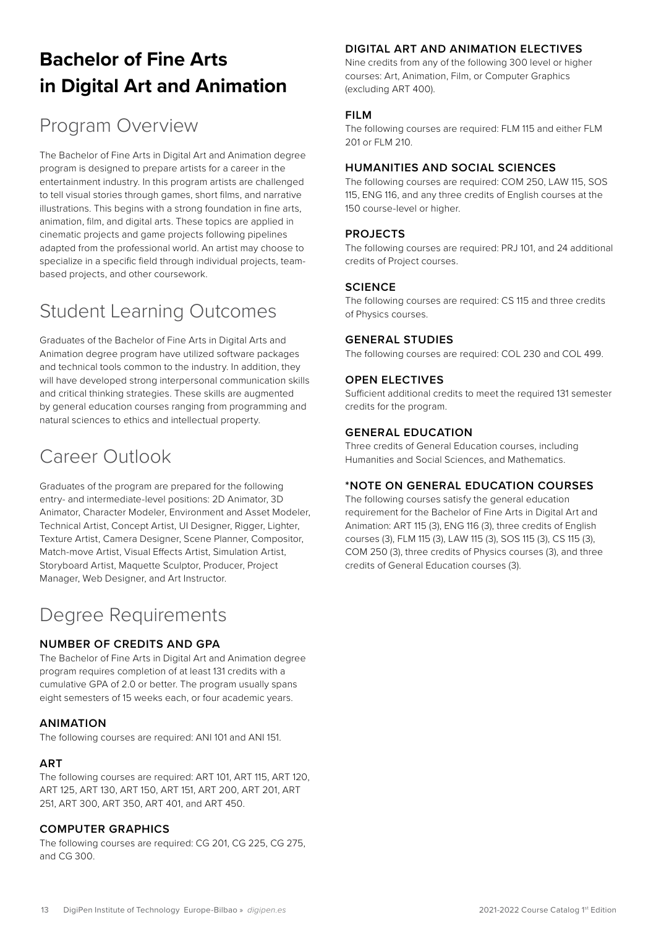# <span id="page-12-0"></span>**[Bachelor of Fine Arts](https://www.digipen.edu/academics/art-music-and-design-degrees/bfa-in-digital-art-and-animation)  [in Digital Art and Animation](https://www.digipen.edu/academics/art-music-and-design-degrees/bfa-in-digital-art-and-animation)**

# Program Overview

The Bachelor of Fine Arts in Digital Art and Animation degree program is designed to prepare artists for a career in the entertainment industry. In this program artists are challenged to tell visual stories through games, short films, and narrative illustrations. This begins with a strong foundation in fine arts, animation, film, and digital arts. These topics are applied in cinematic projects and game projects following pipelines adapted from the professional world. An artist may choose to specialize in a specific field through individual projects, teambased projects, and other coursework.

# Student Learning Outcomes

Graduates of the Bachelor of Fine Arts in Digital Arts and Animation degree program have utilized software packages and technical tools common to the industry. In addition, they will have developed strong interpersonal communication skills and critical thinking strategies. These skills are augmented by general education courses ranging from programming and natural sciences to ethics and intellectual property.

### Career Outlook

Graduates of the program are prepared for the following entry- and intermediate-level positions: 2D Animator, 3D Animator, Character Modeler, Environment and Asset Modeler, Technical Artist, Concept Artist, UI Designer, Rigger, Lighter, Texture Artist, Camera Designer, Scene Planner, Compositor, Match-move Artist, Visual Effects Artist, Simulation Artist, Storyboard Artist, Maquette Sculptor, Producer, Project Manager, Web Designer, and Art Instructor.

# Degree Requirements

#### **NUMBER OF CREDITS AND GPA**

The Bachelor of Fine Arts in Digital Art and Animation degree program requires completion of at least 131 credits with a cumulative GPA of 2.0 or better. The program usually spans eight semesters of 15 weeks each, or four academic years.

#### **ANIMATION**

The following courses are required: ANI 101 and ANI 151.

#### **ART**

The following courses are required: ART 101, ART 115, ART 120, ART 125, ART 130, ART 150, ART 151, ART 200, ART 201, ART 251, ART 300, ART 350, ART 401, and ART 450.

#### **COMPUTER GRAPHICS**

The following courses are required: CG 201, CG 225, CG 275, and CG 300.

#### **DIGITAL ART AND ANIMATION ELECTIVES**

Nine credits from any of the following 300 level or higher courses: Art, Animation, Film, or Computer Graphics (excluding ART 400).

#### **FILM**

The following courses are required: FLM 115 and either FLM 201 or FLM 210.

#### **HUMANITIES AND SOCIAL SCIENCES**

The following courses are required: COM 250, LAW 115, SOS 115, ENG 116, and any three credits of English courses at the 150 course-level or higher.

#### **PROJECTS**

The following courses are required: PRJ 101, and 24 additional credits of Project courses.

#### **SCIENCE**

The following courses are required: CS 115 and three credits of Physics courses.

#### **GENERAL STUDIES**

The following courses are required: COL 230 and COL 499.

#### **OPEN ELECTIVES**

Sufficient additional credits to meet the required 131 semester credits for the program.

#### **GENERAL EDUCATION**

Three credits of General Education courses, including Humanities and Social Sciences, and Mathematics.

#### **\*NOTE ON GENERAL EDUCATION COURSES**

The following courses satisfy the general education requirement for the Bachelor of Fine Arts in Digital Art and Animation: ART 115 (3), ENG 116 (3), three credits of English courses (3), FLM 115 (3), LAW 115 (3), SOS 115 (3), CS 115 (3), COM 250 (3), three credits of Physics courses (3), and three credits of General Education courses (3).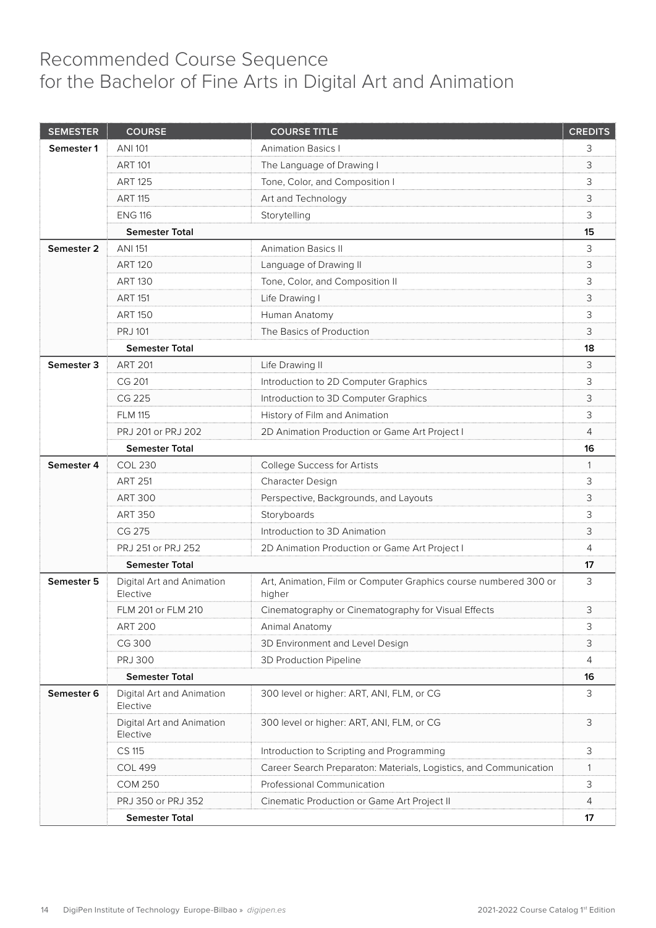### <span id="page-13-0"></span>Recommended Course Sequence for the Bachelor of Fine Arts in Digital Art and Animation

| <b>SEMESTER</b> | <b>COURSE</b>                         | <b>COURSE TITLE</b>                                                        | <b>CREDITS</b> |
|-----------------|---------------------------------------|----------------------------------------------------------------------------|----------------|
| Semester 1      | ANI 101                               | <b>Animation Basics I</b>                                                  | 3              |
|                 | <b>ART 101</b>                        | The Language of Drawing I                                                  | 3              |
|                 | <b>ART 125</b>                        | Tone, Color, and Composition I                                             | 3              |
|                 | <b>ART 115</b>                        | Art and Technology                                                         | 3              |
|                 | <b>ENG 116</b>                        | Storytelling                                                               | 3              |
|                 | <b>Semester Total</b>                 |                                                                            | 15             |
| Semester 2      | <b>ANI 151</b>                        | <b>Animation Basics II</b>                                                 | 3              |
|                 | <b>ART 120</b>                        | Language of Drawing II                                                     | 3              |
|                 | <b>ART 130</b>                        | Tone, Color, and Composition II                                            | 3              |
|                 | <b>ART 151</b>                        | Life Drawing I                                                             | 3              |
|                 | <b>ART 150</b>                        | Human Anatomy                                                              | 3              |
|                 | <b>PRJ 101</b>                        | The Basics of Production                                                   | 3              |
|                 | <b>Semester Total</b>                 |                                                                            | 18             |
| Semester 3      | <b>ART 201</b>                        | Life Drawing II                                                            | 3              |
|                 | CG 201                                | Introduction to 2D Computer Graphics                                       | 3              |
|                 | CG 225                                | Introduction to 3D Computer Graphics                                       | 3              |
|                 | <b>FLM 115</b>                        | History of Film and Animation                                              | 3              |
|                 | PRJ 201 or PRJ 202                    | 2D Animation Production or Game Art Project I                              | 4              |
|                 | <b>Semester Total</b>                 |                                                                            | 16             |
| Semester 4      | <b>COL 230</b>                        | College Success for Artists                                                | 1              |
|                 | <b>ART 251</b>                        | Character Design                                                           | 3              |
|                 | <b>ART 300</b>                        | Perspective, Backgrounds, and Layouts                                      | 3              |
|                 | <b>ART 350</b>                        | Storyboards                                                                | 3              |
|                 | CG 275                                | Introduction to 3D Animation                                               | 3              |
|                 | PRJ 251 or PRJ 252                    | 2D Animation Production or Game Art Project I                              | 4              |
|                 | <b>Semester Total</b>                 |                                                                            | 17             |
| Semester 5      | Digital Art and Animation<br>Elective | Art, Animation, Film or Computer Graphics course numbered 300 or<br>higher | 3              |
|                 | FLM 201 or FLM 210                    | Cinematography or Cinematography for Visual Effects                        | 3              |
|                 | <b>ART 200</b>                        | Animal Anatomy                                                             | 3              |
|                 | CG 300                                | 3D Environment and Level Design                                            | 3              |
|                 | <b>PRJ 300</b>                        | 3D Production Pipeline                                                     | 4              |
|                 | <b>Semester Total</b>                 |                                                                            | 16             |
| Semester 6      | Digital Art and Animation<br>Elective | 300 level or higher: ART, ANI, FLM, or CG                                  | 3              |
|                 | Digital Art and Animation<br>Elective | 300 level or higher: ART, ANI, FLM, or CG                                  | 3              |
|                 | CS 115                                | Introduction to Scripting and Programming                                  | З              |
|                 | <b>COL 499</b>                        | Career Search Preparaton: Materials, Logistics, and Communication          | 1              |
|                 | <b>COM 250</b>                        | Professional Communication                                                 | 3              |
|                 | PRJ 350 or PRJ 352                    | Cinematic Production or Game Art Project II                                | 4              |
|                 | <b>Semester Total</b>                 |                                                                            | 17             |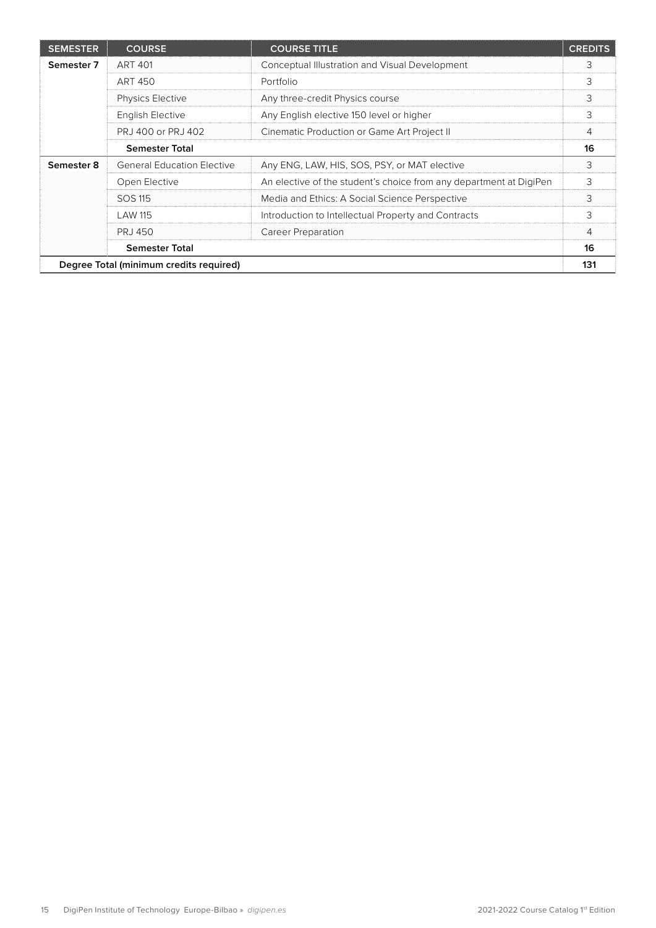| <b>SEMESTER</b>                         | <b>COURSE</b>                     | <b>COURSE TITLE</b>                                                | <b>CREDITS</b> |
|-----------------------------------------|-----------------------------------|--------------------------------------------------------------------|----------------|
| Semester 7                              | <b>ART 401</b>                    | Conceptual Illustration and Visual Development                     | 3              |
|                                         | ART 450                           | Portfolio                                                          | 3              |
|                                         | <b>Physics Elective</b>           | Any three-credit Physics course                                    | 3              |
|                                         | <b>English Elective</b>           | Any English elective 150 level or higher                           | 3              |
|                                         | PRJ 400 or PRJ 402                | Cinematic Production or Game Art Project II                        | 4              |
|                                         | <b>Semester Total</b>             |                                                                    | 16             |
| Semester 8                              | <b>General Education Elective</b> | Any ENG, LAW, HIS, SOS, PSY, or MAT elective                       | 3              |
|                                         | Open Elective                     | An elective of the student's choice from any department at DigiPen | 3              |
|                                         | SOS 115                           | Media and Ethics: A Social Science Perspective                     | 3              |
|                                         | <b>LAW 115</b>                    | Introduction to Intellectual Property and Contracts                | 3              |
|                                         | PR.J 450                          | Career Preparation                                                 | 4              |
| <b>Semester Total</b>                   |                                   |                                                                    | 16             |
| Degree Total (minimum credits required) |                                   |                                                                    | 131            |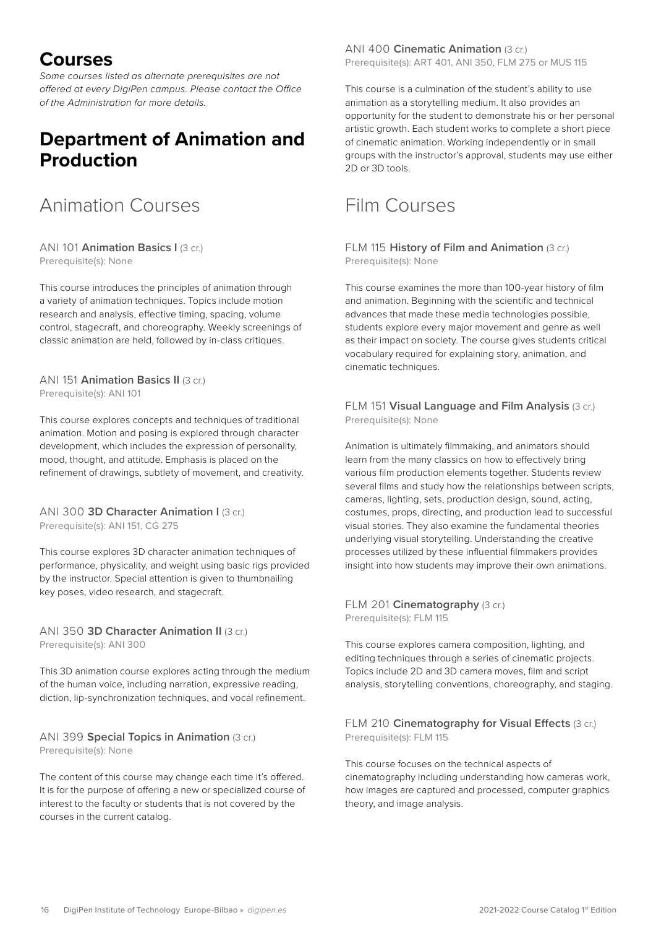### <span id="page-15-0"></span>**Courses**

*Some courses listed as alternate prerequisites are not offered at every DigiPen campus. Please contact the Office of the Administration for more details.*

### **Department of Animation and Production**

### Animation Courses

#### ANI 101 **Animation Basics I** (3 cr.) Prerequisite(s): None

This course introduces the principles of animation through a variety of animation techniques. Topics include motion research and analysis, effective timing, spacing, volume control, stagecraft, and choreography. Weekly screenings of classic animation are held, followed by in-class critiques.

ANI 151 **Animation Basics II** (3 cr.) Prerequisite(s): ANI 101

This course explores concepts and techniques of traditional animation. Motion and posing is explored through character development, which includes the expression of personality, mood, thought, and attitude. Emphasis is placed on the refinement of drawings, subtlety of movement, and creativity.

#### ANI 300 **3D Character Animation I (3 cr.)** Prerequisite(s): ANI 151, CG 275

This course explores 3D character animation techniques of performance, physicality, and weight using basic rigs provided by the instructor. Special attention is given to thumbnailing key poses, video research, and stagecraft.

#### ANI 350 **3D Character Animation II** (3 cr.) Prerequisite(s): ANI 300

This 3D animation course explores acting through the medium of the human voice, including narration, expressive reading, diction, lip-synchronization techniques, and vocal refinement.

#### ANI 399 **Special Topics in Animation** (3 cr.) Prerequisite(s): None

The content of this course may change each time it's offered. It is for the purpose of offering a new or specialized course of interest to the faculty or students that is not covered by the courses in the current catalog.

ANI 400 **Cinematic Animation** (3 cr.) Prerequisite(s): ART 401, ANI 350, FLM 275 or MUS 115

This course is a culmination of the student's ability to use animation as a storytelling medium. It also provides an opportunity for the student to demonstrate his or her personal artistic growth. Each student works to complete a short piece of cinematic animation. Working independently or in small groups with the instructor's approval, students may use either 2D or 3D tools.

### Film Courses

FLM 115 **History of Film and Animation** (3 cr.) Prerequisite(s): None

This course examines the more than 100-year history of film and animation. Beginning with the scientific and technical advances that made these media technologies possible, students explore every major movement and genre as well as their impact on society. The course gives students critical vocabulary required for explaining story, animation, and cinematic techniques.

FLM 151 **Visual Language and Film Analysis** (3 cr.) Prerequisite(s): None

Animation is ultimately filmmaking, and animators should learn from the many classics on how to effectively bring various film production elements together. Students review several films and study how the relationships between scripts, cameras, lighting, sets, production design, sound, acting, costumes, props, directing, and production lead to successful visual stories. They also examine the fundamental theories underlying visual storytelling. Understanding the creative processes utilized by these influential filmmakers provides insight into how students may improve their own animations.

FLM 201 **Cinematography** (3 cr.) Prerequisite(s): FLM 115

This course explores camera composition, lighting, and editing techniques through a series of cinematic projects. Topics include 2D and 3D camera moves, film and script analysis, storytelling conventions, choreography, and staging.

#### FLM 210 **Cinematography for Visual Effects** (3 cr.) Prerequisite(s): FLM 115

This course focuses on the technical aspects of cinematography including understanding how cameras work, how images are captured and processed, computer graphics theory, and image analysis.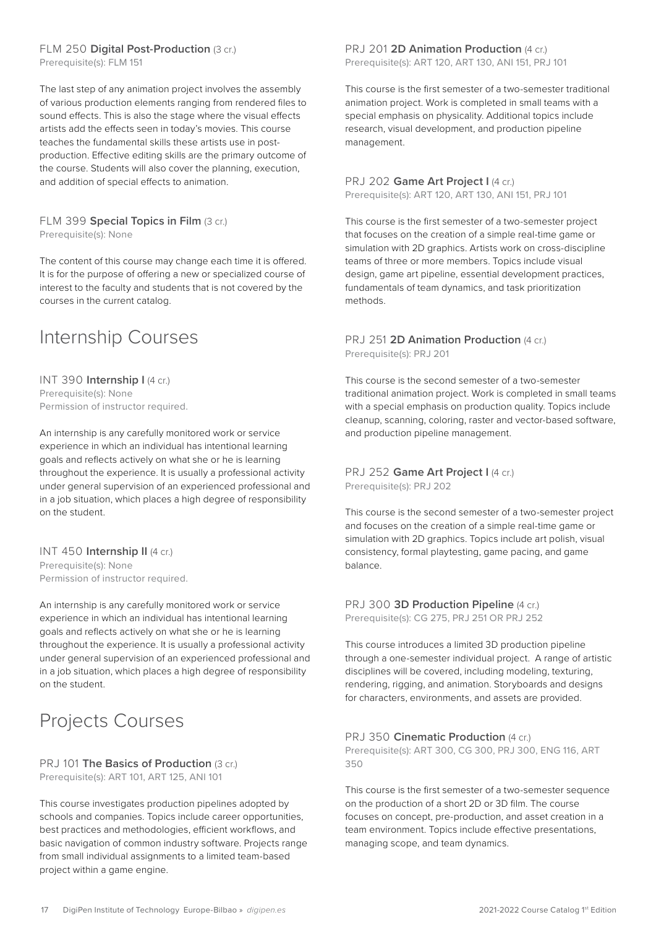#### <span id="page-16-0"></span>FLM 250 **Digital Post-Production** (3 cr.)

Prerequisite(s): FLM 151

The last step of any animation project involves the assembly of various production elements ranging from rendered files to sound effects. This is also the stage where the visual effects artists add the effects seen in today's movies. This course teaches the fundamental skills these artists use in postproduction. Effective editing skills are the primary outcome of the course. Students will also cover the planning, execution, and addition of special effects to animation.

#### FLM 399 **Special Topics in Film** (3 cr.) Prerequisite(s): None

The content of this course may change each time it is offered. It is for the purpose of offering a new or specialized course of interest to the faculty and students that is not covered by the courses in the current catalog.

### Internship Courses

INT 390 **Internship I** (4 cr.) Prerequisite(s): None Permission of instructor required.

An internship is any carefully monitored work or service experience in which an individual has intentional learning goals and reflects actively on what she or he is learning throughout the experience. It is usually a professional activity under general supervision of an experienced professional and in a job situation, which places a high degree of responsibility on the student.

#### INT 450 **Internship II** (4 cr.)

Prerequisite(s): None Permission of instructor required.

An internship is any carefully monitored work or service experience in which an individual has intentional learning goals and reflects actively on what she or he is learning throughout the experience. It is usually a professional activity under general supervision of an experienced professional and in a job situation, which places a high degree of responsibility on the student.

# Projects Courses

PRJ 101 **The Basics of Production** (3 cr.) Prerequisite(s): ART 101, ART 125, ANI 101

This course investigates production pipelines adopted by schools and companies. Topics include career opportunities, best practices and methodologies, efficient workflows, and basic navigation of common industry software. Projects range from small individual assignments to a limited team-based project within a game engine.

#### PRJ 201 2D Animation Production (4 cr.) Prerequisite(s): ART 120, ART 130, ANI 151, PRJ 101

This course is the first semester of a two-semester traditional animation project. Work is completed in small teams with a special emphasis on physicality. Additional topics include research, visual development, and production pipeline management.

#### PRJ 202 Game Art Project I (4 cr.) Prerequisite(s): ART 120, ART 130, ANI 151, PRJ 101

This course is the first semester of a two-semester project that focuses on the creation of a simple real-time game or simulation with 2D graphics. Artists work on cross-discipline teams of three or more members. Topics include visual design, game art pipeline, essential development practices, fundamentals of team dynamics, and task prioritization methods.

#### PRJ 251 2D Animation Production (4 cr.) Prerequisite(s): PRJ 201

This course is the second semester of a two-semester traditional animation project. Work is completed in small teams with a special emphasis on production quality. Topics include cleanup, scanning, coloring, raster and vector-based software, and production pipeline management.

#### PRJ 252 Game Art Project I (4 cr.) Prerequisite(s): PRJ 202

This course is the second semester of a two-semester project and focuses on the creation of a simple real-time game or simulation with 2D graphics. Topics include art polish, visual consistency, formal playtesting, game pacing, and game balance.

#### PRJ 300 **3D Production Pipeline** (4 cr.) Prerequisite(s): CG 275, PRJ 251 OR PRJ 252

This course introduces a limited 3D production pipeline through a one-semester individual project. A range of artistic disciplines will be covered, including modeling, texturing, rendering, rigging, and animation. Storyboards and designs for characters, environments, and assets are provided.

#### PRJ 350 **Cinematic Production** (4 cr.)

Prerequisite(s): ART 300, CG 300, PRJ 300, ENG 116, ART 350

This course is the first semester of a two-semester sequence on the production of a short 2D or 3D film. The course focuses on concept, pre-production, and asset creation in a team environment. Topics include effective presentations, managing scope, and team dynamics.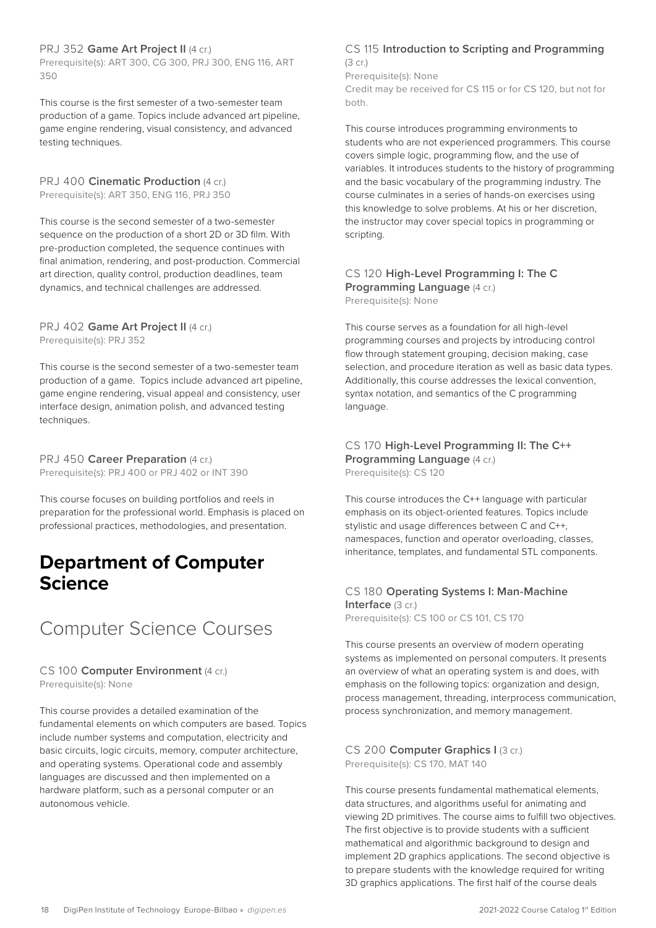#### <span id="page-17-0"></span>PRJ 352 Game Art Project II (4 cr.)

Prerequisite(s): ART 300, CG 300, PRJ 300, ENG 116, ART 350

This course is the first semester of a two-semester team production of a game. Topics include advanced art pipeline, game engine rendering, visual consistency, and advanced testing techniques.

PRJ 400 **Cinematic Production** (4 cr.) Prerequisite(s): ART 350, ENG 116, PRJ 350

This course is the second semester of a two-semester sequence on the production of a short 2D or 3D film. With pre-production completed, the sequence continues with final animation, rendering, and post-production. Commercial art direction, quality control, production deadlines, team dynamics, and technical challenges are addressed.

#### PRJ 402 Game Art Project II (4 cr.) Prerequisite(s): PRJ 352

This course is the second semester of a two-semester team production of a game. Topics include advanced art pipeline, game engine rendering, visual appeal and consistency, user interface design, animation polish, and advanced testing techniques.

PRJ 450 **Career Preparation** (4 cr.) Prerequisite(s): PRJ 400 or PRJ 402 or INT 390

This course focuses on building portfolios and reels in preparation for the professional world. Emphasis is placed on professional practices, methodologies, and presentation.

### **Department of Computer Science**

### Computer Science Courses

#### CS 100 **Computer Environment** (4 cr.)

Prerequisite(s): None

This course provides a detailed examination of the fundamental elements on which computers are based. Topics include number systems and computation, electricity and basic circuits, logic circuits, memory, computer architecture, and operating systems. Operational code and assembly languages are discussed and then implemented on a hardware platform, such as a personal computer or an autonomous vehicle.

#### CS 115 **Introduction to Scripting and Programming**  (3 cr.)

Prerequisite(s): None

Credit may be received for CS 115 or for CS 120, but not for both.

This course introduces programming environments to students who are not experienced programmers. This course covers simple logic, programming flow, and the use of variables. It introduces students to the history of programming and the basic vocabulary of the programming industry. The course culminates in a series of hands-on exercises using this knowledge to solve problems. At his or her discretion, the instructor may cover special topics in programming or scripting.

### CS 120 **High-Level Programming I: The C**

**Programming Language (4 cr.)** Prerequisite(s): None

This course serves as a foundation for all high-level programming courses and projects by introducing control flow through statement grouping, decision making, case selection, and procedure iteration as well as basic data types. Additionally, this course addresses the lexical convention, syntax notation, and semantics of the C programming language.

#### CS 170 **High-Level Programming II: The C++ Programming Language (4 cr.)** Prerequisite(s): CS 120

This course introduces the C++ language with particular emphasis on its object-oriented features. Topics include stylistic and usage differences between C and C++, namespaces, function and operator overloading, classes, inheritance, templates, and fundamental STL components.

#### CS 180 **Operating Systems I: Man-Machine Interface** (3 cr.)

Prerequisite(s): CS 100 or CS 101, CS 170

This course presents an overview of modern operating systems as implemented on personal computers. It presents an overview of what an operating system is and does, with emphasis on the following topics: organization and design, process management, threading, interprocess communication, process synchronization, and memory management.

#### CS 200 **Computer Graphics I** (3 cr.) Prerequisite(s): CS 170, MAT 140

This course presents fundamental mathematical elements, data structures, and algorithms useful for animating and viewing 2D primitives. The course aims to fulfill two objectives. The first objective is to provide students with a sufficient mathematical and algorithmic background to design and implement 2D graphics applications. The second objective is to prepare students with the knowledge required for writing 3D graphics applications. The first half of the course deals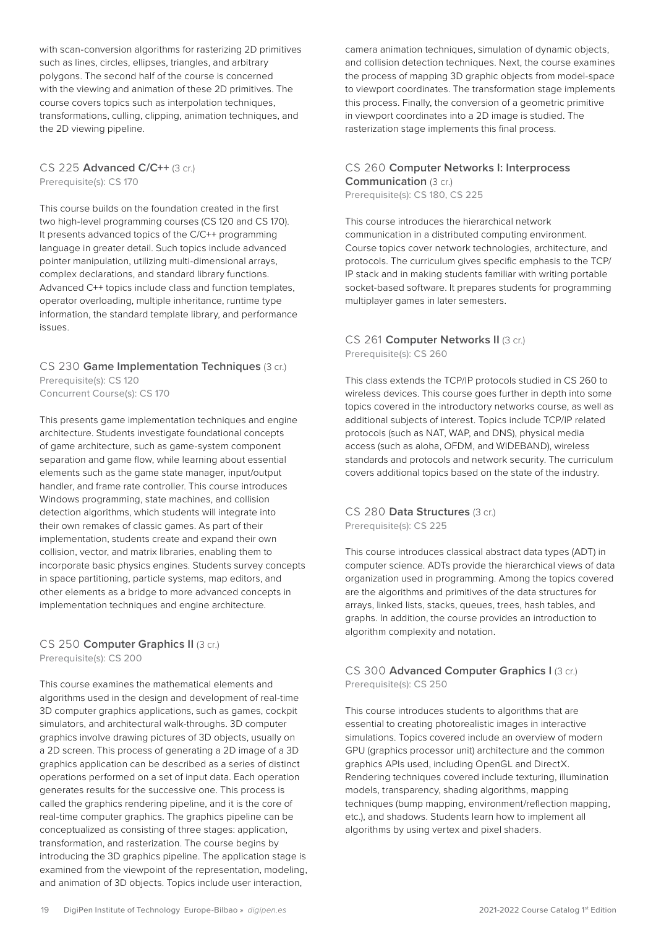with scan-conversion algorithms for rasterizing 2D primitives such as lines, circles, ellipses, triangles, and arbitrary polygons. The second half of the course is concerned with the viewing and animation of these 2D primitives. The course covers topics such as interpolation techniques, transformations, culling, clipping, animation techniques, and the 2D viewing pipeline.

#### CS 225 **Advanced C/C++** (3 cr.)

Prerequisite(s): CS 170

This course builds on the foundation created in the first two high-level programming courses (CS 120 and CS 170). It presents advanced topics of the C/C++ programming language in greater detail. Such topics include advanced pointer manipulation, utilizing multi-dimensional arrays, complex declarations, and standard library functions. Advanced C++ topics include class and function templates, operator overloading, multiple inheritance, runtime type information, the standard template library, and performance issues.

#### CS 230 **Game Implementation Techniques** (3 cr.)

Prerequisite(s): CS 120 Concurrent Course(s): CS 170

This presents game implementation techniques and engine architecture. Students investigate foundational concepts of game architecture, such as game-system component separation and game flow, while learning about essential elements such as the game state manager, input/output handler, and frame rate controller. This course introduces Windows programming, state machines, and collision detection algorithms, which students will integrate into their own remakes of classic games. As part of their implementation, students create and expand their own collision, vector, and matrix libraries, enabling them to incorporate basic physics engines. Students survey concepts in space partitioning, particle systems, map editors, and other elements as a bridge to more advanced concepts in implementation techniques and engine architecture.

#### CS 250 **Computer Graphics II** (3 cr.) Prerequisite(s): CS 200

This course examines the mathematical elements and algorithms used in the design and development of real-time 3D computer graphics applications, such as games, cockpit simulators, and architectural walk-throughs. 3D computer graphics involve drawing pictures of 3D objects, usually on a 2D screen. This process of generating a 2D image of a 3D graphics application can be described as a series of distinct operations performed on a set of input data. Each operation generates results for the successive one. This process is called the graphics rendering pipeline, and it is the core of real-time computer graphics. The graphics pipeline can be conceptualized as consisting of three stages: application, transformation, and rasterization. The course begins by introducing the 3D graphics pipeline. The application stage is examined from the viewpoint of the representation, modeling, and animation of 3D objects. Topics include user interaction,

camera animation techniques, simulation of dynamic objects, and collision detection techniques. Next, the course examines the process of mapping 3D graphic objects from model-space to viewport coordinates. The transformation stage implements this process. Finally, the conversion of a geometric primitive in viewport coordinates into a 2D image is studied. The rasterization stage implements this final process.

#### CS 260 **Computer Networks I: Interprocess Communication (3 cr.)**

Prerequisite(s): CS 180, CS 225

This course introduces the hierarchical network communication in a distributed computing environment. Course topics cover network technologies, architecture, and protocols. The curriculum gives specific emphasis to the TCP/ IP stack and in making students familiar with writing portable socket-based software. It prepares students for programming multiplayer games in later semesters.

#### CS 261 **Computer Networks II** (3 cr.) Prerequisite(s): CS 260

This class extends the TCP/IP protocols studied in CS 260 to wireless devices. This course goes further in depth into some topics covered in the introductory networks course, as well as additional subjects of interest. Topics include TCP/IP related protocols (such as NAT, WAP, and DNS), physical media access (such as aloha, OFDM, and WIDEBAND), wireless standards and protocols and network security. The curriculum covers additional topics based on the state of the industry.

#### CS 280 Data Structures (3 cr.) Prerequisite(s): CS 225

This course introduces classical abstract data types (ADT) in computer science. ADTs provide the hierarchical views of data organization used in programming. Among the topics covered are the algorithms and primitives of the data structures for arrays, linked lists, stacks, queues, trees, hash tables, and graphs. In addition, the course provides an introduction to algorithm complexity and notation.

#### CS 300 **Advanced Computer Graphics I** (3 cr.) Prerequisite(s): CS 250

This course introduces students to algorithms that are essential to creating photorealistic images in interactive simulations. Topics covered include an overview of modern GPU (graphics processor unit) architecture and the common graphics APIs used, including OpenGL and DirectX. Rendering techniques covered include texturing, illumination models, transparency, shading algorithms, mapping techniques (bump mapping, environment/reflection mapping, etc.), and shadows. Students learn how to implement all algorithms by using vertex and pixel shaders.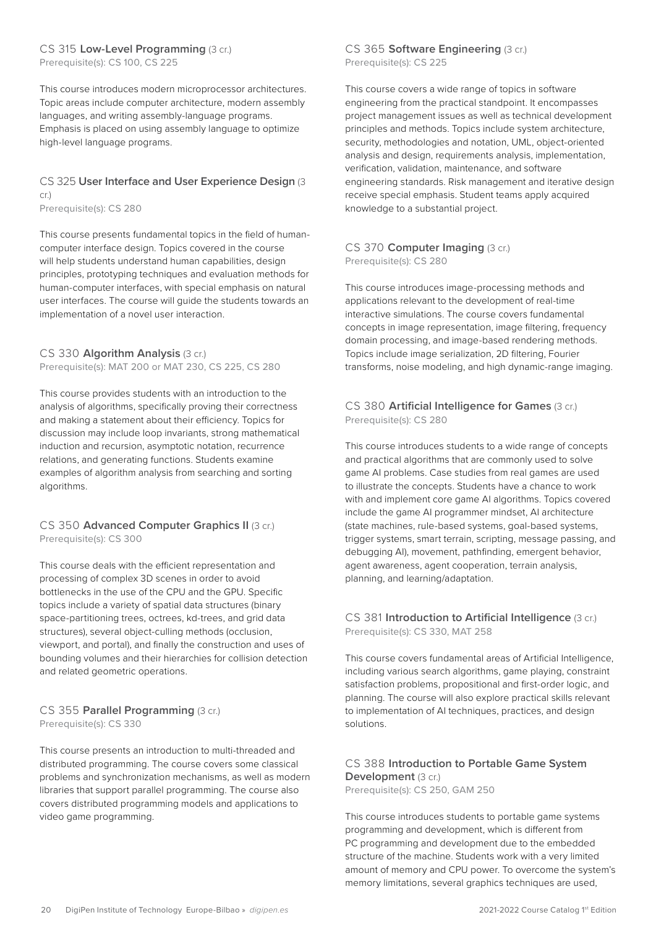#### CS 315 **Low-Level Programming** (3 cr.)

Prerequisite(s): CS 100, CS 225

This course introduces modern microprocessor architectures. Topic areas include computer architecture, modern assembly languages, and writing assembly-language programs. Emphasis is placed on using assembly language to optimize high-level language programs.

#### CS 325 **User Interface and User Experience Design** (3 cr.)

Prerequisite(s): CS 280

This course presents fundamental topics in the field of humancomputer interface design. Topics covered in the course will help students understand human capabilities, design principles, prototyping techniques and evaluation methods for human-computer interfaces, with special emphasis on natural user interfaces. The course will guide the students towards an implementation of a novel user interaction.

#### CS 330 **Algorithm Analysis** (3 cr.) Prerequisite(s): MAT 200 or MAT 230, CS 225, CS 280

This course provides students with an introduction to the analysis of algorithms, specifically proving their correctness and making a statement about their efficiency. Topics for discussion may include loop invariants, strong mathematical induction and recursion, asymptotic notation, recurrence relations, and generating functions. Students examine examples of algorithm analysis from searching and sorting algorithms.

#### CS 350 **Advanced Computer Graphics II** (3 cr.) Prerequisite(s): CS 300

This course deals with the efficient representation and processing of complex 3D scenes in order to avoid bottlenecks in the use of the CPU and the GPU. Specific topics include a variety of spatial data structures (binary space-partitioning trees, octrees, kd-trees, and grid data structures), several object-culling methods (occlusion, viewport, and portal), and finally the construction and uses of bounding volumes and their hierarchies for collision detection and related geometric operations.

#### CS 355 **Parallel Programming** (3 cr.) Prerequisite(s): CS 330

This course presents an introduction to multi-threaded and distributed programming. The course covers some classical problems and synchronization mechanisms, as well as modern libraries that support parallel programming. The course also covers distributed programming models and applications to video game programming.

#### CS 365 **Software Engineering** (3 cr.) Prerequisite(s): CS 225

This course covers a wide range of topics in software engineering from the practical standpoint. It encompasses project management issues as well as technical development principles and methods. Topics include system architecture, security, methodologies and notation, UML, object-oriented analysis and design, requirements analysis, implementation, verification, validation, maintenance, and software engineering standards. Risk management and iterative design receive special emphasis. Student teams apply acquired knowledge to a substantial project.

#### CS 370 **Computer Imaging** (3 cr.) Prerequisite(s): CS 280

This course introduces image-processing methods and applications relevant to the development of real-time interactive simulations. The course covers fundamental concepts in image representation, image filtering, frequency domain processing, and image-based rendering methods. Topics include image serialization, 2D filtering, Fourier transforms, noise modeling, and high dynamic-range imaging.

#### CS 380 **Artificial Intelligence for Games** (3 cr.) Prerequisite(s): CS 280

This course introduces students to a wide range of concepts and practical algorithms that are commonly used to solve game AI problems. Case studies from real games are used to illustrate the concepts. Students have a chance to work with and implement core game AI algorithms. Topics covered include the game AI programmer mindset, AI architecture (state machines, rule-based systems, goal-based systems, trigger systems, smart terrain, scripting, message passing, and debugging AI), movement, pathfinding, emergent behavior, agent awareness, agent cooperation, terrain analysis, planning, and learning/adaptation.

#### CS 381 **Introduction to Artificial Intelligence** (3 cr.) Prerequisite(s): CS 330, MAT 258

This course covers fundamental areas of Artificial Intelligence, including various search algorithms, game playing, constraint satisfaction problems, propositional and first-order logic, and planning. The course will also explore practical skills relevant to implementation of AI techniques, practices, and design solutions.

#### CS 388 **Introduction to Portable Game System Development** (3 cr.)

Prerequisite(s): CS 250, GAM 250

This course introduces students to portable game systems programming and development, which is different from PC programming and development due to the embedded structure of the machine. Students work with a very limited amount of memory and CPU power. To overcome the system's memory limitations, several graphics techniques are used,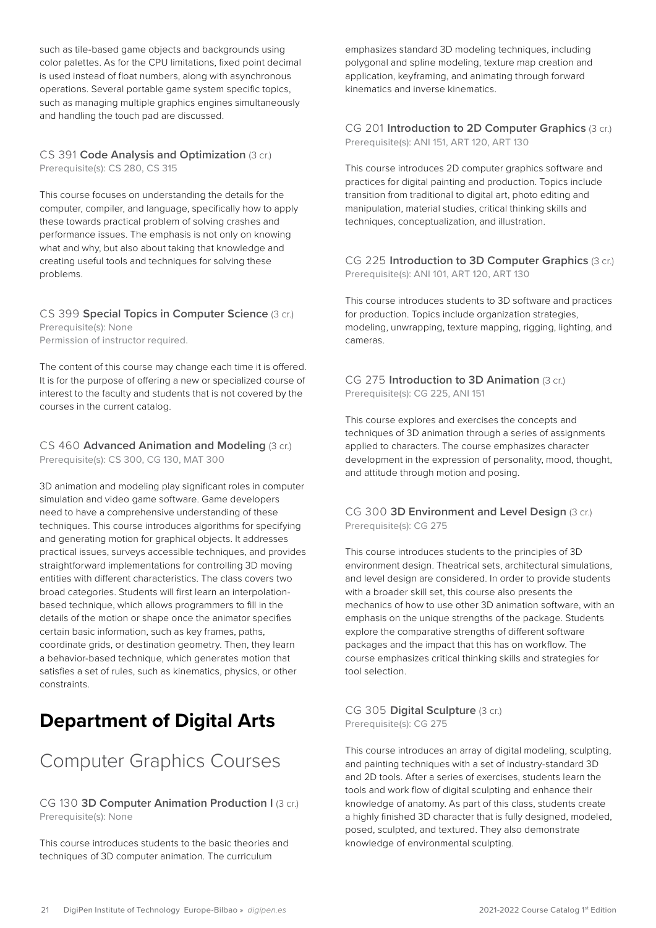<span id="page-20-0"></span>such as tile-based game objects and backgrounds using color palettes. As for the CPU limitations, fixed point decimal is used instead of float numbers, along with asynchronous operations. Several portable game system specific topics, such as managing multiple graphics engines simultaneously and handling the touch pad are discussed.

#### CS 391 **Code Analysis and Optimization** (3 cr.) Prerequisite(s): CS 280, CS 315

This course focuses on understanding the details for the computer, compiler, and language, specifically how to apply these towards practical problem of solving crashes and performance issues. The emphasis is not only on knowing what and why, but also about taking that knowledge and creating useful tools and techniques for solving these problems.

#### CS 399 **Special Topics in Computer Science** (3 cr.) Prerequisite(s): None Permission of instructor required.

The content of this course may change each time it is offered. It is for the purpose of offering a new or specialized course of interest to the faculty and students that is not covered by the courses in the current catalog.

#### CS 460 **Advanced Animation and Modeling** (3 cr.) Prerequisite(s): CS 300, CG 130, MAT 300

3D animation and modeling play significant roles in computer simulation and video game software. Game developers need to have a comprehensive understanding of these techniques. This course introduces algorithms for specifying and generating motion for graphical objects. It addresses practical issues, surveys accessible techniques, and provides straightforward implementations for controlling 3D moving entities with different characteristics. The class covers two broad categories. Students will first learn an interpolationbased technique, which allows programmers to fill in the details of the motion or shape once the animator specifies certain basic information, such as key frames, paths, coordinate grids, or destination geometry. Then, they learn a behavior-based technique, which generates motion that satisfies a set of rules, such as kinematics, physics, or other constraints.

# **Department of Digital Arts**

# Computer Graphics Courses

#### CG 130 **3D Computer Animation Production I** (3 cr.) Prerequisite(s): None

This course introduces students to the basic theories and techniques of 3D computer animation. The curriculum

emphasizes standard 3D modeling techniques, including polygonal and spline modeling, texture map creation and application, keyframing, and animating through forward kinematics and inverse kinematics.

#### CG 201 **Introduction to 2D Computer Graphics** (3 cr.) Prerequisite(s): ANI 151, ART 120, ART 130

This course introduces 2D computer graphics software and practices for digital painting and production. Topics include transition from traditional to digital art, photo editing and manipulation, material studies, critical thinking skills and techniques, conceptualization, and illustration.

#### CG 225 **Introduction to 3D Computer Graphics** (3 cr.) Prerequisite(s): ANI 101, ART 120, ART 130

This course introduces students to 3D software and practices for production. Topics include organization strategies, modeling, unwrapping, texture mapping, rigging, lighting, and cameras.

#### CG 275 **Introduction to 3D Animation** (3 cr.) Prerequisite(s): CG 225, ANI 151

This course explores and exercises the concepts and techniques of 3D animation through a series of assignments applied to characters. The course emphasizes character development in the expression of personality, mood, thought, and attitude through motion and posing.

#### CG 300 **3D Environment and Level Design** (3 cr.) Prerequisite(s): CG 275

This course introduces students to the principles of 3D environment design. Theatrical sets, architectural simulations, and level design are considered. In order to provide students with a broader skill set, this course also presents the mechanics of how to use other 3D animation software, with an emphasis on the unique strengths of the package. Students explore the comparative strengths of different software packages and the impact that this has on workflow. The course emphasizes critical thinking skills and strategies for tool selection.

#### CG 305 **Digital Sculpture** (3 cr.) Prerequisite(s): CG 275

This course introduces an array of digital modeling, sculpting, and painting techniques with a set of industry-standard 3D and 2D tools. After a series of exercises, students learn the tools and work flow of digital sculpting and enhance their knowledge of anatomy. As part of this class, students create a highly finished 3D character that is fully designed, modeled, posed, sculpted, and textured. They also demonstrate knowledge of environmental sculpting.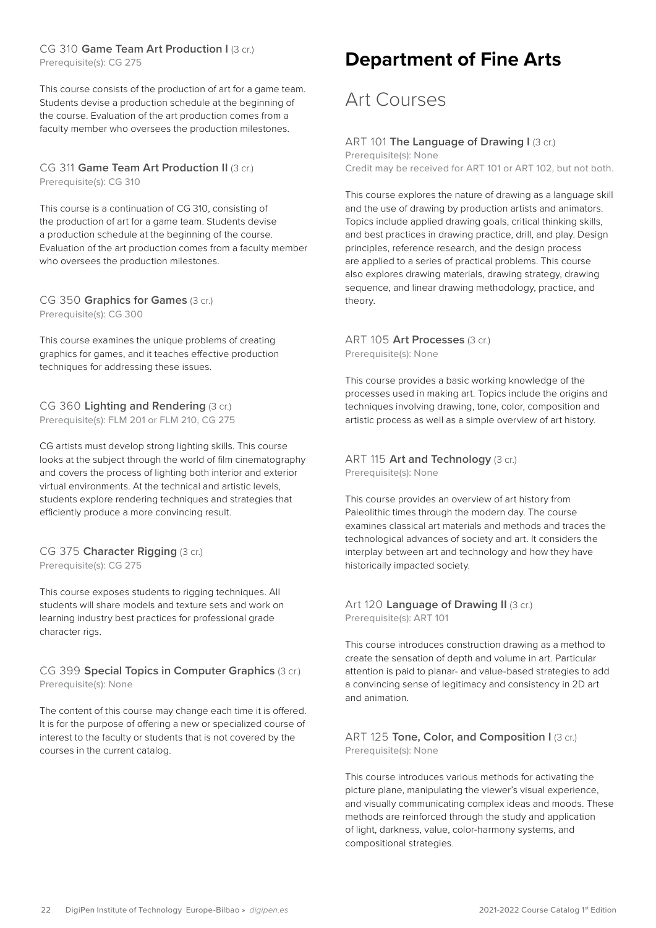#### <span id="page-21-0"></span>CG 310 Game Team Art Production I (3 cr.)

Prerequisite(s): CG 275

This course consists of the production of art for a game team. Students devise a production schedule at the beginning of the course. Evaluation of the art production comes from a faculty member who oversees the production milestones.

#### CG 311 Game Team Art Production II (3 cr.) Prerequisite(s): CG 310

This course is a continuation of CG 310, consisting of the production of art for a game team. Students devise a production schedule at the beginning of the course. Evaluation of the art production comes from a faculty member who oversees the production milestones.

#### CG 350 **Graphics for Games** (3 cr.) Prerequisite(s): CG 300

This course examines the unique problems of creating graphics for games, and it teaches effective production techniques for addressing these issues.

#### CG 360 **Lighting and Rendering** (3 cr.) Prerequisite(s): FLM 201 or FLM 210, CG 275

CG artists must develop strong lighting skills. This course looks at the subject through the world of film cinematography and covers the process of lighting both interior and exterior virtual environments. At the technical and artistic levels, students explore rendering techniques and strategies that efficiently produce a more convincing result.

#### CG 375 **Character Rigging** (3 cr.) Prerequisite(s): CG 275

This course exposes students to rigging techniques. All students will share models and texture sets and work on learning industry best practices for professional grade character rigs.

#### CG 399 **Special Topics in Computer Graphics** (3 cr.) Prerequisite(s): None

The content of this course may change each time it is offered. It is for the purpose of offering a new or specialized course of interest to the faculty or students that is not covered by the courses in the current catalog.

# **Department of Fine Arts**

### Art Courses

#### ART 101 The Language of Drawing I (3 cr.)

Prerequisite(s): None Credit may be received for ART 101 or ART 102, but not both.

This course explores the nature of drawing as a language skill and the use of drawing by production artists and animators. Topics include applied drawing goals, critical thinking skills, and best practices in drawing practice, drill, and play. Design principles, reference research, and the design process are applied to a series of practical problems. This course also explores drawing materials, drawing strategy, drawing sequence, and linear drawing methodology, practice, and theory.

#### ART 105 **Art Processes** (3 cr.) Prerequisite(s): None

This course provides a basic working knowledge of the processes used in making art. Topics include the origins and techniques involving drawing, tone, color, composition and artistic process as well as a simple overview of art history.

#### ART 115 Art and Technology (3 cr.) Prerequisite(s): None

This course provides an overview of art history from Paleolithic times through the modern day. The course examines classical art materials and methods and traces the technological advances of society and art. It considers the interplay between art and technology and how they have historically impacted society.

#### Art 120 Language of Drawing II (3 cr.) Prerequisite(s): ART 101

This course introduces construction drawing as a method to create the sensation of depth and volume in art. Particular attention is paid to planar- and value-based strategies to add a convincing sense of legitimacy and consistency in 2D art and animation.

#### ART 125 **Tone, Color, and Composition I** (3 cr.) Prerequisite(s): None

This course introduces various methods for activating the picture plane, manipulating the viewer's visual experience, and visually communicating complex ideas and moods. These methods are reinforced through the study and application of light, darkness, value, color-harmony systems, and compositional strategies.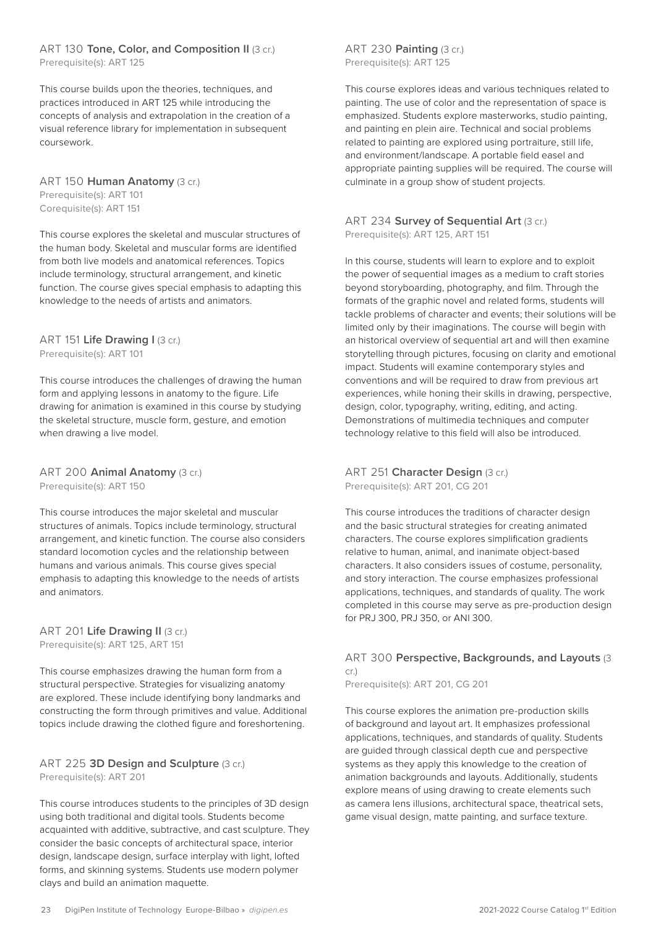#### ART 130 **Tone, Color, and Composition II** (3 cr.) Prerequisite(s): ART 125

This course builds upon the theories, techniques, and practices introduced in ART 125 while introducing the concepts of analysis and extrapolation in the creation of a visual reference library for implementation in subsequent coursework.

ART 150 **Human Anatomy** (3 cr.) Prerequisite(s): ART 101 Corequisite(s): ART 151

This course explores the skeletal and muscular structures of the human body. Skeletal and muscular forms are identified from both live models and anatomical references. Topics include terminology, structural arrangement, and kinetic function. The course gives special emphasis to adapting this knowledge to the needs of artists and animators.

#### ART 151 **Life Drawing I** (3 cr.) Prerequisite(s): ART 101

This course introduces the challenges of drawing the human form and applying lessons in anatomy to the figure. Life drawing for animation is examined in this course by studying the skeletal structure, muscle form, gesture, and emotion when drawing a live model.

ART 200 **Animal Anatomy** (3 cr.) Prerequisite(s): ART 150

This course introduces the major skeletal and muscular structures of animals. Topics include terminology, structural arrangement, and kinetic function. The course also considers standard locomotion cycles and the relationship between humans and various animals. This course gives special emphasis to adapting this knowledge to the needs of artists and animators.

#### ART 201 Life Drawing II (3 cr.)

Prerequisite(s): ART 125, ART 151

This course emphasizes drawing the human form from a structural perspective. Strategies for visualizing anatomy are explored. These include identifying bony landmarks and constructing the form through primitives and value. Additional topics include drawing the clothed figure and foreshortening.

#### ART 225 **3D Design and Sculpture** (3 cr.) Prerequisite(s): ART 201

This course introduces students to the principles of 3D design using both traditional and digital tools. Students become acquainted with additive, subtractive, and cast sculpture. They consider the basic concepts of architectural space, interior design, landscape design, surface interplay with light, lofted forms, and skinning systems. Students use modern polymer clays and build an animation maquette.

#### ART 230 **Painting** (3 cr.) Prerequisite(s): ART 125

This course explores ideas and various techniques related to painting. The use of color and the representation of space is emphasized. Students explore masterworks, studio painting, and painting en plein aire. Technical and social problems related to painting are explored using portraiture, still life, and environment/landscape. A portable field easel and appropriate painting supplies will be required. The course will culminate in a group show of student projects.

#### ART 234 **Survey of Sequential Art** (3 cr.) Prerequisite(s): ART 125, ART 151

In this course, students will learn to explore and to exploit the power of sequential images as a medium to craft stories beyond storyboarding, photography, and film. Through the formats of the graphic novel and related forms, students will tackle problems of character and events; their solutions will be limited only by their imaginations. The course will begin with an historical overview of sequential art and will then examine storytelling through pictures, focusing on clarity and emotional impact. Students will examine contemporary styles and conventions and will be required to draw from previous art experiences, while honing their skills in drawing, perspective, design, color, typography, writing, editing, and acting. Demonstrations of multimedia techniques and computer technology relative to this field will also be introduced.

ART 251 **Character Design (3 cr.)** Prerequisite(s): ART 201, CG 201

This course introduces the traditions of character design and the basic structural strategies for creating animated characters. The course explores simplification gradients relative to human, animal, and inanimate object-based characters. It also considers issues of costume, personality, and story interaction. The course emphasizes professional applications, techniques, and standards of quality. The work completed in this course may serve as pre-production design for PRJ 300, PRJ 350, or ANI 300.

#### ART 300 **Perspective, Backgrounds, and Layouts** (3 cr.)

Prerequisite(s): ART 201, CG 201

This course explores the animation pre-production skills of background and layout art. It emphasizes professional applications, techniques, and standards of quality. Students are guided through classical depth cue and perspective systems as they apply this knowledge to the creation of animation backgrounds and layouts. Additionally, students explore means of using drawing to create elements such as camera lens illusions, architectural space, theatrical sets, game visual design, matte painting, and surface texture.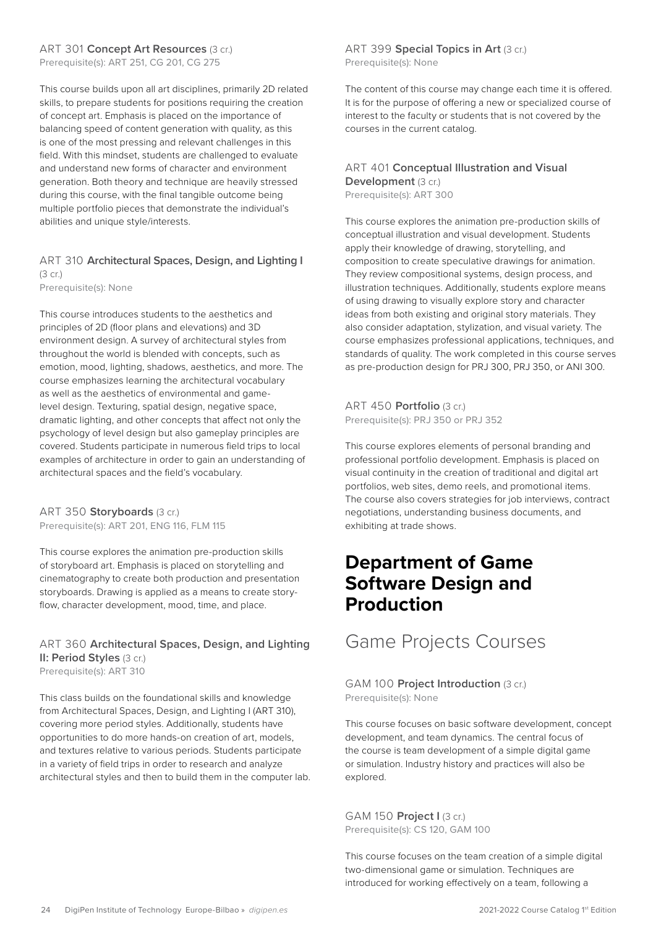#### <span id="page-23-0"></span>ART 301 **Concept Art Resources** (3 cr.)

Prerequisite(s): ART 251, CG 201, CG 275

This course builds upon all art disciplines, primarily 2D related skills, to prepare students for positions requiring the creation of concept art. Emphasis is placed on the importance of balancing speed of content generation with quality, as this is one of the most pressing and relevant challenges in this field. With this mindset, students are challenged to evaluate and understand new forms of character and environment generation. Both theory and technique are heavily stressed during this course, with the final tangible outcome being multiple portfolio pieces that demonstrate the individual's abilities and unique style/interests.

#### ART 310 **Architectural Spaces, Design, and Lighting I**  (3 cr.)

Prerequisite(s): None

This course introduces students to the aesthetics and principles of 2D (floor plans and elevations) and 3D environment design. A survey of architectural styles from throughout the world is blended with concepts, such as emotion, mood, lighting, shadows, aesthetics, and more. The course emphasizes learning the architectural vocabulary as well as the aesthetics of environmental and gamelevel design. Texturing, spatial design, negative space, dramatic lighting, and other concepts that affect not only the psychology of level design but also gameplay principles are covered. Students participate in numerous field trips to local examples of architecture in order to gain an understanding of architectural spaces and the field's vocabulary.

ART 350 **Storyboards** (3 cr.) Prerequisite(s): ART 201, ENG 116, FLM 115

This course explores the animation pre-production skills of storyboard art. Emphasis is placed on storytelling and cinematography to create both production and presentation storyboards. Drawing is applied as a means to create storyflow, character development, mood, time, and place.

#### ART 360 **Architectural Spaces, Design, and Lighting II: Period Styles (3 cr.)**

Prerequisite(s): ART 310

This class builds on the foundational skills and knowledge from Architectural Spaces, Design, and Lighting I (ART 310), covering more period styles. Additionally, students have opportunities to do more hands-on creation of art, models, and textures relative to various periods. Students participate in a variety of field trips in order to research and analyze architectural styles and then to build them in the computer lab.

ART 399 **Special Topics in Art** (3 cr.) Prerequisite(s): None

The content of this course may change each time it is offered. It is for the purpose of offering a new or specialized course of interest to the faculty or students that is not covered by the courses in the current catalog.

#### ART 401 **Conceptual Illustration and Visual Development** (3 cr.)

Prerequisite(s): ART 300

This course explores the animation pre-production skills of conceptual illustration and visual development. Students apply their knowledge of drawing, storytelling, and composition to create speculative drawings for animation. They review compositional systems, design process, and illustration techniques. Additionally, students explore means of using drawing to visually explore story and character ideas from both existing and original story materials. They also consider adaptation, stylization, and visual variety. The course emphasizes professional applications, techniques, and standards of quality. The work completed in this course serves as pre-production design for PRJ 300, PRJ 350, or ANI 300.

ART 450 **Portfolio** (3 cr.) Prerequisite(s): PRJ 350 or PRJ 352

This course explores elements of personal branding and professional portfolio development. Emphasis is placed on visual continuity in the creation of traditional and digital art portfolios, web sites, demo reels, and promotional items. The course also covers strategies for job interviews, contract negotiations, understanding business documents, and exhibiting at trade shows.

### **Department of Game Software Design and Production**

Game Projects Courses

GAM 100 **Project Introduction** (3 cr.) Prerequisite(s): None

This course focuses on basic software development, concept development, and team dynamics. The central focus of the course is team development of a simple digital game or simulation. Industry history and practices will also be explored.

GAM 150 **Project I** (3 cr.) Prerequisite(s): CS 120, GAM 100

This course focuses on the team creation of a simple digital two-dimensional game or simulation. Techniques are introduced for working effectively on a team, following a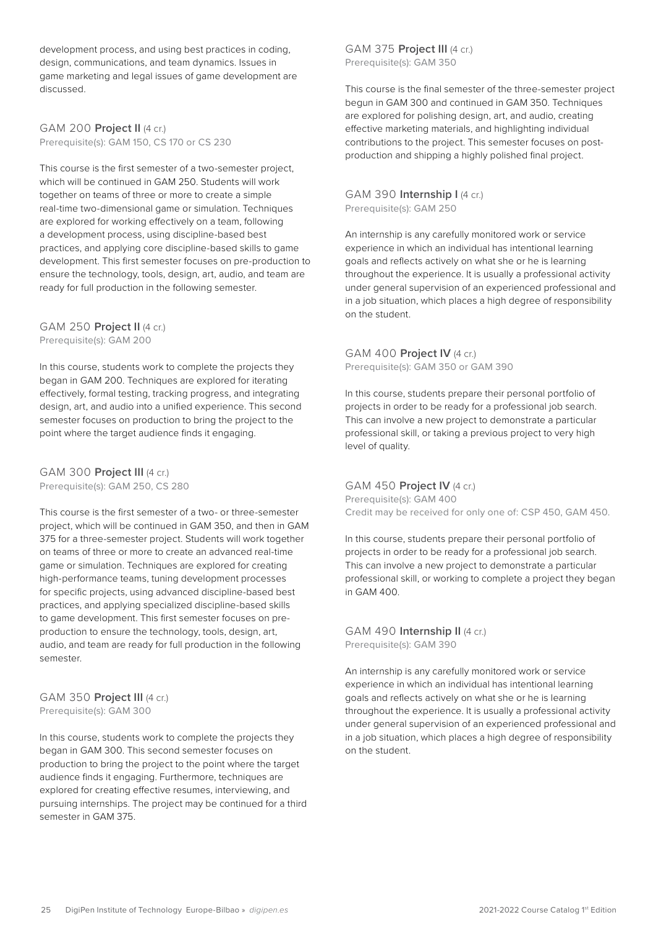development process, and using best practices in coding, design, communications, and team dynamics. Issues in game marketing and legal issues of game development are discussed.

GAM 200 **Project II** (4 cr.) Prerequisite(s): GAM 150, CS 170 or CS 230

This course is the first semester of a two-semester project, which will be continued in GAM 250. Students will work together on teams of three or more to create a simple real-time two-dimensional game or simulation. Techniques are explored for working effectively on a team, following a development process, using discipline-based best practices, and applying core discipline-based skills to game development. This first semester focuses on pre-production to ensure the technology, tools, design, art, audio, and team are ready for full production in the following semester.

GAM 250 **Project II** (4 cr.) Prerequisite(s): GAM 200

In this course, students work to complete the projects they began in GAM 200. Techniques are explored for iterating effectively, formal testing, tracking progress, and integrating design, art, and audio into a unified experience. This second semester focuses on production to bring the project to the point where the target audience finds it engaging.

GAM 300 **Project III** (4 cr.) Prerequisite(s): GAM 250, CS 280

This course is the first semester of a two- or three-semester project, which will be continued in GAM 350, and then in GAM 375 for a three-semester project. Students will work together on teams of three or more to create an advanced real-time game or simulation. Techniques are explored for creating high-performance teams, tuning development processes for specific projects, using advanced discipline-based best practices, and applying specialized discipline-based skills to game development. This first semester focuses on preproduction to ensure the technology, tools, design, art, audio, and team are ready for full production in the following semester.

GAM 350 **Project III** (4 cr.) Prerequisite(s): GAM 300

In this course, students work to complete the projects they began in GAM 300. This second semester focuses on production to bring the project to the point where the target audience finds it engaging. Furthermore, techniques are explored for creating effective resumes, interviewing, and pursuing internships. The project may be continued for a third semester in GAM 375.

GAM 375 **Project III** (4 cr.) Prerequisite(s): GAM 350

This course is the final semester of the three-semester project begun in GAM 300 and continued in GAM 350. Techniques are explored for polishing design, art, and audio, creating effective marketing materials, and highlighting individual contributions to the project. This semester focuses on postproduction and shipping a highly polished final project.

GAM 390 **Internship I** (4 cr.) Prerequisite(s): GAM 250

An internship is any carefully monitored work or service experience in which an individual has intentional learning goals and reflects actively on what she or he is learning throughout the experience. It is usually a professional activity under general supervision of an experienced professional and in a job situation, which places a high degree of responsibility on the student.

GAM 400 **Project IV** (4 cr.) Prerequisite(s): GAM 350 or GAM 390

In this course, students prepare their personal portfolio of projects in order to be ready for a professional job search. This can involve a new project to demonstrate a particular professional skill, or taking a previous project to very high level of quality.

GAM 450 **Project IV** (4 cr.) Prerequisite(s): GAM 400 Credit may be received for only one of: CSP 450, GAM 450.

In this course, students prepare their personal portfolio of projects in order to be ready for a professional job search. This can involve a new project to demonstrate a particular professional skill, or working to complete a project they began in GAM 400.

GAM 490 **Internship II** (4 cr.) Prerequisite(s): GAM 390

An internship is any carefully monitored work or service experience in which an individual has intentional learning goals and reflects actively on what she or he is learning throughout the experience. It is usually a professional activity under general supervision of an experienced professional and in a job situation, which places a high degree of responsibility on the student.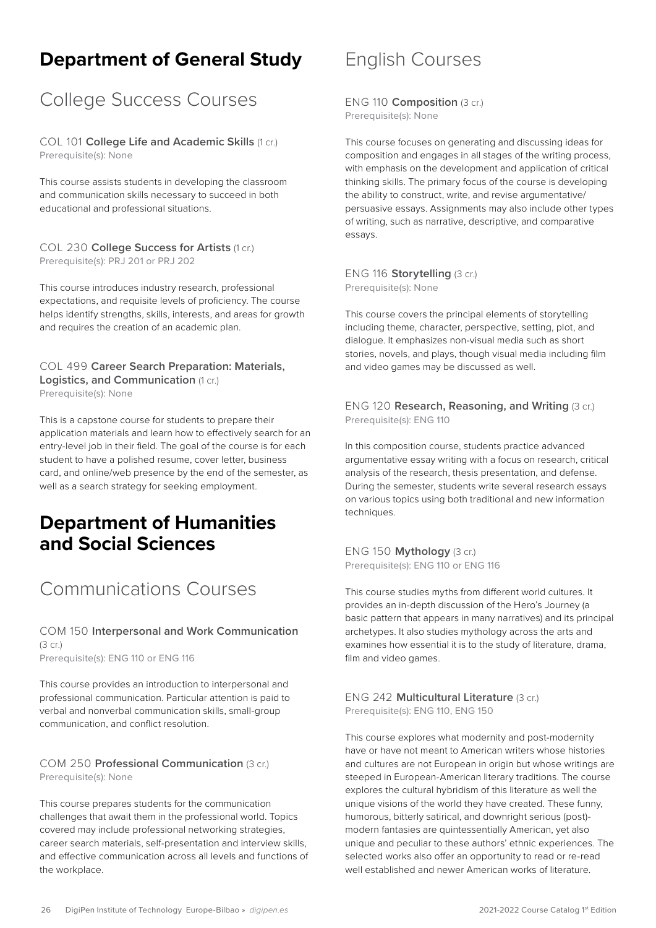### <span id="page-25-0"></span>**Department of General Study**

### College Success Courses

COL 101 **College Life and Academic Skills** (1 cr.) Prerequisite(s): None

This course assists students in developing the classroom and communication skills necessary to succeed in both educational and professional situations.

#### COL 230 **College Success for Artists** (1 cr.) Prerequisite(s): PRJ 201 or PRJ 202

This course introduces industry research, professional expectations, and requisite levels of proficiency. The course helps identify strengths, skills, interests, and areas for growth and requires the creation of an academic plan.

#### COL 499 **Career Search Preparation: Materials, Logistics, and Communication** (1 cr.)

Prerequisite(s): None

This is a capstone course for students to prepare their application materials and learn how to effectively search for an entry-level job in their field. The goal of the course is for each student to have a polished resume, cover letter, business card, and online/web presence by the end of the semester, as well as a search strategy for seeking employment.

### **Department of Humanities and Social Sciences**

# Communications Courses

COM 150 **Interpersonal and Work Communication**  (3 cr.) Prerequisite(s): ENG 110 or ENG 116

This course provides an introduction to interpersonal and professional communication. Particular attention is paid to verbal and nonverbal communication skills, small-group communication, and conflict resolution.

#### COM 250 **Professional Communication** (3 cr.) Prerequisite(s): None

This course prepares students for the communication challenges that await them in the professional world. Topics covered may include professional networking strategies, career search materials, self-presentation and interview skills, and effective communication across all levels and functions of the workplace.

### English Courses

ENG 110 **Composition** (3 cr.) Prerequisite(s): None

This course focuses on generating and discussing ideas for composition and engages in all stages of the writing process, with emphasis on the development and application of critical thinking skills. The primary focus of the course is developing the ability to construct, write, and revise argumentative/ persuasive essays. Assignments may also include other types of writing, such as narrative, descriptive, and comparative essays.

ENG 116 **Storytelling** (3 cr.) Prerequisite(s): None

This course covers the principal elements of storytelling including theme, character, perspective, setting, plot, and dialogue. It emphasizes non-visual media such as short stories, novels, and plays, though visual media including film and video games may be discussed as well.

ENG 120 **Research, Reasoning, and Writing** (3 cr.) Prerequisite(s): ENG 110

In this composition course, students practice advanced argumentative essay writing with a focus on research, critical analysis of the research, thesis presentation, and defense. During the semester, students write several research essays on various topics using both traditional and new information techniques.

ENG 150 **Mythology** (3 cr.) Prerequisite(s): ENG 110 or ENG 116

This course studies myths from different world cultures. It provides an in-depth discussion of the Hero's Journey (a basic pattern that appears in many narratives) and its principal archetypes. It also studies mythology across the arts and examines how essential it is to the study of literature, drama, film and video games.

ENG 242 **Multicultural Literature** (3 cr.) Prerequisite(s): ENG 110, ENG 150

This course explores what modernity and post-modernity have or have not meant to American writers whose histories and cultures are not European in origin but whose writings are steeped in European-American literary traditions. The course explores the cultural hybridism of this literature as well the unique visions of the world they have created. These funny, humorous, bitterly satirical, and downright serious (post) modern fantasies are quintessentially American, yet also unique and peculiar to these authors' ethnic experiences. The selected works also offer an opportunity to read or re-read well established and newer American works of literature.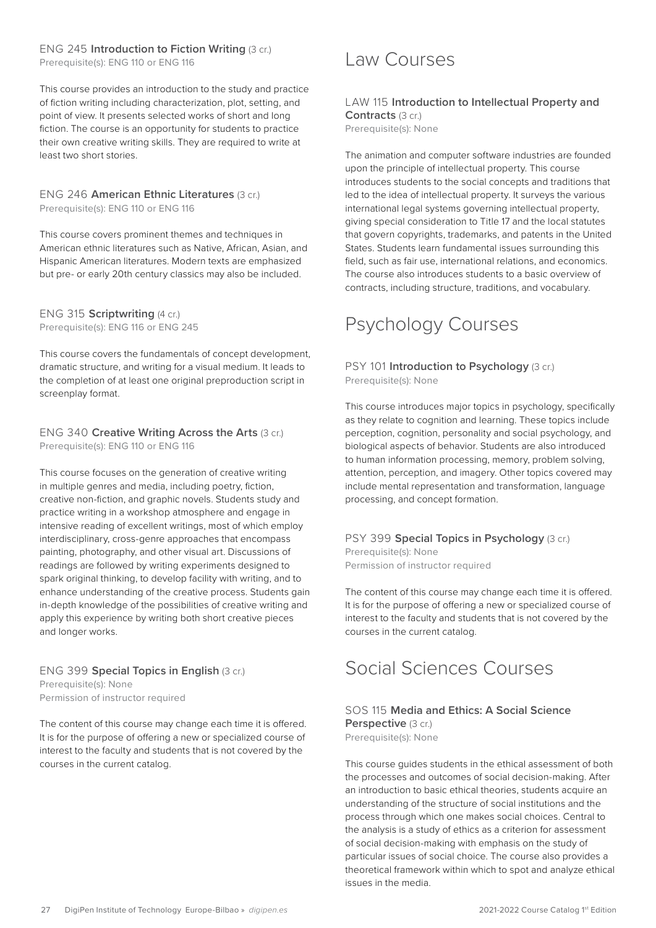#### <span id="page-26-0"></span>ENG 245 **Introduction to Fiction Writing** (3 cr.) Prerequisite(s): ENG 110 or ENG 116

This course provides an introduction to the study and practice of fiction writing including characterization, plot, setting, and point of view. It presents selected works of short and long fiction. The course is an opportunity for students to practice their own creative writing skills. They are required to write at least two short stories.

#### ENG 246 **American Ethnic Literatures** (3 cr.) Prerequisite(s): ENG 110 or ENG 116

This course covers prominent themes and techniques in American ethnic literatures such as Native, African, Asian, and Hispanic American literatures. Modern texts are emphasized but pre- or early 20th century classics may also be included.

ENG 315 **Scriptwriting** (4 cr.) Prerequisite(s): ENG 116 or ENG 245

This course covers the fundamentals of concept development, dramatic structure, and writing for a visual medium. It leads to the completion of at least one original preproduction script in screenplay format.

#### ENG 340 **Creative Writing Across the Arts** (3 cr.) Prerequisite(s): ENG 110 or ENG 116

This course focuses on the generation of creative writing in multiple genres and media, including poetry, fiction, creative non-fiction, and graphic novels. Students study and practice writing in a workshop atmosphere and engage in intensive reading of excellent writings, most of which employ interdisciplinary, cross-genre approaches that encompass painting, photography, and other visual art. Discussions of readings are followed by writing experiments designed to spark original thinking, to develop facility with writing, and to enhance understanding of the creative process. Students gain in-depth knowledge of the possibilities of creative writing and apply this experience by writing both short creative pieces and longer works.

#### ENG 399 **Special Topics in English** (3 cr.)

Prerequisite(s): None Permission of instructor required

The content of this course may change each time it is offered. It is for the purpose of offering a new or specialized course of interest to the faculty and students that is not covered by the courses in the current catalog.

### Law Courses

#### LAW 115 **Introduction to Intellectual Property and Contracts** (3 cr.) Prerequisite(s): None

The animation and computer software industries are founded upon the principle of intellectual property. This course introduces students to the social concepts and traditions that led to the idea of intellectual property. It surveys the various international legal systems governing intellectual property, giving special consideration to Title 17 and the local statutes that govern copyrights, trademarks, and patents in the United States. Students learn fundamental issues surrounding this field, such as fair use, international relations, and economics. The course also introduces students to a basic overview of contracts, including structure, traditions, and vocabulary.

# Psychology Courses

#### PSY 101 **Introduction to Psychology** (3 cr.) Prerequisite(s): None

This course introduces major topics in psychology, specifically as they relate to cognition and learning. These topics include perception, cognition, personality and social psychology, and biological aspects of behavior. Students are also introduced to human information processing, memory, problem solving, attention, perception, and imagery. Other topics covered may include mental representation and transformation, language processing, and concept formation.

PSY 399 **Special Topics in Psychology** (3 cr.) Prerequisite(s): None Permission of instructor required

The content of this course may change each time it is offered. It is for the purpose of offering a new or specialized course of interest to the faculty and students that is not covered by the courses in the current catalog.

# Social Sciences Courses

#### SOS 115 **Media and Ethics: A Social Science Perspective** (3 cr.) Prerequisite(s): None

This course guides students in the ethical assessment of both the processes and outcomes of social decision-making. After an introduction to basic ethical theories, students acquire an understanding of the structure of social institutions and the process through which one makes social choices. Central to the analysis is a study of ethics as a criterion for assessment of social decision-making with emphasis on the study of particular issues of social choice. The course also provides a theoretical framework within which to spot and analyze ethical issues in the media.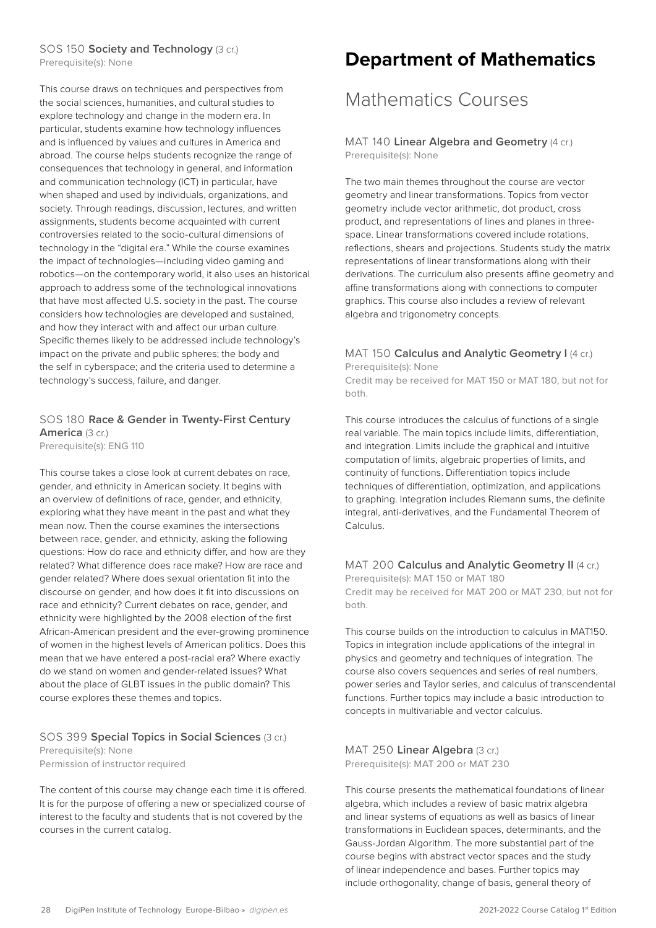#### <span id="page-27-0"></span>SOS 150 **Society and Technology** (3 cr.)

Prerequisite(s): None

This course draws on techniques and perspectives from the social sciences, humanities, and cultural studies to explore technology and change in the modern era. In particular, students examine how technology influences and is influenced by values and cultures in America and abroad. The course helps students recognize the range of consequences that technology in general, and information and communication technology (ICT) in particular, have when shaped and used by individuals, organizations, and society. Through readings, discussion, lectures, and written assignments, students become acquainted with current controversies related to the socio-cultural dimensions of technology in the "digital era." While the course examines the impact of technologies—including video gaming and robotics—on the contemporary world, it also uses an historical approach to address some of the technological innovations that have most affected U.S. society in the past. The course considers how technologies are developed and sustained, and how they interact with and affect our urban culture. Specific themes likely to be addressed include technology's impact on the private and public spheres; the body and the self in cyberspace; and the criteria used to determine a technology's success, failure, and danger.

#### SOS 180 **Race & Gender in Twenty-First Century America** (3 cr.)

Prerequisite(s): ENG 110

This course takes a close look at current debates on race, gender, and ethnicity in American society. It begins with an overview of definitions of race, gender, and ethnicity, exploring what they have meant in the past and what they mean now. Then the course examines the intersections between race, gender, and ethnicity, asking the following questions: How do race and ethnicity differ, and how are they related? What difference does race make? How are race and gender related? Where does sexual orientation fit into the discourse on gender, and how does it fit into discussions on race and ethnicity? Current debates on race, gender, and ethnicity were highlighted by the 2008 election of the first African-American president and the ever-growing prominence of women in the highest levels of American politics. Does this mean that we have entered a post-racial era? Where exactly do we stand on women and gender-related issues? What about the place of GLBT issues in the public domain? This course explores these themes and topics.

#### SOS 399 **Special Topics in Social Sciences** (3 cr.) Prerequisite(s): None

Permission of instructor required

The content of this course may change each time it is offered. It is for the purpose of offering a new or specialized course of interest to the faculty and students that is not covered by the courses in the current catalog.

### **Department of Mathematics**

### Mathematics Courses

MAT 140 **Linear Algebra and Geometry** (4 cr.) Prerequisite(s): None

The two main themes throughout the course are vector geometry and linear transformations. Topics from vector geometry include vector arithmetic, dot product, cross product, and representations of lines and planes in threespace. Linear transformations covered include rotations, reflections, shears and projections. Students study the matrix representations of linear transformations along with their derivations. The curriculum also presents affine geometry and affine transformations along with connections to computer graphics. This course also includes a review of relevant algebra and trigonometry concepts.

#### MAT 150 **Calculus and Analytic Geometry I** (4 cr.) Prerequisite(s): None

Credit may be received for MAT 150 or MAT 180, but not for both.

This course introduces the calculus of functions of a single real variable. The main topics include limits, differentiation, and integration. Limits include the graphical and intuitive computation of limits, algebraic properties of limits, and continuity of functions. Differentiation topics include techniques of differentiation, optimization, and applications to graphing. Integration includes Riemann sums, the definite integral, anti-derivatives, and the Fundamental Theorem of Calculus.

#### MAT 200 **Calculus and Analytic Geometry II** (4 cr.)

Prerequisite(s): MAT 150 or MAT 180 Credit may be received for MAT 200 or MAT 230, but not for both.

This course builds on the introduction to calculus in MAT150. Topics in integration include applications of the integral in physics and geometry and techniques of integration. The course also covers sequences and series of real numbers, power series and Taylor series, and calculus of transcendental functions. Further topics may include a basic introduction to concepts in multivariable and vector calculus.

#### MAT 250 **Linear Algebra** (3 cr.) Prerequisite(s): MAT 200 or MAT 230

This course presents the mathematical foundations of linear algebra, which includes a review of basic matrix algebra and linear systems of equations as well as basics of linear transformations in Euclidean spaces, determinants, and the Gauss-Jordan Algorithm. The more substantial part of the course begins with abstract vector spaces and the study of linear independence and bases. Further topics may include orthogonality, change of basis, general theory of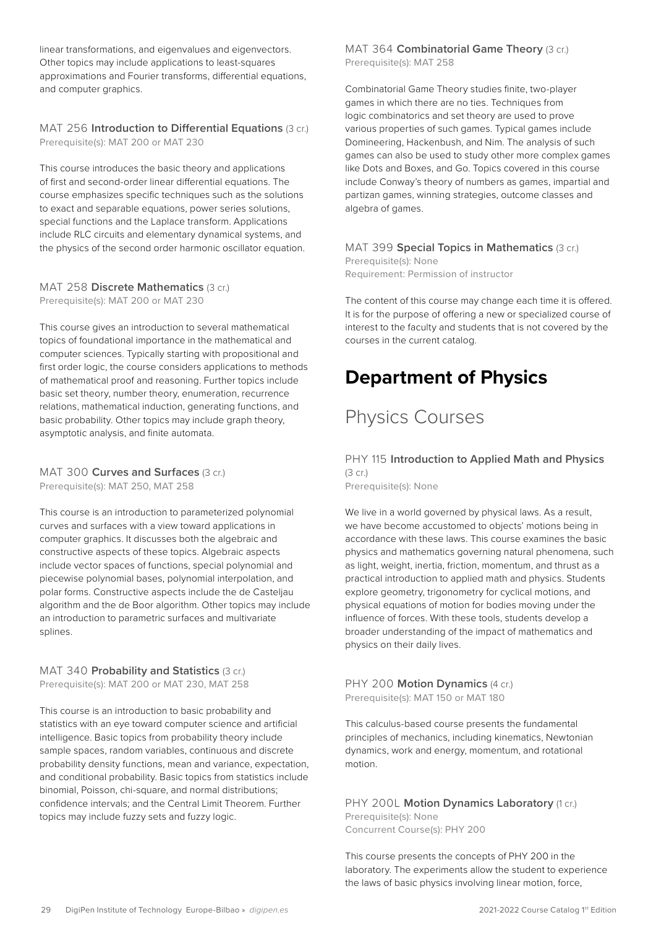<span id="page-28-0"></span>linear transformations, and eigenvalues and eigenvectors. Other topics may include applications to least-squares approximations and Fourier transforms, differential equations, and computer graphics.

#### MAT 256 **Introduction to Differential Equations** (3 cr.) Prerequisite(s): MAT 200 or MAT 230

This course introduces the basic theory and applications of first and second-order linear differential equations. The course emphasizes specific techniques such as the solutions to exact and separable equations, power series solutions, special functions and the Laplace transform. Applications include RLC circuits and elementary dynamical systems, and the physics of the second order harmonic oscillator equation.

#### MAT 258 **Discrete Mathematics** (3 cr.) Prerequisite(s): MAT 200 or MAT 230

This course gives an introduction to several mathematical topics of foundational importance in the mathematical and computer sciences. Typically starting with propositional and first order logic, the course considers applications to methods of mathematical proof and reasoning. Further topics include basic set theory, number theory, enumeration, recurrence relations, mathematical induction, generating functions, and basic probability. Other topics may include graph theory, asymptotic analysis, and finite automata.

#### MAT 300 **Curves and Surfaces** (3 cr.) Prerequisite(s): MAT 250, MAT 258

This course is an introduction to parameterized polynomial curves and surfaces with a view toward applications in computer graphics. It discusses both the algebraic and constructive aspects of these topics. Algebraic aspects include vector spaces of functions, special polynomial and piecewise polynomial bases, polynomial interpolation, and polar forms. Constructive aspects include the de Casteljau algorithm and the de Boor algorithm. Other topics may include an introduction to parametric surfaces and multivariate splines.

#### MAT 340 **Probability and Statistics** (3 cr.) Prerequisite(s): MAT 200 or MAT 230, MAT 258

This course is an introduction to basic probability and statistics with an eye toward computer science and artificial intelligence. Basic topics from probability theory include sample spaces, random variables, continuous and discrete probability density functions, mean and variance, expectation, and conditional probability. Basic topics from statistics include binomial, Poisson, chi-square, and normal distributions; confidence intervals; and the Central Limit Theorem. Further topics may include fuzzy sets and fuzzy logic.

#### MAT 364 **Combinatorial Game Theory** (3 cr.) Prerequisite(s): MAT 258

Combinatorial Game Theory studies finite, two-player games in which there are no ties. Techniques from logic combinatorics and set theory are used to prove various properties of such games. Typical games include Domineering, Hackenbush, and Nim. The analysis of such games can also be used to study other more complex games like Dots and Boxes, and Go. Topics covered in this course include Conway's theory of numbers as games, impartial and partizan games, winning strategies, outcome classes and algebra of games.

#### MAT 399 **Special Topics in Mathematics** (3 cr.)

Prerequisite(s): None Requirement: Permission of instructor

The content of this course may change each time it is offered. It is for the purpose of offering a new or specialized course of interest to the faculty and students that is not covered by the courses in the current catalog.

### **Department of Physics**

# Physics Courses

#### PHY 115 **Introduction to Applied Math and Physics**  (3 cr.)

Prerequisite(s): None

We live in a world governed by physical laws. As a result, we have become accustomed to objects' motions being in accordance with these laws. This course examines the basic physics and mathematics governing natural phenomena, such as light, weight, inertia, friction, momentum, and thrust as a practical introduction to applied math and physics. Students explore geometry, trigonometry for cyclical motions, and physical equations of motion for bodies moving under the influence of forces. With these tools, students develop a broader understanding of the impact of mathematics and physics on their daily lives.

PHY 200 **Motion Dynamics** (4 cr.) Prerequisite(s): MAT 150 or MAT 180

This calculus-based course presents the fundamental principles of mechanics, including kinematics, Newtonian dynamics, work and energy, momentum, and rotational motion.

PHY 200L Motion Dynamics Laboratory (1 cr.) Prerequisite(s): None Concurrent Course(s): PHY 200

This course presents the concepts of PHY 200 in the laboratory. The experiments allow the student to experience the laws of basic physics involving linear motion, force,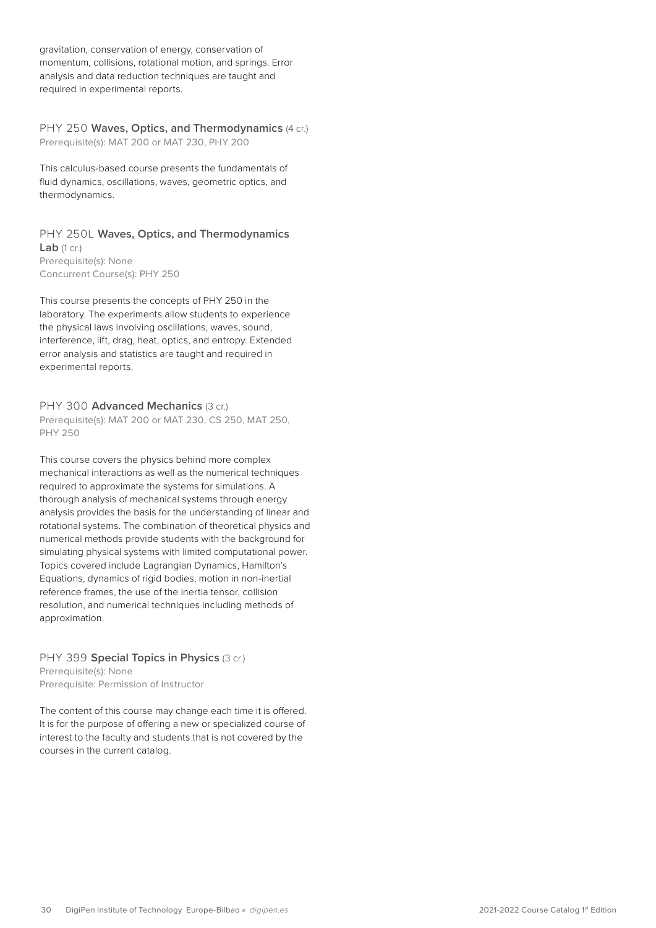gravitation, conservation of energy, conservation of momentum, collisions, rotational motion, and springs. Error analysis and data reduction techniques are taught and required in experimental reports.

PHY 250 **Waves, Optics, and Thermodynamics** (4 cr.) Prerequisite(s): MAT 200 or MAT 230, PHY 200

This calculus-based course presents the fundamentals of fluid dynamics, oscillations, waves, geometric optics, and thermodynamics.

#### PHY 250L **Waves, Optics, and Thermodynamics Lab** (1 cr.) Prerequisite(s): None

Concurrent Course(s): PHY 250

This course presents the concepts of PHY 250 in the laboratory. The experiments allow students to experience the physical laws involving oscillations, waves, sound, interference, lift, drag, heat, optics, and entropy. Extended error analysis and statistics are taught and required in experimental reports.

#### PHY 300 **Advanced Mechanics** (3 cr.)

Prerequisite(s): MAT 200 or MAT 230, CS 250, MAT 250, PHY 250

This course covers the physics behind more complex mechanical interactions as well as the numerical techniques required to approximate the systems for simulations. A thorough analysis of mechanical systems through energy analysis provides the basis for the understanding of linear and rotational systems. The combination of theoretical physics and numerical methods provide students with the background for simulating physical systems with limited computational power. Topics covered include Lagrangian Dynamics, Hamilton's Equations, dynamics of rigid bodies, motion in non-inertial reference frames, the use of the inertia tensor, collision resolution, and numerical techniques including methods of approximation.

#### PHY 399 **Special Topics in Physics** (3 cr.) Prerequisite(s): None Prerequisite: Permission of Instructor

The content of this course may change each time it is offered. It is for the purpose of offering a new or specialized course of interest to the faculty and students that is not covered by the courses in the current catalog.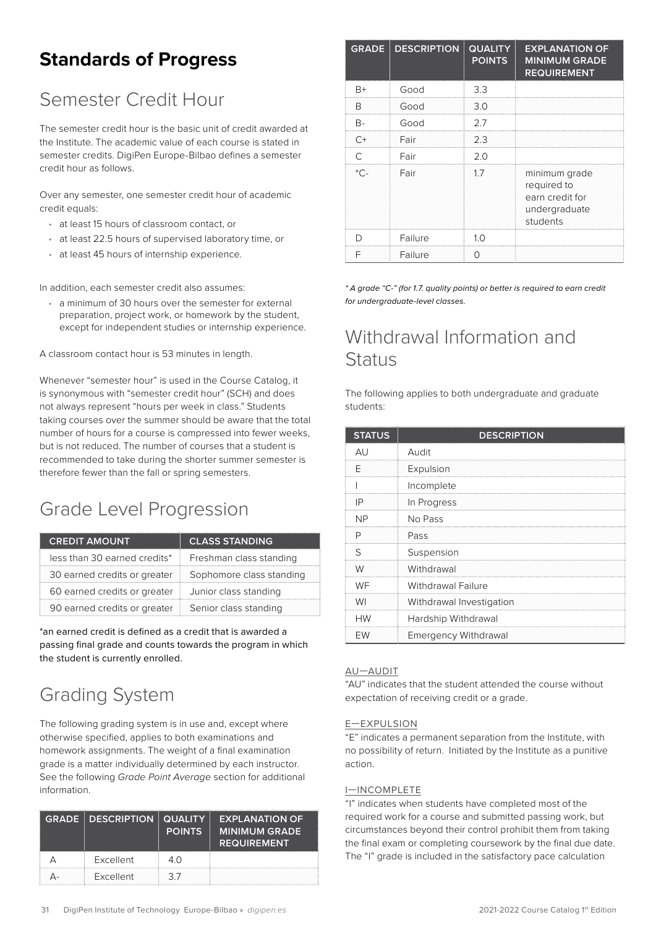# <span id="page-30-0"></span>**Standards of Progress**

# Semester Credit Hour

The semester credit hour is the basic unit of credit awarded at the Institute. The academic value of each course is stated in semester credits. DigiPen Europe-Bilbao defines a semester credit hour as follows.

Over any semester, one semester credit hour of academic credit equals:

- at least 15 hours of classroom contact, or
- at least 22.5 hours of supervised laboratory time, or
- at least 45 hours of internship experience.

In addition, each semester credit also assumes:

• a minimum of 30 hours over the semester for external preparation, project work, or homework by the student, except for independent studies or internship experience.

A classroom contact hour is 53 minutes in length.

Whenever "semester hour" is used in the Course Catalog, it is synonymous with "semester credit hour" (SCH) and does not always represent "hours per week in class." Students taking courses over the summer should be aware that the total number of hours for a course is compressed into fewer weeks, but is not reduced. The number of courses that a student is recommended to take during the shorter summer semester is therefore fewer than the fall or spring semesters.

# Grade Level Progression

| <b>CREDIT AMOUNT</b>         | <b>CLASS STANDING</b>    |
|------------------------------|--------------------------|
| less than 30 earned credits* | Freshman class standing  |
| 30 earned credits or greater | Sophomore class standing |
| 60 earned credits or greater | Junior class standing    |
| 90 earned credits or greater | Senior class standing    |

\*an earned credit is defined as a credit that is awarded a passing final grade and counts towards the program in which the student is currently enrolled.

# Grading System

The following grading system is in use and, except where otherwise specified, applies to both examinations and homework assignments. The weight of a final examination grade is a matter individually determined by each instructor. See the following *Grade Point Average* section for additional information.

| <b>GRADE DESCRIPTION QUALITY</b> | <b>POINTS</b> | <b>EXPLANATION OF</b><br><b>MINIMUM GRADE</b><br><b>REQUIREMENT</b> |
|----------------------------------|---------------|---------------------------------------------------------------------|
| Excellent                        | 40            |                                                                     |
| Excellent                        | 37            |                                                                     |

|      | <b>GRADE DESCRIPTION</b> | <b>QUALITY</b><br><b>POINTS</b> | <b>EXPLANATION OF</b><br><b>MINIMUM GRADE</b><br><b>REQUIREMENT</b>          |
|------|--------------------------|---------------------------------|------------------------------------------------------------------------------|
| $B+$ | Good                     | 3.3                             |                                                                              |
| R    | Good                     | 3.0                             |                                                                              |
| R-   | Good                     | 27                              |                                                                              |
| $C+$ | Fair                     | 2.3                             |                                                                              |
|      | Fair                     | 2.0                             |                                                                              |
| -^*  | Fair                     | 17                              | minimum grade<br>required to<br>earn credit for<br>undergraduate<br>students |
|      | Failure                  | 1 <sub>O</sub>                  |                                                                              |
|      | Failure                  |                                 |                                                                              |

*\* A grade "C-" (for 1.7. quality points) or better is required to earn credit for undergraduate-level classes.*

### Withdrawal Information and **Status**

The following applies to both undergraduate and graduate students:

| <b>STATUS</b> | <b>DESCRIPTION</b>          |
|---------------|-----------------------------|
| AU            | Audit                       |
| F             | Expulsion                   |
|               | Incomplete                  |
| ΙP            | In Progress                 |
| <b>NP</b>     | No Pass                     |
| P             | Pass                        |
| ς             | Suspension                  |
| W             | Withdrawal                  |
| WF            | Withdrawal Failure          |
| WI            | Withdrawal Investigation    |
| <b>HW</b>     | Hardship Withdrawal         |
| EW            | <b>Emergency Withdrawal</b> |

#### AU—AUDIT

"AU" indicates that the student attended the course without expectation of receiving credit or a grade.

#### E—EXPULSION

"E" indicates a permanent separation from the Institute, with no possibility of return. Initiated by the Institute as a punitive action.

#### I—INCOMPLETE

"I" indicates when students have completed most of the required work for a course and submitted passing work, but circumstances beyond their control prohibit them from taking the final exam or completing coursework by the final due date. The "I" grade is included in the satisfactory pace calculation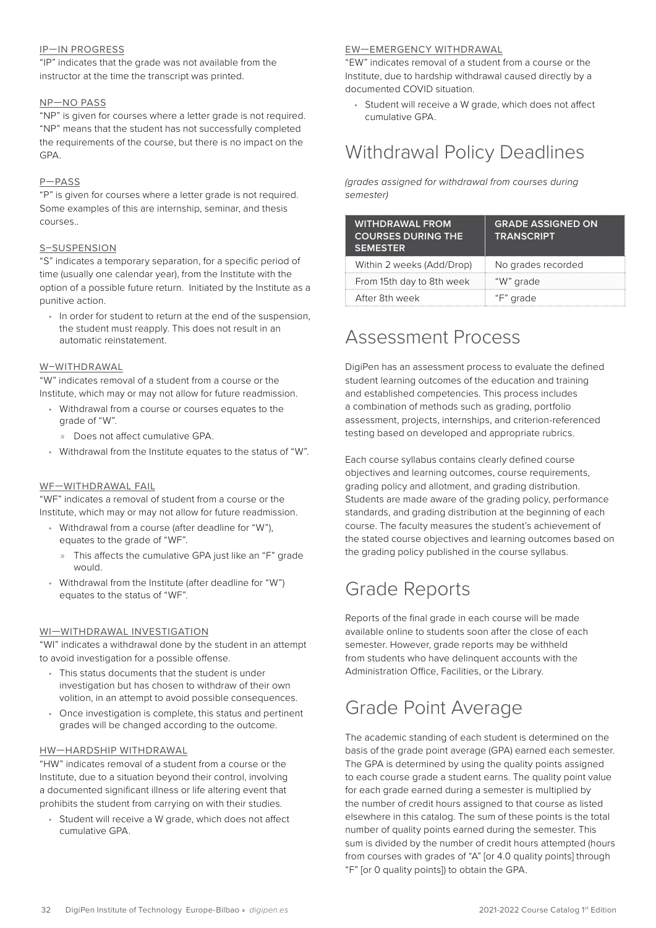#### <span id="page-31-0"></span>IP—IN PROGRESS

"IP" indicates that the grade was not available from the instructor at the time the transcript was printed.

#### NP—NO PASS

"NP" is given for courses where a letter grade is not required. "NP" means that the student has not successfully completed the requirements of the course, but there is no impact on the GPA.

#### P—PASS

"P" is given for courses where a letter grade is not required. Some examples of this are internship, seminar, and thesis courses..

#### S–SUSPENSION

"S" indicates a temporary separation, for a specific period of time (usually one calendar year), from the Institute with the option of a possible future return. Initiated by the Institute as a punitive action.

• In order for student to return at the end of the suspension, the student must reapply. This does not result in an automatic reinstatement.

#### W–WITHDRAWAL

"W" indicates removal of a student from a course or the Institute, which may or may not allow for future readmission.

- Withdrawal from a course or courses equates to the grade of "W".
	- » Does not affect cumulative GPA.
- Withdrawal from the Institute equates to the status of "W".

#### WF—WITHDRAWAL FAIL

"WF" indicates a removal of student from a course or the Institute, which may or may not allow for future readmission.

- Withdrawal from a course (after deadline for "W"), equates to the grade of "WF".
	- » This affects the cumulative GPA just like an "F" grade would.
- Withdrawal from the Institute (after deadline for "W") equates to the status of "WF".

#### WI—WITHDRAWAL INVESTIGATION

"WI" indicates a withdrawal done by the student in an attempt to avoid investigation for a possible offense.

- This status documents that the student is under investigation but has chosen to withdraw of their own volition, in an attempt to avoid possible consequences.
- Once investigation is complete, this status and pertinent grades will be changed according to the outcome.

#### HW—HARDSHIP WITHDRAWAL

"HW" indicates removal of a student from a course or the Institute, due to a situation beyond their control, involving a documented significant illness or life altering event that prohibits the student from carrying on with their studies.

• Student will receive a W grade, which does not affect cumulative GPA.

#### EW—EMERGENCY WITHDRAWAL

"EW" indicates removal of a student from a course or the Institute, due to hardship withdrawal caused directly by a documented COVID situation.

Student will receive a W grade, which does not affect cumulative GPA.

### Withdrawal Policy Deadlines

*(grades assigned for withdrawal from courses during semester)*

| <b>WITHDRAWAL FROM</b><br><b>COURSES DURING THE</b><br><b>SEMESTER</b> | <b>GRADE ASSIGNED ON</b><br><b>TRANSCRIPT</b> |
|------------------------------------------------------------------------|-----------------------------------------------|
| Within 2 weeks (Add/Drop)                                              | No grades recorded                            |
| From 15th day to 8th week                                              | "W" grade                                     |
| After 8th week                                                         | "F" grade                                     |

### Assessment Process

DigiPen has an assessment process to evaluate the defined student learning outcomes of the education and training and established competencies. This process includes a combination of methods such as grading, portfolio assessment, projects, internships, and criterion-referenced testing based on developed and appropriate rubrics.

Each course syllabus contains clearly defined course objectives and learning outcomes, course requirements, grading policy and allotment, and grading distribution. Students are made aware of the grading policy, performance standards, and grading distribution at the beginning of each course. The faculty measures the student's achievement of the stated course objectives and learning outcomes based on the grading policy published in the course syllabus.

### Grade Reports

Reports of the final grade in each course will be made available online to students soon after the close of each semester. However, grade reports may be withheld from students who have delinquent accounts with the Administration Office, Facilities, or the Library.

### Grade Point Average

The academic standing of each student is determined on the basis of the grade point average (GPA) earned each semester. The GPA is determined by using the quality points assigned to each course grade a student earns. The quality point value for each grade earned during a semester is multiplied by the number of credit hours assigned to that course as listed elsewhere in this catalog. The sum of these points is the total number of quality points earned during the semester. This sum is divided by the number of credit hours attempted (hours from courses with grades of "A" [or 4.0 quality points] through "F" [or 0 quality points]) to obtain the GPA.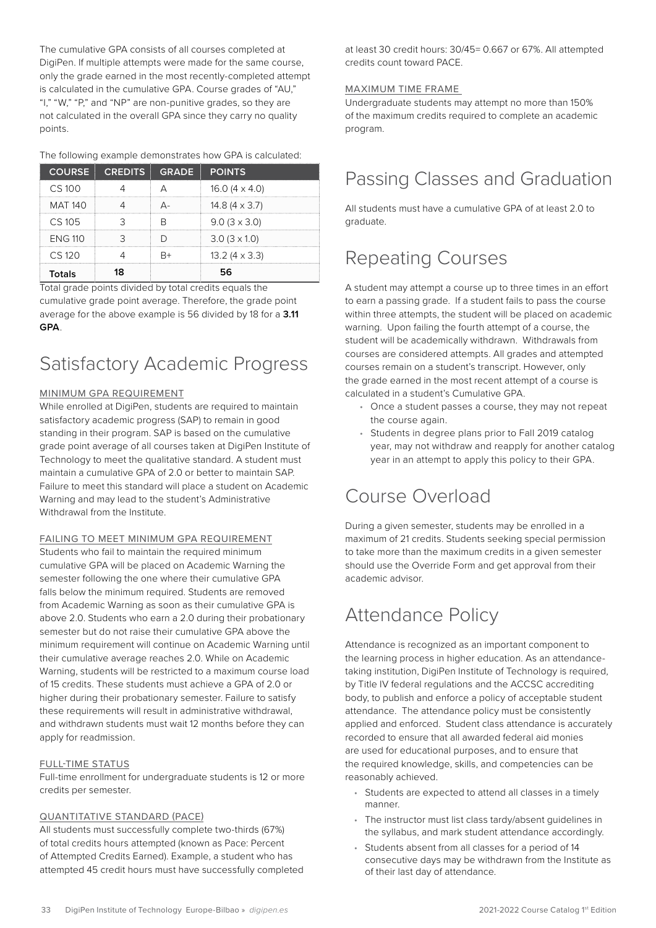<span id="page-32-0"></span>The cumulative GPA consists of all courses completed at DigiPen. If multiple attempts were made for the same course, only the grade earned in the most recently-completed attempt is calculated in the cumulative GPA. Course grades of "AU," "I," "W," "P," and "NP" are non-punitive grades, so they are not calculated in the overall GPA since they carry no quality points.

#### The following example demonstrates how GPA is calculated:

|                | COURSE CREDITS GRADE POINTS |                       |
|----------------|-----------------------------|-----------------------|
| $CS$ 100       |                             | 16.0 $(4 \times 4.0)$ |
| <b>MAT 140</b> |                             | 14.8 $(4 \times 3.7)$ |
| $CS$ 105       |                             | $9.0(3 \times 3.0)$   |
| <b>FNG 110</b> |                             | $3.0(3 \times 1.0)$   |
| $CS$ 120       |                             | $13.2(4 \times 3.3)$  |
| Totals         |                             |                       |

Total grade points divided by total credits equals the cumulative grade point average. Therefore, the grade point average for the above example is 56 divided by 18 for a **3.11 GPA**.

### Satisfactory Academic Progress

#### MINIMUM GPA REQUIREMENT

While enrolled at DigiPen, students are required to maintain satisfactory academic progress (SAP) to remain in good standing in their program. SAP is based on the cumulative grade point average of all courses taken at DigiPen Institute of Technology to meet the qualitative standard. A student must maintain a cumulative GPA of 2.0 or better to maintain SAP. Failure to meet this standard will place a student on Academic Warning and may lead to the student's Administrative Withdrawal from the Institute

#### FAILING TO MEET MINIMUM GPA REQUIREMENT

Students who fail to maintain the required minimum cumulative GPA will be placed on Academic Warning the semester following the one where their cumulative GPA falls below the minimum required. Students are removed from Academic Warning as soon as their cumulative GPA is above 2.0. Students who earn a 2.0 during their probationary semester but do not raise their cumulative GPA above the minimum requirement will continue on Academic Warning until their cumulative average reaches 2.0. While on Academic Warning, students will be restricted to a maximum course load of 15 credits. These students must achieve a GPA of 2.0 or higher during their probationary semester. Failure to satisfy these requirements will result in administrative withdrawal, and withdrawn students must wait 12 months before they can apply for readmission.

#### FULL-TIME STATUS

Full-time enrollment for undergraduate students is 12 or more credits per semester.

#### QUANTITATIVE STANDARD (PACE)

All students must successfully complete two-thirds (67%) of total credits hours attempted (known as Pace: Percent of Attempted Credits Earned). Example, a student who has attempted 45 credit hours must have successfully completed at least 30 credit hours: 30/45= 0.667 or 67%. All attempted credits count toward PACE.

#### MAXIMUM TIME FRAME

Undergraduate students may attempt no more than 150% of the maximum credits required to complete an academic program.

### Passing Classes and Graduation

All students must have a cumulative GPA of at least 2.0 to graduate.

### Repeating Courses

A student may attempt a course up to three times in an effort to earn a passing grade. If a student fails to pass the course within three attempts, the student will be placed on academic warning. Upon failing the fourth attempt of a course, the student will be academically withdrawn. Withdrawals from courses are considered attempts. All grades and attempted courses remain on a student's transcript. However, only the grade earned in the most recent attempt of a course is calculated in a student's Cumulative GPA.

- Once a student passes a course, they may not repeat the course again.
- Students in degree plans prior to Fall 2019 catalog year, may not withdraw and reapply for another catalog year in an attempt to apply this policy to their GPA.

### Course Overload

During a given semester, students may be enrolled in a maximum of 21 credits. Students seeking special permission to take more than the maximum credits in a given semester should use the Override Form and get approval from their academic advisor.

### Attendance Policy

Attendance is recognized as an important component to the learning process in higher education. As an attendancetaking institution, DigiPen Institute of Technology is required, by Title IV federal regulations and the ACCSC accrediting body, to publish and enforce a policy of acceptable student attendance. The attendance policy must be consistently applied and enforced. Student class attendance is accurately recorded to ensure that all awarded federal aid monies are used for educational purposes, and to ensure that the required knowledge, skills, and competencies can be reasonably achieved.

- Students are expected to attend all classes in a timely manner.
- The instructor must list class tardy/absent guidelines in the syllabus, and mark student attendance accordingly.
- Students absent from all classes for a period of 14 consecutive days may be withdrawn from the Institute as of their last day of attendance.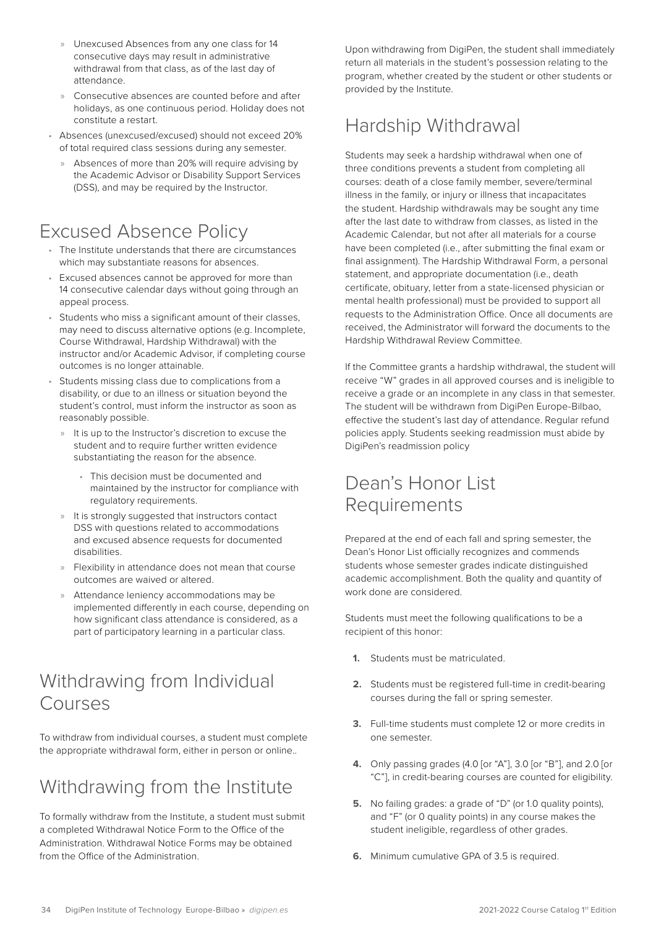- <span id="page-33-0"></span>» Unexcused Absences from any one class for 14 consecutive days may result in administrative withdrawal from that class, as of the last day of attendance.
- Consecutive absences are counted before and after holidays, as one continuous period. Holiday does not constitute a restart.
- Absences (unexcused/excused) should not exceed 20% of total required class sessions during any semester.
	- » Absences of more than 20% will require advising by the Academic Advisor or Disability Support Services (DSS), and may be required by the Instructor.

# Excused Absence Policy

- The Institute understands that there are circumstances which may substantiate reasons for absences.
- Excused absences cannot be approved for more than 14 consecutive calendar days without going through an appeal process.
- Students who miss a significant amount of their classes, may need to discuss alternative options (e.g. Incomplete, Course Withdrawal, Hardship Withdrawal) with the instructor and/or Academic Advisor, if completing course outcomes is no longer attainable.
- Students missing class due to complications from a disability, or due to an illness or situation beyond the student's control, must inform the instructor as soon as reasonably possible.
	- » It is up to the Instructor's discretion to excuse the student and to require further written evidence substantiating the reason for the absence.
		- This decision must be documented and maintained by the instructor for compliance with regulatory requirements.
	- » It is strongly suggested that instructors contact DSS with questions related to accommodations and excused absence requests for documented disabilities.
	- » Flexibility in attendance does not mean that course outcomes are waived or altered.
	- » Attendance leniency accommodations may be implemented differently in each course, depending on how significant class attendance is considered, as a part of participatory learning in a particular class.

# Withdrawing from Individual Courses

To withdraw from individual courses, a student must complete the appropriate withdrawal form, either in person or online..

# Withdrawing from the Institute

To formally withdraw from the Institute, a student must submit a completed Withdrawal Notice Form to the Office of the Administration. Withdrawal Notice Forms may be obtained from the Office of the Administration.

Upon withdrawing from DigiPen, the student shall immediately return all materials in the student's possession relating to the program, whether created by the student or other students or provided by the Institute.

# Hardship Withdrawal

Students may seek a hardship withdrawal when one of three conditions prevents a student from completing all courses: death of a close family member, severe/terminal illness in the family, or injury or illness that incapacitates the student. Hardship withdrawals may be sought any time after the last date to withdraw from classes, as listed in the Academic Calendar, but not after all materials for a course have been completed (i.e., after submitting the final exam or final assignment). The Hardship Withdrawal Form, a personal statement, and appropriate documentation (i.e., death certificate, obituary, letter from a state-licensed physician or mental health professional) must be provided to support all requests to the Administration Office. Once all documents are received, the Administrator will forward the documents to the Hardship Withdrawal Review Committee.

If the Committee grants a hardship withdrawal, the student will receive "W" grades in all approved courses and is ineligible to receive a grade or an incomplete in any class in that semester. The student will be withdrawn from DigiPen Europe-Bilbao, effective the student's last day of attendance. Regular refund policies apply. Students seeking readmission must abide by DigiPen's readmission policy

### Dean's Honor List Requirements

Prepared at the end of each fall and spring semester, the Dean's Honor List officially recognizes and commends students whose semester grades indicate distinguished academic accomplishment. Both the quality and quantity of work done are considered.

Students must meet the following qualifications to be a recipient of this honor:

- **1.** Students must be matriculated.
- **2.** Students must be registered full-time in credit-bearing courses during the fall or spring semester.
- **3.** Full-time students must complete 12 or more credits in one semester.
- **4.** Only passing grades (4.0 [or "A"], 3.0 [or "B"], and 2.0 [or "C"], in credit-bearing courses are counted for eligibility.
- **5.** No failing grades: a grade of "D" (or 1.0 quality points), and "F" (or 0 quality points) in any course makes the student ineligible, regardless of other grades.
- **6.** Minimum cumulative GPA of 3.5 is required.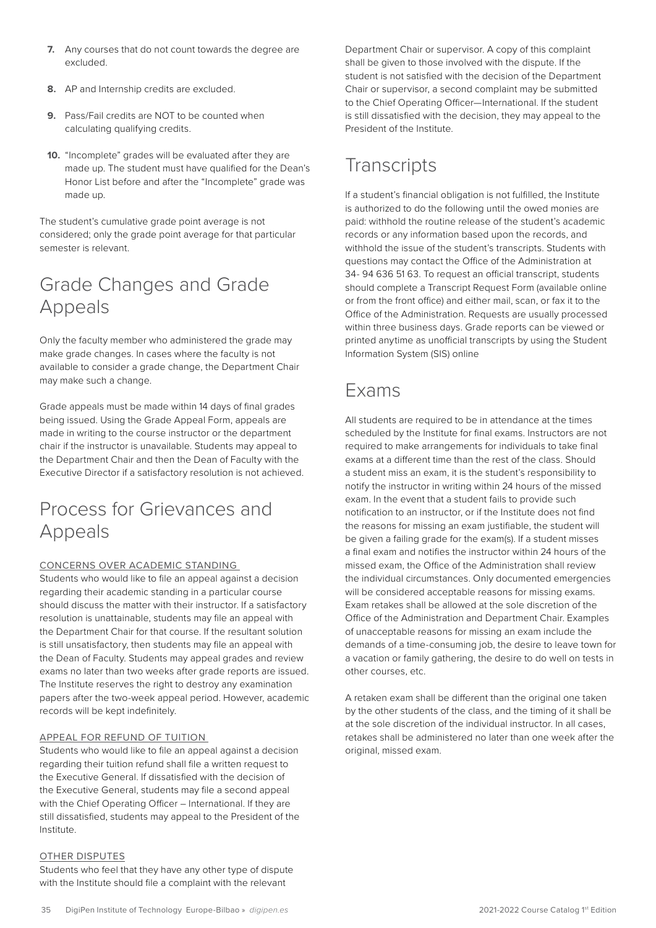- <span id="page-34-0"></span>**7.** Any courses that do not count towards the degree are excluded.
- **8.** AP and Internship credits are excluded.
- **9.** Pass/Fail credits are NOT to be counted when calculating qualifying credits.
- **10.** "Incomplete" grades will be evaluated after they are made up. The student must have qualified for the Dean's Honor List before and after the "Incomplete" grade was made up.

The student's cumulative grade point average is not considered; only the grade point average for that particular semester is relevant.

# Grade Changes and Grade Appeals

Only the faculty member who administered the grade may make grade changes. In cases where the faculty is not available to consider a grade change, the Department Chair may make such a change.

Grade appeals must be made within 14 days of final grades being issued. Using the Grade Appeal Form, appeals are made in writing to the course instructor or the department chair if the instructor is unavailable. Students may appeal to the Department Chair and then the Dean of Faculty with the Executive Director if a satisfactory resolution is not achieved.

### Process for Grievances and Appeals

#### CONCERNS OVER ACADEMIC STANDING

Students who would like to file an appeal against a decision regarding their academic standing in a particular course should discuss the matter with their instructor. If a satisfactory resolution is unattainable, students may file an appeal with the Department Chair for that course. If the resultant solution is still unsatisfactory, then students may file an appeal with the Dean of Faculty. Students may appeal grades and review exams no later than two weeks after grade reports are issued. The Institute reserves the right to destroy any examination papers after the two-week appeal period. However, academic records will be kept indefinitely.

#### APPEAL FOR REFUND OF TUITION

Students who would like to file an appeal against a decision regarding their tuition refund shall file a written request to the Executive General. If dissatisfied with the decision of the Executive General, students may file a second appeal with the Chief Operating Officer – International. If they are still dissatisfied, students may appeal to the President of the Institute.

#### OTHER DISPUTES

Students who feel that they have any other type of dispute with the Institute should file a complaint with the relevant

Department Chair or supervisor. A copy of this complaint shall be given to those involved with the dispute. If the student is not satisfied with the decision of the Department Chair or supervisor, a second complaint may be submitted to the Chief Operating Officer—International. If the student is still dissatisfied with the decision, they may appeal to the President of the Institute.

# **Transcripts**

If a student's financial obligation is not fulfilled, the Institute is authorized to do the following until the owed monies are paid: withhold the routine release of the student's academic records or any information based upon the records, and withhold the issue of the student's transcripts. Students with questions may contact the Office of the Administration at 34- 94 636 51 63. To request an official transcript, students should complete a Transcript Request Form (available online or from the front office) and either mail, scan, or fax it to the Office of the Administration. Requests are usually processed within three business days. Grade reports can be viewed or printed anytime as unofficial transcripts by using the Student Information System (SIS) online

### Exams

All students are required to be in attendance at the times scheduled by the Institute for final exams. Instructors are not required to make arrangements for individuals to take final exams at a different time than the rest of the class. Should a student miss an exam, it is the student's responsibility to notify the instructor in writing within 24 hours of the missed exam. In the event that a student fails to provide such notification to an instructor, or if the Institute does not find the reasons for missing an exam justifiable, the student will be given a failing grade for the exam(s). If a student misses a final exam and notifies the instructor within 24 hours of the missed exam, the Office of the Administration shall review the individual circumstances. Only documented emergencies will be considered acceptable reasons for missing exams. Exam retakes shall be allowed at the sole discretion of the Office of the Administration and Department Chair. Examples of unacceptable reasons for missing an exam include the demands of a time-consuming job, the desire to leave town for a vacation or family gathering, the desire to do well on tests in other courses, etc.

A retaken exam shall be different than the original one taken by the other students of the class, and the timing of it shall be at the sole discretion of the individual instructor. In all cases, retakes shall be administered no later than one week after the original, missed exam.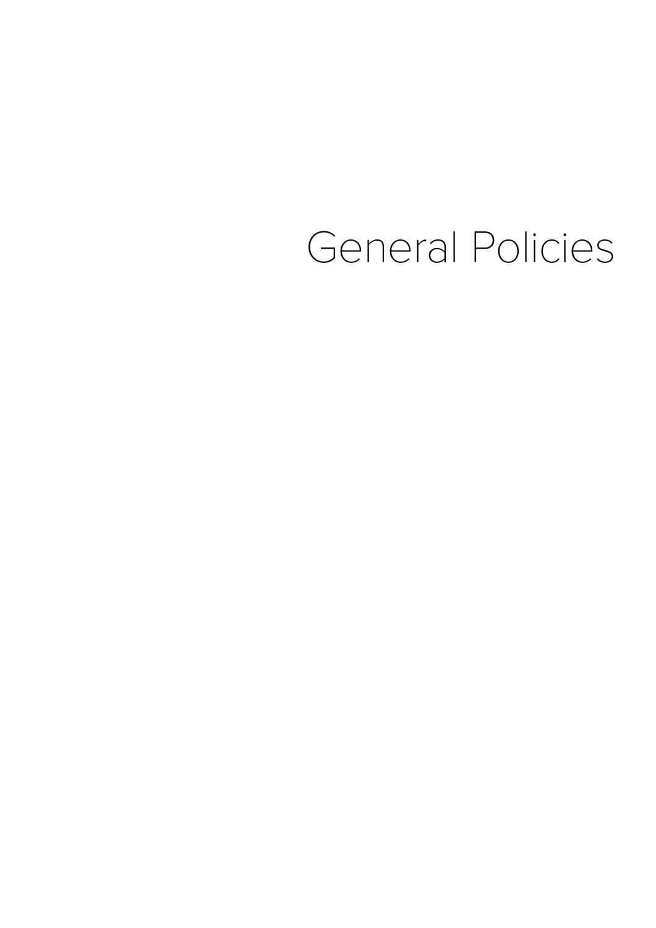# General Policies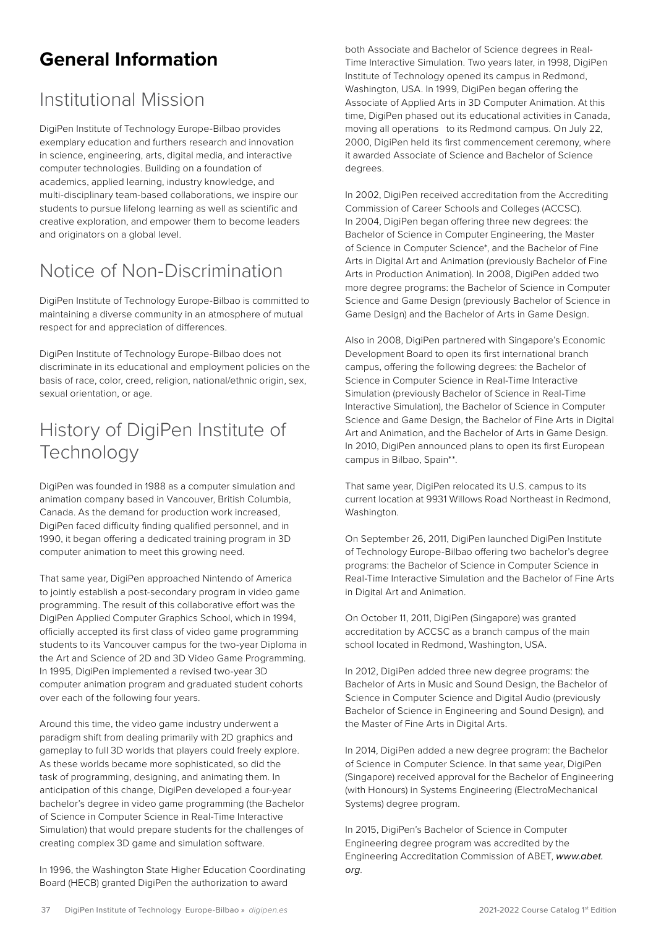# <span id="page-36-0"></span>**General Information**

### Institutional Mission

DigiPen Institute of Technology Europe-Bilbao provides exemplary education and furthers research and innovation in science, engineering, arts, digital media, and interactive computer technologies. Building on a foundation of academics, applied learning, industry knowledge, and multi-disciplinary team-based collaborations, we inspire our students to pursue lifelong learning as well as scientific and creative exploration, and empower them to become leaders and originators on a global level.

# Notice of Non-Discrimination

DigiPen Institute of Technology Europe-Bilbao is committed to maintaining a diverse community in an atmosphere of mutual respect for and appreciation of differences.

DigiPen Institute of Technology Europe-Bilbao does not discriminate in its educational and employment policies on the basis of race, color, creed, religion, national/ethnic origin, sex, sexual orientation, or age.

# History of DigiPen Institute of **Technology**

DigiPen was founded in 1988 as a computer simulation and animation company based in Vancouver, British Columbia, Canada. As the demand for production work increased, DigiPen faced difficulty finding qualified personnel, and in 1990, it began offering a dedicated training program in 3D computer animation to meet this growing need.

That same year, DigiPen approached Nintendo of America to jointly establish a post-secondary program in video game programming. The result of this collaborative effort was the DigiPen Applied Computer Graphics School, which in 1994, officially accepted its first class of video game programming students to its Vancouver campus for the two-year Diploma in the Art and Science of 2D and 3D Video Game Programming. In 1995, DigiPen implemented a revised two-year 3D computer animation program and graduated student cohorts over each of the following four years.

Around this time, the video game industry underwent a paradigm shift from dealing primarily with 2D graphics and gameplay to full 3D worlds that players could freely explore. As these worlds became more sophisticated, so did the task of programming, designing, and animating them. In anticipation of this change, DigiPen developed a four-year bachelor's degree in video game programming (the Bachelor of Science in Computer Science in Real-Time Interactive Simulation) that would prepare students for the challenges of creating complex 3D game and simulation software.

In 1996, the Washington State Higher Education Coordinating Board (HECB) granted DigiPen the authorization to award

both Associate and Bachelor of Science degrees in Real-Time Interactive Simulation. Two years later, in 1998, DigiPen Institute of Technology opened its campus in Redmond, Washington, USA. In 1999, DigiPen began offering the Associate of Applied Arts in 3D Computer Animation. At this time, DigiPen phased out its educational activities in Canada, moving all operations to its Redmond campus. On July 22, 2000, DigiPen held its first commencement ceremony, where it awarded Associate of Science and Bachelor of Science degrees.

In 2002, DigiPen received accreditation from the Accrediting Commission of Career Schools and Colleges (ACCSC). In 2004, DigiPen began offering three new degrees: the Bachelor of Science in Computer Engineering, the Master of Science in Computer Science\*, and the Bachelor of Fine Arts in Digital Art and Animation (previously Bachelor of Fine Arts in Production Animation). In 2008, DigiPen added two more degree programs: the Bachelor of Science in Computer Science and Game Design (previously Bachelor of Science in Game Design) and the Bachelor of Arts in Game Design.

Also in 2008, DigiPen partnered with Singapore's Economic Development Board to open its first international branch campus, offering the following degrees: the Bachelor of Science in Computer Science in Real-Time Interactive Simulation (previously Bachelor of Science in Real-Time Interactive Simulation), the Bachelor of Science in Computer Science and Game Design, the Bachelor of Fine Arts in Digital Art and Animation, and the Bachelor of Arts in Game Design. In 2010, DigiPen announced plans to open its first European campus in Bilbao, Spain\*\*.

That same year, DigiPen relocated its U.S. campus to its current location at 9931 Willows Road Northeast in Redmond, Washington.

On September 26, 2011, DigiPen launched DigiPen Institute of Technology Europe-Bilbao offering two bachelor's degree programs: the Bachelor of Science in Computer Science in Real-Time Interactive Simulation and the Bachelor of Fine Arts in Digital Art and Animation.

On October 11, 2011, DigiPen (Singapore) was granted accreditation by ACCSC as a branch campus of the main school located in Redmond, Washington, USA.

In 2012, DigiPen added three new degree programs: the Bachelor of Arts in Music and Sound Design, the Bachelor of Science in Computer Science and Digital Audio (previously Bachelor of Science in Engineering and Sound Design), and the Master of Fine Arts in Digital Arts.

In 2014, DigiPen added a new degree program: the Bachelor of Science in Computer Science. In that same year, DigiPen (Singapore) received approval for the Bachelor of Engineering (with Honours) in Systems Engineering (ElectroMechanical Systems) degree program.

In 2015, DigiPen's Bachelor of Science in Computer Engineering degree program was accredited by the Engineering Accreditation Commission of ABET, *[www.abet.](http://www.abet.org) [org](http://www.abet.org)*.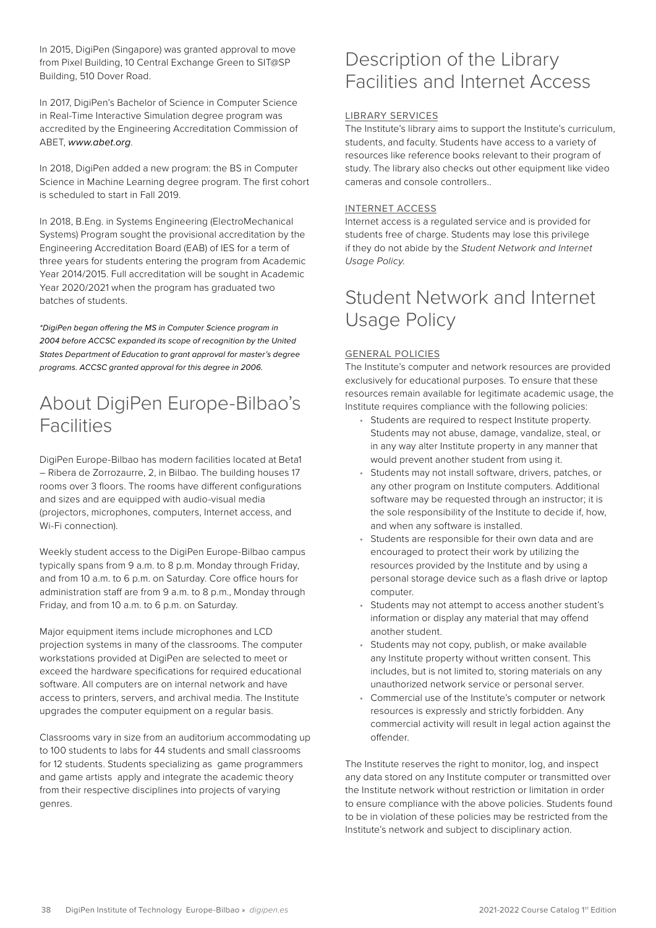<span id="page-37-0"></span>In 2015, DigiPen (Singapore) was granted approval to move from Pixel Building, 10 Central Exchange Green to SIT@SP Building, 510 Dover Road.

In 2017, DigiPen's Bachelor of Science in Computer Science in Real-Time Interactive Simulation degree program was accredited by the Engineering Accreditation Commission of ABET, *[www.abet.org](http://www.abet.org)*.

In 2018, DigiPen added a new program: the BS in Computer Science in Machine Learning degree program. The first cohort is scheduled to start in Fall 2019.

In 2018, B.Eng. in Systems Engineering (ElectroMechanical Systems) Program sought the provisional accreditation by the Engineering Accreditation Board (EAB) of IES for a term of three years for students entering the program from Academic Year 2014/2015. Full accreditation will be sought in Academic Year 2020/2021 when the program has graduated two batches of students.

*\*DigiPen began offering the MS in Computer Science program in 2004 before ACCSC expanded its scope of recognition by the United States Department of Education to grant approval for master's degree programs. ACCSC granted approval for this degree in 2006.*

### About DigiPen Europe-Bilbao's Facilities

DigiPen Europe-Bilbao has modern facilities located at Beta1 – Ribera de Zorrozaurre, 2, in Bilbao. The building houses 17 rooms over 3 floors. The rooms have different configurations and sizes and are equipped with audio-visual media (projectors, microphones, computers, Internet access, and Wi-Fi connection).

Weekly student access to the DigiPen Europe-Bilbao campus typically spans from 9 a.m. to 8 p.m. Monday through Friday, and from 10 a.m. to 6 p.m. on Saturday. Core office hours for administration staff are from 9 a.m. to 8 p.m., Monday through Friday, and from 10 a.m. to 6 p.m. on Saturday.

Major equipment items include microphones and LCD projection systems in many of the classrooms. The computer workstations provided at DigiPen are selected to meet or exceed the hardware specifications for required educational software. All computers are on internal network and have access to printers, servers, and archival media. The Institute upgrades the computer equipment on a regular basis.

Classrooms vary in size from an auditorium accommodating up to 100 students to labs for 44 students and small classrooms for 12 students. Students specializing as game programmers and game artists apply and integrate the academic theory from their respective disciplines into projects of varying genres.

### Description of the Library Facilities and Internet Access

#### LIBRARY SERVICES

The Institute's library aims to support the Institute's curriculum, students, and faculty. Students have access to a variety of resources like reference books relevant to their program of study. The library also checks out other equipment like video cameras and console controllers..

#### INTERNET ACCESS

Internet access is a regulated service and is provided for students free of charge. Students may lose this privilege if they do not abide by the *Student Network and Internet Usage Policy*.

### Student Network and Internet Usage Policy

#### GENERAL POLICIES

The Institute's computer and network resources are provided exclusively for educational purposes. To ensure that these resources remain available for legitimate academic usage, the Institute requires compliance with the following policies:

- Students are required to respect Institute property. Students may not abuse, damage, vandalize, steal, or in any way alter Institute property in any manner that would prevent another student from using it.
- Students may not install software, drivers, patches, or any other program on Institute computers. Additional software may be requested through an instructor; it is the sole responsibility of the Institute to decide if, how, and when any software is installed.
- Students are responsible for their own data and are encouraged to protect their work by utilizing the resources provided by the Institute and by using a personal storage device such as a flash drive or laptop computer.
- Students may not attempt to access another student's information or display any material that may offend another student.
- Students may not copy, publish, or make available any Institute property without written consent. This includes, but is not limited to, storing materials on any unauthorized network service or personal server.
- Commercial use of the Institute's computer or network resources is expressly and strictly forbidden. Any commercial activity will result in legal action against the offender.

The Institute reserves the right to monitor, log, and inspect any data stored on any Institute computer or transmitted over the Institute network without restriction or limitation in order to ensure compliance with the above policies. Students found to be in violation of these policies may be restricted from the Institute's network and subject to disciplinary action.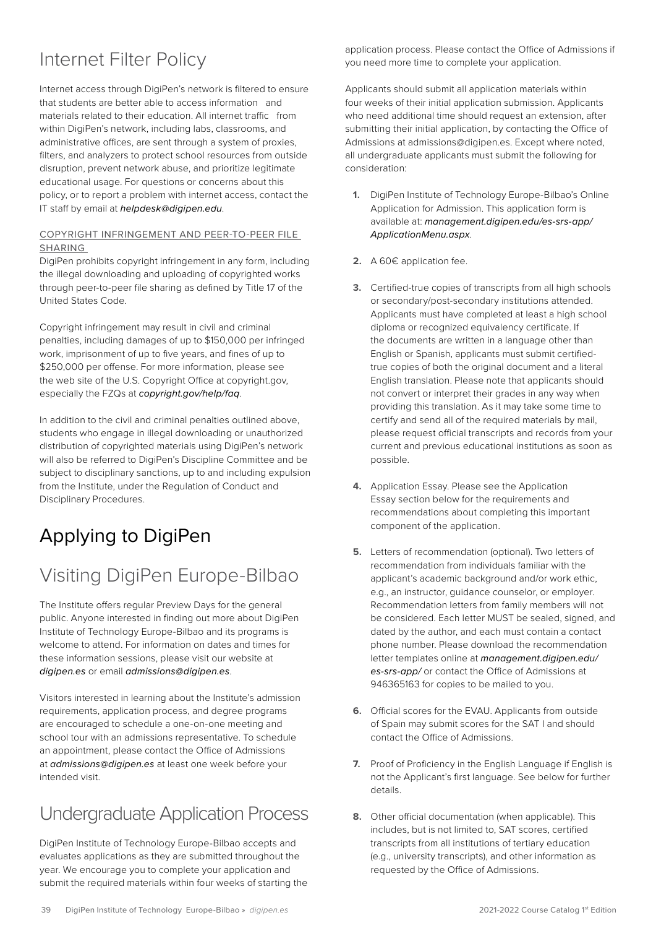# <span id="page-38-0"></span>Internet Filter Policy

Internet access through DigiPen's network is filtered to ensure that students are better able to access information and materials related to their education. All internet traffic from within DigiPen's network, including labs, classrooms, and administrative offices, are sent through a system of proxies, filters, and analyzers to protect school resources from outside disruption, prevent network abuse, and prioritize legitimate educational usage. For questions or concerns about this policy, or to report a problem with internet access, contact the IT staff by email at *[helpdesk@digipen.edu](mailto:helpdesk%40digipen.edu?subject=)*.

#### COPYRIGHT INFRINGEMENT AND PEER-TO-PEER FILE SHARING

DigiPen prohibits copyright infringement in any form, including the illegal downloading and uploading of copyrighted works through peer-to-peer file sharing as defined by Title 17 of the United States Code.

Copyright infringement may result in civil and criminal penalties, including damages of up to \$150,000 per infringed work, imprisonment of up to five years, and fines of up to \$250,000 per offense. For more information, please see the web site of the U.S. Copyright Office at copyright.gov, especially the FZQs at *[copyright.gov/help/faq](https://copyright.gov/help/faq)*.

In addition to the civil and criminal penalties outlined above, students who engage in illegal downloading or unauthorized distribution of copyrighted materials using DigiPen's network will also be referred to DigiPen's Discipline Committee and be subject to disciplinary sanctions, up to and including expulsion from the Institute, under the Regulation of Conduct and Disciplinary Procedures.

# Applying to DigiPen

# Visiting DigiPen Europe-Bilbao

The Institute offers regular Preview Days for the general public. Anyone interested in finding out more about DigiPen Institute of Technology Europe-Bilbao and its programs is welcome to attend. For information on dates and times for these information sessions, please visit our website at *[digipen.es](https://www.digipen.es)* or email *[admissions@digipen.es](mailto:admissions%40digipen.es?subject=)*.

Visitors interested in learning about the Institute's admission requirements, application process, and degree programs are encouraged to schedule a one-on-one meeting and school tour with an admissions representative. To schedule an appointment, please contact the Office of Admissions at *[admissions@digipen.es](mailto:admissions%40digipen.es?subject=)* at least one week before your intended visit.

# Undergraduate Application Process

DigiPen Institute of Technology Europe-Bilbao accepts and evaluates applications as they are submitted throughout the year. We encourage you to complete your application and submit the required materials within four weeks of starting the

application process. Please contact the Office of Admissions if you need more time to complete your application.

Applicants should submit all application materials within four weeks of their initial application submission. Applicants who need additional time should request an extension, after submitting their initial application, by contacting the Office of Admissions at admissions@digipen.es. Except where noted, all undergraduate applicants must submit the following for consideration:

- **1.** DigiPen Institute of Technology Europe-Bilbao's Online Application for Admission. This application form is available at: *[management.digipen.edu/es-srs-app/](http://management.digipen.edu/es-srs-app/ApplicationMenu.aspx) [ApplicationMenu.aspx](http://management.digipen.edu/es-srs-app/ApplicationMenu.aspx)*.
- **2.** A 60€ application fee.
- **3.** Certified-true copies of transcripts from all high schools or secondary/post-secondary institutions attended. Applicants must have completed at least a high school diploma or recognized equivalency certificate. If the documents are written in a language other than English or Spanish, applicants must submit certifiedtrue copies of both the original document and a literal English translation. Please note that applicants should not convert or interpret their grades in any way when providing this translation. As it may take some time to certify and send all of the required materials by mail, please request official transcripts and records from your current and previous educational institutions as soon as possible.
- **4.** Application Essay. Please see the Application Essay section below for the requirements and recommendations about completing this important component of the application.
- **5.** Letters of recommendation (optional). Two letters of recommendation from individuals familiar with the applicant's academic background and/or work ethic, e.g., an instructor, guidance counselor, or employer. Recommendation letters from family members will not be considered. Each letter MUST be sealed, signed, and dated by the author, and each must contain a contact phone number. Please download the recommendation letter templates online at *[management.digipen.edu/](http://management.digipen.edu/es-srs-app/) [es-srs-app/](http://management.digipen.edu/es-srs-app/)* or contact the Office of Admissions at 946365163 for copies to be mailed to you.
- **6.** Official scores for the EVAU. Applicants from outside of Spain may submit scores for the SAT I and should contact the Office of Admissions.
- **7.** Proof of Proficiency in the English Language if English is not the Applicant's first language. See below for further details.
- **8.** Other official documentation (when applicable). This includes, but is not limited to, SAT scores, certified transcripts from all institutions of tertiary education (e.g., university transcripts), and other information as requested by the Office of Admissions.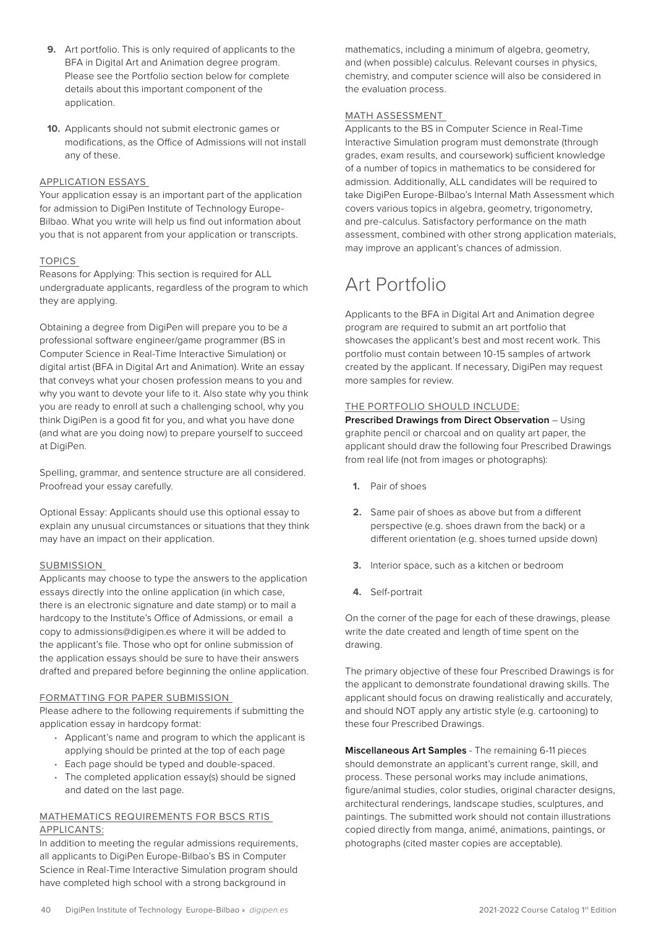- <span id="page-39-0"></span>**9.** Art portfolio. This is only required of applicants to the BFA in Digital Art and Animation degree program. Please see the Portfolio section below for complete details about this important component of the application.
- **10.** Applicants should not submit electronic games or modifications, as the Office of Admissions will not install any of these.

#### APPLICATION ESSAYS

Your application essay is an important part of the application for admission to DigiPen Institute of Technology Europe-Bilbao. What you write will help us find out information about you that is not apparent from your application or transcripts.

#### TOPICS

Reasons for Applying: This section is required for ALL undergraduate applicants, regardless of the program to which they are applying.

Obtaining a degree from DigiPen will prepare you to be a professional software engineer/game programmer (BS in Computer Science in Real-Time Interactive Simulation) or digital artist (BFA in Digital Art and Animation). Write an essay that conveys what your chosen profession means to you and why you want to devote your life to it. Also state why you think you are ready to enroll at such a challenging school, why you think DigiPen is a good fit for you, and what you have done (and what are you doing now) to prepare yourself to succeed at DigiPen.

Spelling, grammar, and sentence structure are all considered. Proofread your essay carefully.

Optional Essay: Applicants should use this optional essay to explain any unusual circumstances or situations that they think may have an impact on their application.

#### SUBMISSION

Applicants may choose to type the answers to the application essays directly into the online application (in which case, there is an electronic signature and date stamp) or to mail a hardcopy to the Institute's Office of Admissions, or email a copy to admissions@digipen.es where it will be added to the applicant's file. Those who opt for online submission of the application essays should be sure to have their answers drafted and prepared before beginning the online application.

#### FORMATTING FOR PAPER SUBMISSION

Please adhere to the following requirements if submitting the application essay in hardcopy format:

- Applicant's name and program to which the applicant is applying should be printed at the top of each page
- Each page should be typed and double-spaced.
- The completed application essay(s) should be signed and dated on the last page.

#### MATHEMATICS REQUIREMENTS FOR BSCS RTIS APPLICANTS:

In addition to meeting the regular admissions requirements, all applicants to DigiPen Europe-Bilbao's BS in Computer Science in Real-Time Interactive Simulation program should have completed high school with a strong background in

mathematics, including a minimum of algebra, geometry, and (when possible) calculus. Relevant courses in physics, chemistry, and computer science will also be considered in the evaluation process.

#### MATH ASSESSMENT

Applicants to the BS in Computer Science in Real-Time Interactive Simulation program must demonstrate (through grades, exam results, and coursework) sufficient knowledge of a number of topics in mathematics to be considered for admission. Additionally, ALL candidates will be required to take DigiPen Europe-Bilbao's Internal Math Assessment which covers various topics in algebra, geometry, trigonometry, and pre-calculus. Satisfactory performance on the math assessment, combined with other strong application materials, may improve an applicant's chances of admission.

# Art Portfolio

Applicants to the BFA in Digital Art and Animation degree program are required to submit an art portfolio that showcases the applicant's best and most recent work. This portfolio must contain between 10-15 samples of artwork created by the applicant. If necessary, DigiPen may request more samples for review.

#### THE PORTFOLIO SHOULD INCLUDE:

**Prescribed Drawings from Direct Observation** – Using graphite pencil or charcoal and on quality art paper, the applicant should draw the following four Prescribed Drawings from real life (not from images or photographs):

- **1.** Pair of shoes
- **2.** Same pair of shoes as above but from a different perspective (e.g. shoes drawn from the back) or a different orientation (e.g. shoes turned upside down)
- **3.** Interior space, such as a kitchen or bedroom
- **4.** Self-portrait

On the corner of the page for each of these drawings, please write the date created and length of time spent on the drawing.

The primary objective of these four Prescribed Drawings is for the applicant to demonstrate foundational drawing skills. The applicant should focus on drawing realistically and accurately, and should NOT apply any artistic style (e.g. cartooning) to these four Prescribed Drawings.

**Miscellaneous Art Samples** - The remaining 6-11 pieces should demonstrate an applicant's current range, skill, and process. These personal works may include animations, figure/animal studies, color studies, original character designs, architectural renderings, landscape studies, sculptures, and paintings. The submitted work should not contain illustrations copied directly from manga, animé, animations, paintings, or photographs (cited master copies are acceptable).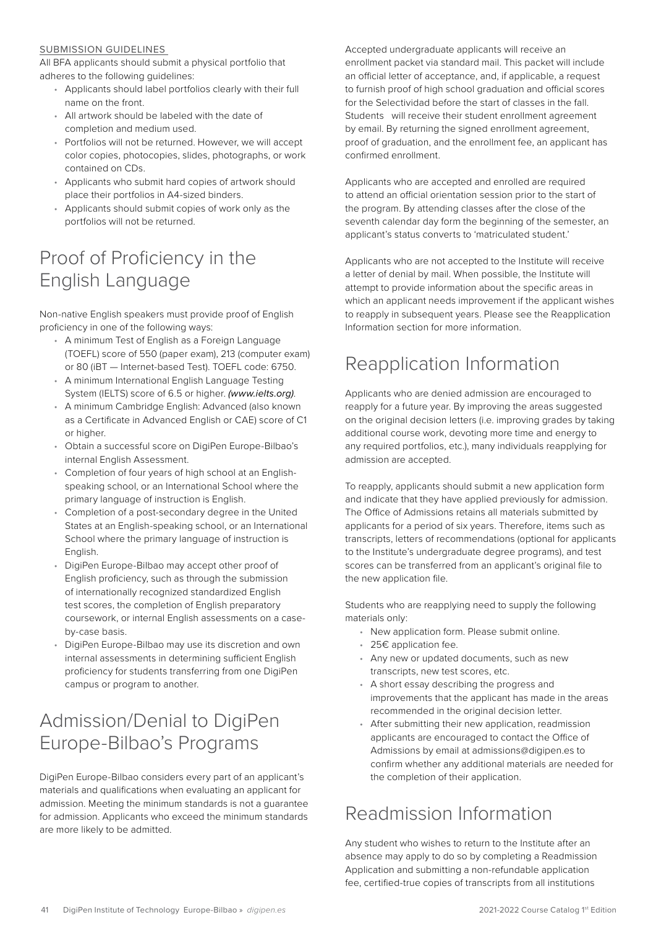#### <span id="page-40-0"></span>SUBMISSION GUIDELINES

All BFA applicants should submit a physical portfolio that adheres to the following guidelines:

- Applicants should label portfolios clearly with their full name on the front.
- All artwork should be labeled with the date of completion and medium used.
- Portfolios will not be returned. However, we will accept color copies, photocopies, slides, photographs, or work contained on CDs.
- Applicants who submit hard copies of artwork should place their portfolios in A4-sized binders.
- Applicants should submit copies of work only as the portfolios will not be returned.

# Proof of Proficiency in the English Language

Non-native English speakers must provide proof of English proficiency in one of the following ways:

- A minimum Test of English as a Foreign Language (TOEFL) score of 550 (paper exam), 213 (computer exam) or 80 (iBT — Internet-based Test). TOEFL code: 6750.
- A minimum International English Language Testing System (IELTS) score of 6.5 or higher. *(www.ielts.org)*.
- A minimum Cambridge English: Advanced (also known as a Certificate in Advanced English or CAE) score of C1 or higher.
- Obtain a successful score on DigiPen Europe-Bilbao's internal English Assessment.
- Completion of four years of high school at an Englishspeaking school, or an International School where the primary language of instruction is English.
- Completion of a post-secondary degree in the United States at an English-speaking school, or an International School where the primary language of instruction is English.
- DigiPen Europe-Bilbao may accept other proof of English proficiency, such as through the submission of internationally recognized standardized English test scores, the completion of English preparatory coursework, or internal English assessments on a caseby-case basis.
- DigiPen Europe-Bilbao may use its discretion and own internal assessments in determining sufficient English proficiency for students transferring from one DigiPen campus or program to another.

# Admission/Denial to DigiPen Europe-Bilbao's Programs

DigiPen Europe-Bilbao considers every part of an applicant's materials and qualifications when evaluating an applicant for admission. Meeting the minimum standards is not a guarantee for admission. Applicants who exceed the minimum standards are more likely to be admitted.

Accepted undergraduate applicants will receive an enrollment packet via standard mail. This packet will include an official letter of acceptance, and, if applicable, a request to furnish proof of high school graduation and official scores for the Selectividad before the start of classes in the fall. Students will receive their student enrollment agreement by email. By returning the signed enrollment agreement, proof of graduation, and the enrollment fee, an applicant has confirmed enrollment.

Applicants who are accepted and enrolled are required to attend an official orientation session prior to the start of the program. By attending classes after the close of the seventh calendar day form the beginning of the semester, an applicant's status converts to 'matriculated student.'

Applicants who are not accepted to the Institute will receive a letter of denial by mail. When possible, the Institute will attempt to provide information about the specific areas in which an applicant needs improvement if the applicant wishes to reapply in subsequent years. Please see the Reapplication Information section for more information.

# Reapplication Information

Applicants who are denied admission are encouraged to reapply for a future year. By improving the areas suggested on the original decision letters (i.e. improving grades by taking additional course work, devoting more time and energy to any required portfolios, etc.), many individuals reapplying for admission are accepted.

To reapply, applicants should submit a new application form and indicate that they have applied previously for admission. The Office of Admissions retains all materials submitted by applicants for a period of six years. Therefore, items such as transcripts, letters of recommendations (optional for applicants to the Institute's undergraduate degree programs), and test scores can be transferred from an applicant's original file to the new application file.

Students who are reapplying need to supply the following materials only:

- New application form. Please submit online.
- 25€ application fee.
- Any new or updated documents, such as new transcripts, new test scores, etc.
- A short essay describing the progress and improvements that the applicant has made in the areas recommended in the original decision letter.
- After submitting their new application, readmission applicants are encouraged to contact the Office of Admissions by email at admissions@digipen.es to confirm whether any additional materials are needed for the completion of their application.

# Readmission Information

Any student who wishes to return to the Institute after an absence may apply to do so by completing a Readmission Application and submitting a non-refundable application fee, certified-true copies of transcripts from all institutions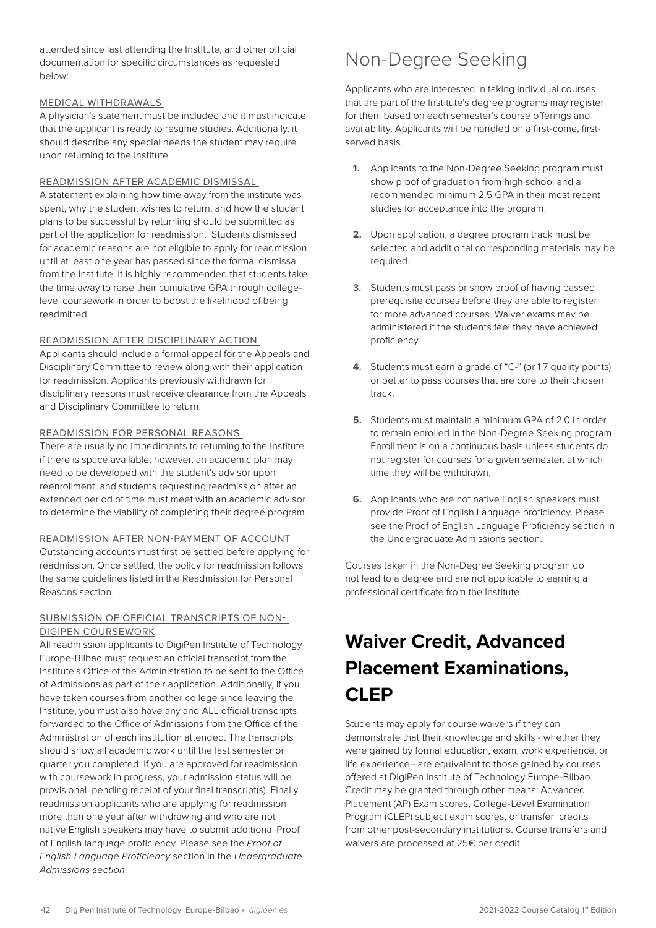<span id="page-41-0"></span>attended since last attending the Institute, and other official documentation for specific circumstances as requested below:

#### MEDICAL WITHDRAWALS

A physician's statement must be included and it must indicate that the applicant is ready to resume studies. Additionally, it should describe any special needs the student may require upon returning to the Institute.

#### READMISSION AFTER ACADEMIC DISMISSAL

A statement explaining how time away from the institute was spent, why the student wishes to return, and how the student plans to be successful by returning should be submitted as part of the application for readmission. Students dismissed for academic reasons are not eligible to apply for readmission until at least one year has passed since the formal dismissal from the Institute. It is highly recommended that students take the time away to raise their cumulative GPA through collegelevel coursework in order to boost the likelihood of being readmitted.

#### READMISSION AFTER DISCIPLINARY ACTION

Applicants should include a formal appeal for the Appeals and Disciplinary Committee to review along with their application for readmission. Applicants previously withdrawn for disciplinary reasons must receive clearance from the Appeals and Disciplinary Committee to return.

#### READMISSION FOR PERSONAL REASONS

There are usually no impediments to returning to the Institute if there is space available; however, an academic plan may need to be developed with the student's advisor upon reenrollment, and students requesting readmission after an extended period of time must meet with an academic advisor to determine the viability of completing their degree program.

#### READMISSION AFTER NON-PAYMENT OF ACCOUNT

Outstanding accounts must first be settled before applying for readmission. Once settled, the policy for readmission follows the same guidelines listed in the Readmission for Personal Reasons section.

#### SUBMISSION OF OFFICIAL TRANSCRIPTS OF NON-DIGIPEN COURSEWORK

All readmission applicants to DigiPen Institute of Technology Europe-Bilbao must request an official transcript from the Institute's Office of the Administration to be sent to the Office of Admissions as part of their application. Additionally, if you have taken courses from another college since leaving the Institute, you must also have any and ALL official transcripts forwarded to the Office of Admissions from the Office of the Administration of each institution attended. The transcripts should show all academic work until the last semester or quarter you completed. If you are approved for readmission with coursework in progress, your admission status will be provisional, pending receipt of your final transcript(s). Finally, readmission applicants who are applying for readmission more than one year after withdrawing and who are not native English speakers may have to submit additional Proof of English language proficiency. Please see the *Proof of English Language Proficiency* section in the *Undergraduate Admissions section*.

### Non-Degree Seeking

Applicants who are interested in taking individual courses that are part of the Institute's degree programs may register for them based on each semester's course offerings and availability. Applicants will be handled on a first-come, firstserved basis.

- **1.** Applicants to the Non-Degree Seeking program must show proof of graduation from high school and a recommended minimum 2.5 GPA in their most recent studies for acceptance into the program.
- **2.** Upon application, a degree program track must be selected and additional corresponding materials may be required.
- **3.** Students must pass or show proof of having passed prerequisite courses before they are able to register for more advanced courses. Waiver exams may be administered if the students feel they have achieved proficiency.
- **4.** Students must earn a grade of "C-" (or 1.7 quality points) or better to pass courses that are core to their chosen track.
- **5.** Students must maintain a minimum GPA of 2.0 in order to remain enrolled in the Non-Degree Seeking program. Enrollment is on a continuous basis unless students do not register for courses for a given semester, at which time they will be withdrawn.
- **6.** Applicants who are not native English speakers must provide Proof of English Language proficiency. Please see the Proof of English Language Proficiency section in the Undergraduate Admissions section.

Courses taken in the Non-Degree Seeking program do not lead to a degree and are not applicable to earning a professional certificate from the Institute.

# **Waiver Credit, Advanced Placement Examinations, CLEP**

Students may apply for course waivers if they can demonstrate that their knowledge and skills - whether they were gained by formal education, exam, work experience, or life experience - are equivalent to those gained by courses offered at DigiPen Institute of Technology Europe-Bilbao. Credit may be granted through other means: Advanced Placement (AP) Exam scores, College-Level Examination Program (CLEP) subject exam scores, or transfer credits from other post-secondary institutions. Course transfers and waivers are processed at 25€ per credit.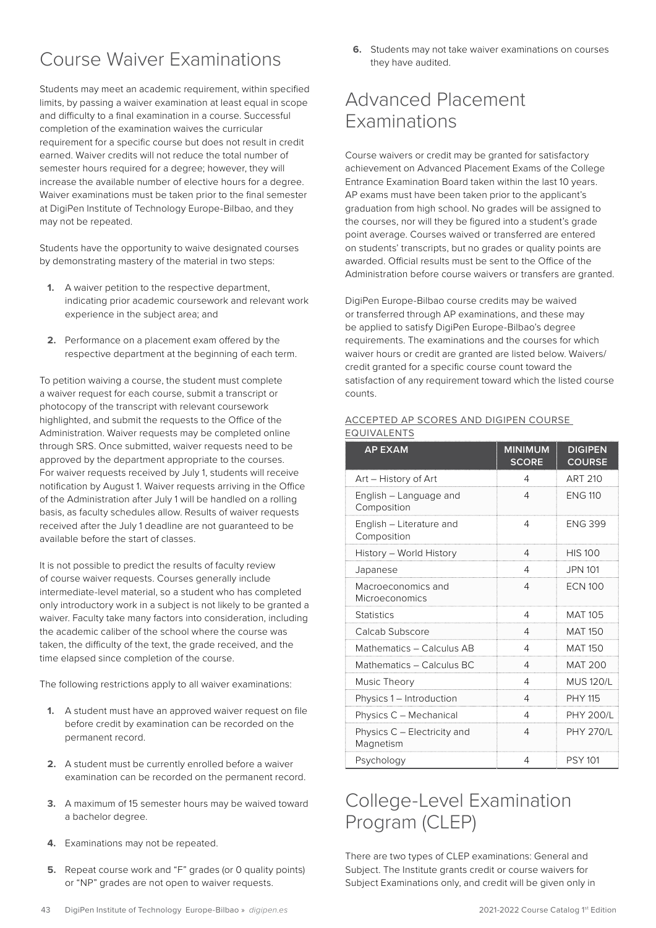# <span id="page-42-0"></span>Course Waiver Examinations

Students may meet an academic requirement, within specified limits, by passing a waiver examination at least equal in scope and difficulty to a final examination in a course. Successful completion of the examination waives the curricular requirement for a specific course but does not result in credit earned. Waiver credits will not reduce the total number of semester hours required for a degree; however, they will increase the available number of elective hours for a degree. Waiver examinations must be taken prior to the final semester at DigiPen Institute of Technology Europe-Bilbao, and they may not be repeated.

Students have the opportunity to waive designated courses by demonstrating mastery of the material in two steps:

- **1.** A waiver petition to the respective department, indicating prior academic coursework and relevant work experience in the subject area; and
- **2.** Performance on a placement exam offered by the respective department at the beginning of each term.

To petition waiving a course, the student must complete a waiver request for each course, submit a transcript or photocopy of the transcript with relevant coursework highlighted, and submit the requests to the Office of the Administration. Waiver requests may be completed online through SRS. Once submitted, waiver requests need to be approved by the department appropriate to the courses. For waiver requests received by July 1, students will receive notification by August 1. Waiver requests arriving in the Office of the Administration after July 1 will be handled on a rolling basis, as faculty schedules allow. Results of waiver requests received after the July 1 deadline are not guaranteed to be available before the start of classes.

It is not possible to predict the results of faculty review of course waiver requests. Courses generally include intermediate-level material, so a student who has completed only introductory work in a subject is not likely to be granted a waiver. Faculty take many factors into consideration, including the academic caliber of the school where the course was taken, the difficulty of the text, the grade received, and the time elapsed since completion of the course.

The following restrictions apply to all waiver examinations:

- **1.** A student must have an approved waiver request on file before credit by examination can be recorded on the permanent record.
- **2.** A student must be currently enrolled before a waiver examination can be recorded on the permanent record.
- **3.** A maximum of 15 semester hours may be waived toward a bachelor degree.
- **4.** Examinations may not be repeated.
- **5.** Repeat course work and "F" grades (or 0 quality points) or "NP" grades are not open to waiver requests.

**6.** Students may not take waiver examinations on courses they have audited.

# Advanced Placement Examinations

Course waivers or credit may be granted for satisfactory achievement on Advanced Placement Exams of the College Entrance Examination Board taken within the last 10 years. AP exams must have been taken prior to the applicant's graduation from high school. No grades will be assigned to the courses, nor will they be figured into a student's grade point average. Courses waived or transferred are entered on students' transcripts, but no grades or quality points are awarded. Official results must be sent to the Office of the Administration before course waivers or transfers are granted.

DigiPen Europe-Bilbao course credits may be waived or transferred through AP examinations, and these may be applied to satisfy DigiPen Europe-Bilbao's degree requirements. The examinations and the courses for which waiver hours or credit are granted are listed below. Waivers/ credit granted for a specific course count toward the satisfaction of any requirement toward which the listed course counts.

#### ACCEPTED AP SCORES AND DIGIPEN COURSE EQUIVALENTS

| <b>AP EXAM</b>                           | <b>MINIMUM</b><br><b>SCORE</b> | <b>DIGIPEN</b><br><b>COURSE</b> |
|------------------------------------------|--------------------------------|---------------------------------|
| Art - History of Art                     | 4                              | ART 210                         |
| English - Language and<br>Composition    | 4                              | <b>ENG 110</b>                  |
| English - Literature and<br>Composition  | 4                              | <b>FNG 399</b>                  |
| History – World History                  | 4                              | <b>HIS 100</b>                  |
| Japanese                                 | 4                              | <b>JPN 101</b>                  |
| Macroeconomics and<br>Microeconomics     | 4                              | <b>ECN 100</b>                  |
| <b>Statistics</b>                        | 4                              | <b>MAT 105</b>                  |
| Calcab Subscore                          | 4                              | <b>MAT 150</b>                  |
| Mathematics - Calculus AB                | 4                              | MAT 150                         |
| Mathematics - Calculus BC                | 4                              | <b>MAT 200</b>                  |
| Music Theory                             | 4                              | <b>MUS 120/L</b>                |
| Physics 1 - Introduction                 | 4                              | <b>PHY 115</b>                  |
| Physics C - Mechanical                   | 4                              | <b>PHY 200/L</b>                |
| Physics C - Electricity and<br>Magnetism | 4                              | <b>PHY 270/L</b>                |
| Psychology                               | 4                              | <b>PSY 101</b>                  |

# College-Level Examination Program (CLEP)

There are two types of CLEP examinations: General and Subject. The Institute grants credit or course waivers for Subject Examinations only, and credit will be given only in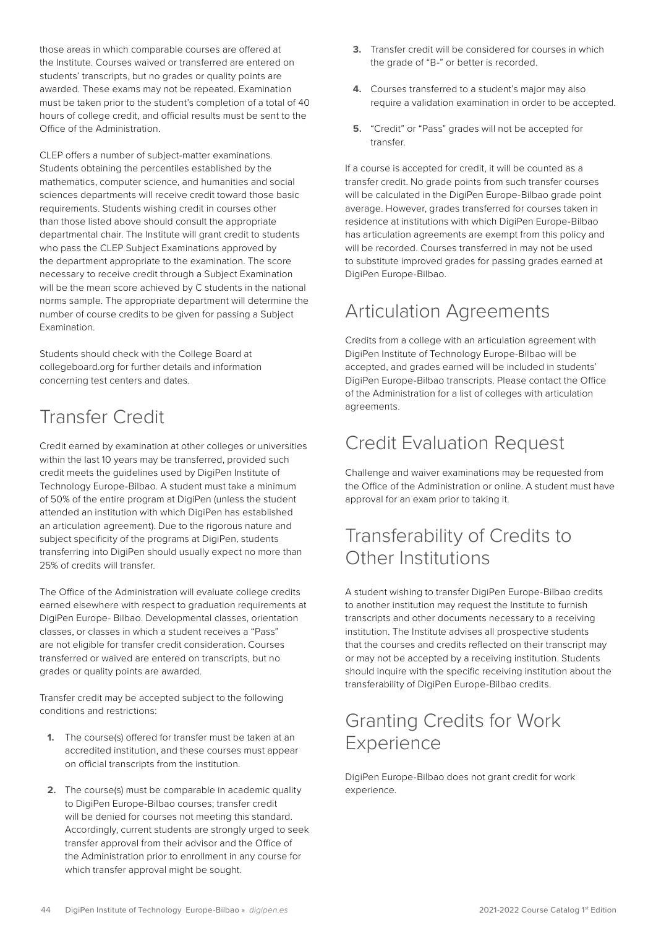<span id="page-43-0"></span>those areas in which comparable courses are offered at the Institute. Courses waived or transferred are entered on students' transcripts, but no grades or quality points are awarded. These exams may not be repeated. Examination must be taken prior to the student's completion of a total of 40 hours of college credit, and official results must be sent to the Office of the Administration.

CLEP offers a number of subject-matter examinations. Students obtaining the percentiles established by the mathematics, computer science, and humanities and social sciences departments will receive credit toward those basic requirements. Students wishing credit in courses other than those listed above should consult the appropriate departmental chair. The Institute will grant credit to students who pass the CLEP Subject Examinations approved by the department appropriate to the examination. The score necessary to receive credit through a Subject Examination will be the mean score achieved by C students in the national norms sample. The appropriate department will determine the number of course credits to be given for passing a Subject Examination.

Students should check with the College Board at collegeboard.org for further details and information concerning test centers and dates.

# Transfer Credit

Credit earned by examination at other colleges or universities within the last 10 years may be transferred, provided such credit meets the guidelines used by DigiPen Institute of Technology Europe-Bilbao. A student must take a minimum of 50% of the entire program at DigiPen (unless the student attended an institution with which DigiPen has established an articulation agreement). Due to the rigorous nature and subject specificity of the programs at DigiPen, students transferring into DigiPen should usually expect no more than 25% of credits will transfer.

The Office of the Administration will evaluate college credits earned elsewhere with respect to graduation requirements at DigiPen Europe- Bilbao. Developmental classes, orientation classes, or classes in which a student receives a "Pass" are not eligible for transfer credit consideration. Courses transferred or waived are entered on transcripts, but no grades or quality points are awarded.

Transfer credit may be accepted subject to the following conditions and restrictions:

- **1.** The course(s) offered for transfer must be taken at an accredited institution, and these courses must appear on official transcripts from the institution.
- **2.** The course(s) must be comparable in academic quality to DigiPen Europe-Bilbao courses; transfer credit will be denied for courses not meeting this standard. Accordingly, current students are strongly urged to seek transfer approval from their advisor and the Office of the Administration prior to enrollment in any course for which transfer approval might be sought.
- **3.** Transfer credit will be considered for courses in which the grade of "B-" or better is recorded.
- **4.** Courses transferred to a student's major may also require a validation examination in order to be accepted.
- **5.** "Credit" or "Pass" grades will not be accepted for transfer.

If a course is accepted for credit, it will be counted as a transfer credit. No grade points from such transfer courses will be calculated in the DigiPen Europe-Bilbao grade point average. However, grades transferred for courses taken in residence at institutions with which DigiPen Europe-Bilbao has articulation agreements are exempt from this policy and will be recorded. Courses transferred in may not be used to substitute improved grades for passing grades earned at DigiPen Europe-Bilbao.

# Articulation Agreements

Credits from a college with an articulation agreement with DigiPen Institute of Technology Europe-Bilbao will be accepted, and grades earned will be included in students' DigiPen Europe-Bilbao transcripts. Please contact the Office of the Administration for a list of colleges with articulation agreements.

### Credit Evaluation Request

Challenge and waiver examinations may be requested from the Office of the Administration or online. A student must have approval for an exam prior to taking it.

### Transferability of Credits to Other Institutions

A student wishing to transfer DigiPen Europe-Bilbao credits to another institution may request the Institute to furnish transcripts and other documents necessary to a receiving institution. The Institute advises all prospective students that the courses and credits reflected on their transcript may or may not be accepted by a receiving institution. Students should inquire with the specific receiving institution about the transferability of DigiPen Europe-Bilbao credits.

### Granting Credits for Work Experience

DigiPen Europe-Bilbao does not grant credit for work experience.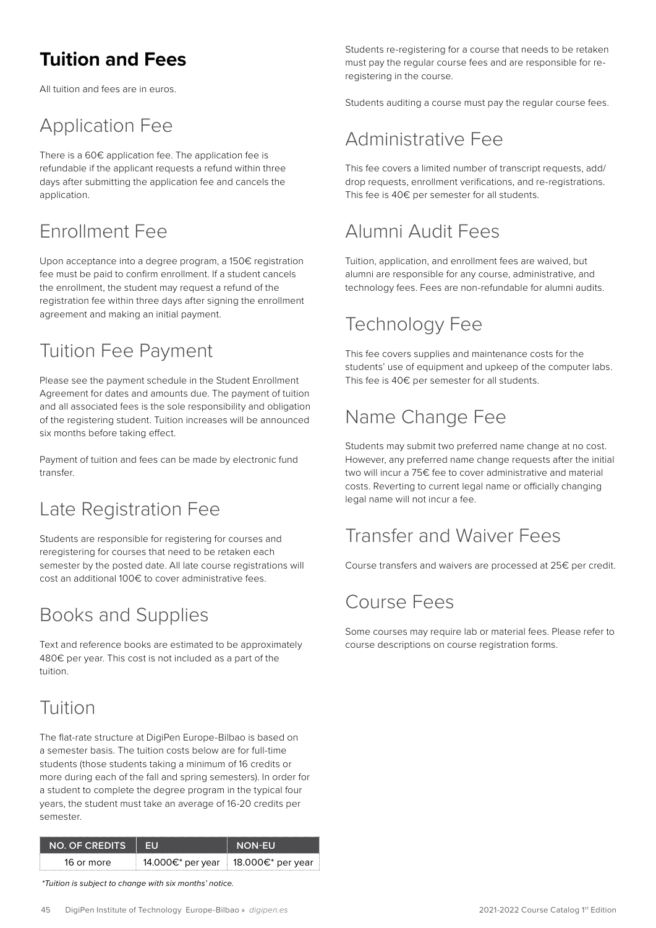# <span id="page-44-0"></span>**Tuition and Fees**

All tuition and fees are in euros.

# Application Fee

There is a 60€ application fee. The application fee is refundable if the applicant requests a refund within three days after submitting the application fee and cancels the application.

# Enrollment Fee

Upon acceptance into a degree program, a 150€ registration fee must be paid to confirm enrollment. If a student cancels the enrollment, the student may request a refund of the registration fee within three days after signing the enrollment agreement and making an initial payment.

# Tuition Fee Payment

Please see the payment schedule in the Student Enrollment Agreement for dates and amounts due. The payment of tuition and all associated fees is the sole responsibility and obligation of the registering student. Tuition increases will be announced six months before taking effect.

Payment of tuition and fees can be made by electronic fund transfer.

# Late Registration Fee

Students are responsible for registering for courses and reregistering for courses that need to be retaken each semester by the posted date. All late course registrations will cost an additional 100€ to cover administrative fees.

# Books and Supplies

Text and reference books are estimated to be approximately 480€ per year. This cost is not included as a part of the tuition.

### Tuition

The flat-rate structure at DigiPen Europe-Bilbao is based on a semester basis. The tuition costs below are for full-time students (those students taking a minimum of 16 credits or more during each of the fall and spring semesters). In order for a student to complete the degree program in the typical four years, the student must take an average of 16-20 credits per semester.

| INO OF CREDITS |                   | <b>NON-FUT</b>      |
|----------------|-------------------|---------------------|
| 16 or more     | 14.000€* per year | ‡ 18.000€* per year |

 *\*Tuition is subject to change with six months' notice.*

Students re-registering for a course that needs to be retaken must pay the regular course fees and are responsible for reregistering in the course.

Students auditing a course must pay the regular course fees.

# Administrative Fee

This fee covers a limited number of transcript requests, add/ drop requests, enrollment verifications, and re-registrations. This fee is 40€ per semester for all students.

# Alumni Audit Fees

Tuition, application, and enrollment fees are waived, but alumni are responsible for any course, administrative, and technology fees. Fees are non-refundable for alumni audits.

# Technology Fee

This fee covers supplies and maintenance costs for the students' use of equipment and upkeep of the computer labs. This fee is 40€ per semester for all students.

# Name Change Fee

Students may submit two preferred name change at no cost. However, any preferred name change requests after the initial two will incur a 75€ fee to cover administrative and material costs. Reverting to current legal name or officially changing legal name will not incur a fee.

# Transfer and Waiver Fees

Course transfers and waivers are processed at 25€ per credit.

### Course Fees

Some courses may require lab or material fees. Please refer to course descriptions on course registration forms.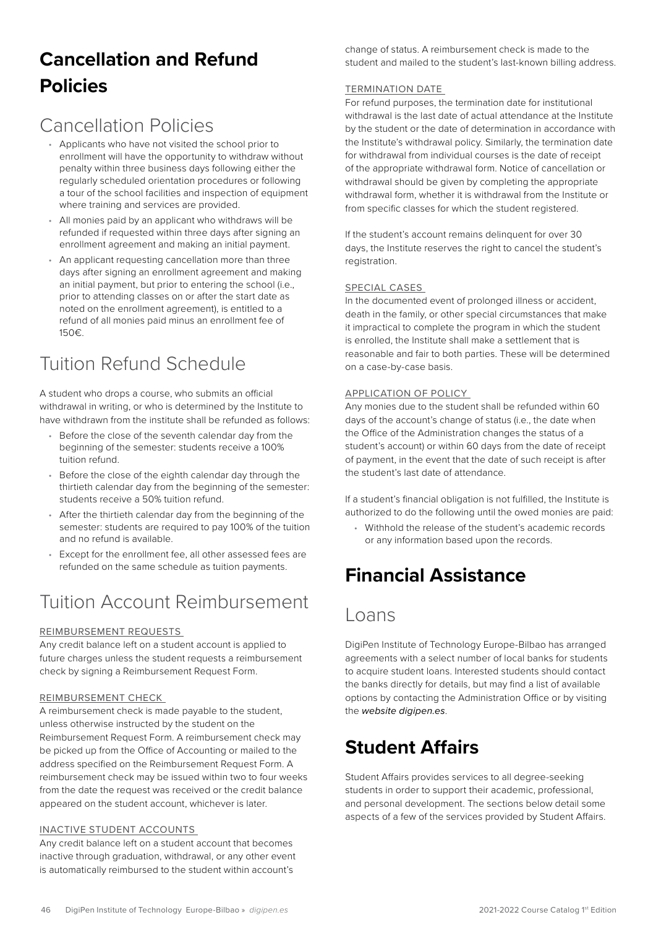# <span id="page-45-0"></span>**Cancellation and Refund Policies**

# Cancellation Policies

- Applicants who have not visited the school prior to enrollment will have the opportunity to withdraw without penalty within three business days following either the regularly scheduled orientation procedures or following a tour of the school facilities and inspection of equipment where training and services are provided.
- All monies paid by an applicant who withdraws will be refunded if requested within three days after signing an enrollment agreement and making an initial payment.
- An applicant requesting cancellation more than three days after signing an enrollment agreement and making an initial payment, but prior to entering the school (i.e., prior to attending classes on or after the start date as noted on the enrollment agreement), is entitled to a refund of all monies paid minus an enrollment fee of 150€.

# Tuition Refund Schedule

A student who drops a course, who submits an official withdrawal in writing, or who is determined by the Institute to have withdrawn from the institute shall be refunded as follows:

- Before the close of the seventh calendar day from the beginning of the semester: students receive a 100% tuition refund.
- Before the close of the eighth calendar day through the thirtieth calendar day from the beginning of the semester: students receive a 50% tuition refund.
- After the thirtieth calendar day from the beginning of the semester: students are required to pay 100% of the tuition and no refund is available.
- Except for the enrollment fee, all other assessed fees are refunded on the same schedule as tuition payments.

### Tuition Account Reimbursement

#### REIMBURSEMENT REQUESTS

Any credit balance left on a student account is applied to future charges unless the student requests a reimbursement check by signing a Reimbursement Request Form.

#### REIMBURSEMENT CHECK

A reimbursement check is made payable to the student, unless otherwise instructed by the student on the Reimbursement Request Form. A reimbursement check may be picked up from the Office of Accounting or mailed to the address specified on the Reimbursement Request Form. A reimbursement check may be issued within two to four weeks from the date the request was received or the credit balance appeared on the student account, whichever is later.

#### INACTIVE STUDENT ACCOUNTS

Any credit balance left on a student account that becomes inactive through graduation, withdrawal, or any other event is automatically reimbursed to the student within account's

change of status. A reimbursement check is made to the student and mailed to the student's last-known billing address.

#### TERMINATION DATE

For refund purposes, the termination date for institutional withdrawal is the last date of actual attendance at the Institute by the student or the date of determination in accordance with the Institute's withdrawal policy. Similarly, the termination date for withdrawal from individual courses is the date of receipt of the appropriate withdrawal form. Notice of cancellation or withdrawal should be given by completing the appropriate withdrawal form, whether it is withdrawal from the Institute or from specific classes for which the student registered.

If the student's account remains delinquent for over 30 days, the Institute reserves the right to cancel the student's registration.

#### SPECIAL CASES

In the documented event of prolonged illness or accident, death in the family, or other special circumstances that make it impractical to complete the program in which the student is enrolled, the Institute shall make a settlement that is reasonable and fair to both parties. These will be determined on a case-by-case basis.

#### APPLICATION OF POLICY

Any monies due to the student shall be refunded within 60 days of the account's change of status (i.e., the date when the Office of the Administration changes the status of a student's account) or within 60 days from the date of receipt of payment, in the event that the date of such receipt is after the student's last date of attendance.

If a student's financial obligation is not fulfilled, the Institute is authorized to do the following until the owed monies are paid:

• Withhold the release of the student's academic records or any information based upon the records.

# **Financial Assistance**

### Loans

DigiPen Institute of Technology Europe-Bilbao has arranged agreements with a select number of local banks for students to acquire student loans. Interested students should contact the banks directly for details, but may find a list of available options by contacting the Administration Office or by visiting the *website digipen.es*.

### **Student Affairs**

Student Affairs provides services to all degree-seeking students in order to support their academic, professional, and personal development. The sections below detail some aspects of a few of the services provided by Student Affairs.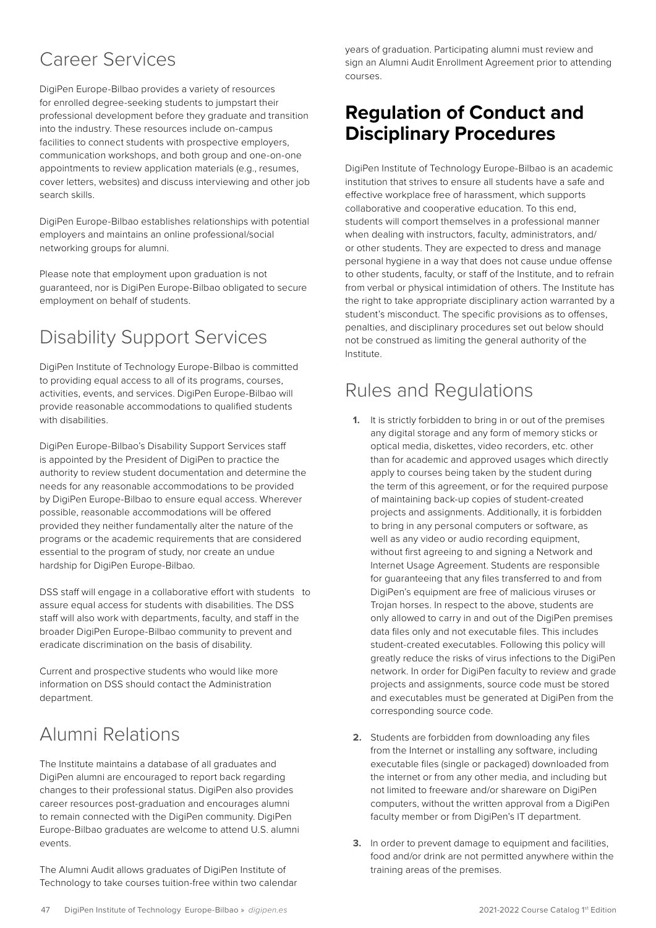# <span id="page-46-0"></span>Career Services

DigiPen Europe-Bilbao provides a variety of resources for enrolled degree-seeking students to jumpstart their professional development before they graduate and transition into the industry. These resources include on-campus facilities to connect students with prospective employers, communication workshops, and both group and one-on-one appointments to review application materials (e.g., resumes, cover letters, websites) and discuss interviewing and other job search skills.

DigiPen Europe-Bilbao establishes relationships with potential employers and maintains an online professional/social networking groups for alumni.

Please note that employment upon graduation is not guaranteed, nor is DigiPen Europe-Bilbao obligated to secure employment on behalf of students.

# Disability Support Services

DigiPen Institute of Technology Europe-Bilbao is committed to providing equal access to all of its programs, courses, activities, events, and services. DigiPen Europe-Bilbao will provide reasonable accommodations to qualified students with disabilities.

DigiPen Europe-Bilbao's Disability Support Services staff is appointed by the President of DigiPen to practice the authority to review student documentation and determine the needs for any reasonable accommodations to be provided by DigiPen Europe-Bilbao to ensure equal access. Wherever possible, reasonable accommodations will be offered provided they neither fundamentally alter the nature of the programs or the academic requirements that are considered essential to the program of study, nor create an undue hardship for DigiPen Europe-Bilbao.

DSS staff will engage in a collaborative effort with students to assure equal access for students with disabilities. The DSS staff will also work with departments, faculty, and staff in the broader DigiPen Europe-Bilbao community to prevent and eradicate discrimination on the basis of disability.

Current and prospective students who would like more information on DSS should contact the Administration department.

# Alumni Relations

The Institute maintains a database of all graduates and DigiPen alumni are encouraged to report back regarding changes to their professional status. DigiPen also provides career resources post-graduation and encourages alumni to remain connected with the DigiPen community. DigiPen Europe-Bilbao graduates are welcome to attend U.S. alumni events.

The Alumni Audit allows graduates of DigiPen Institute of Technology to take courses tuition-free within two calendar years of graduation. Participating alumni must review and sign an Alumni Audit Enrollment Agreement prior to attending courses.

### **Regulation of Conduct and Disciplinary Procedures**

DigiPen Institute of Technology Europe-Bilbao is an academic institution that strives to ensure all students have a safe and effective workplace free of harassment, which supports collaborative and cooperative education. To this end, students will comport themselves in a professional manner when dealing with instructors, faculty, administrators, and/ or other students. They are expected to dress and manage personal hygiene in a way that does not cause undue offense to other students, faculty, or staff of the Institute, and to refrain from verbal or physical intimidation of others. The Institute has the right to take appropriate disciplinary action warranted by a student's misconduct. The specific provisions as to offenses, penalties, and disciplinary procedures set out below should not be construed as limiting the general authority of the Institute.

# Rules and Regulations

- **1.** It is strictly forbidden to bring in or out of the premises any digital storage and any form of memory sticks or optical media, diskettes, video recorders, etc. other than for academic and approved usages which directly apply to courses being taken by the student during the term of this agreement, or for the required purpose of maintaining back-up copies of student-created projects and assignments. Additionally, it is forbidden to bring in any personal computers or software, as well as any video or audio recording equipment, without first agreeing to and signing a Network and Internet Usage Agreement. Students are responsible for guaranteeing that any files transferred to and from DigiPen's equipment are free of malicious viruses or Trojan horses. In respect to the above, students are only allowed to carry in and out of the DigiPen premises data files only and not executable files. This includes student-created executables. Following this policy will greatly reduce the risks of virus infections to the DigiPen network. In order for DigiPen faculty to review and grade projects and assignments, source code must be stored and executables must be generated at DigiPen from the corresponding source code.
- **2.** Students are forbidden from downloading any files from the Internet or installing any software, including executable files (single or packaged) downloaded from the internet or from any other media, and including but not limited to freeware and/or shareware on DigiPen computers, without the written approval from a DigiPen faculty member or from DigiPen's IT department.
- **3.** In order to prevent damage to equipment and facilities, food and/or drink are not permitted anywhere within the training areas of the premises.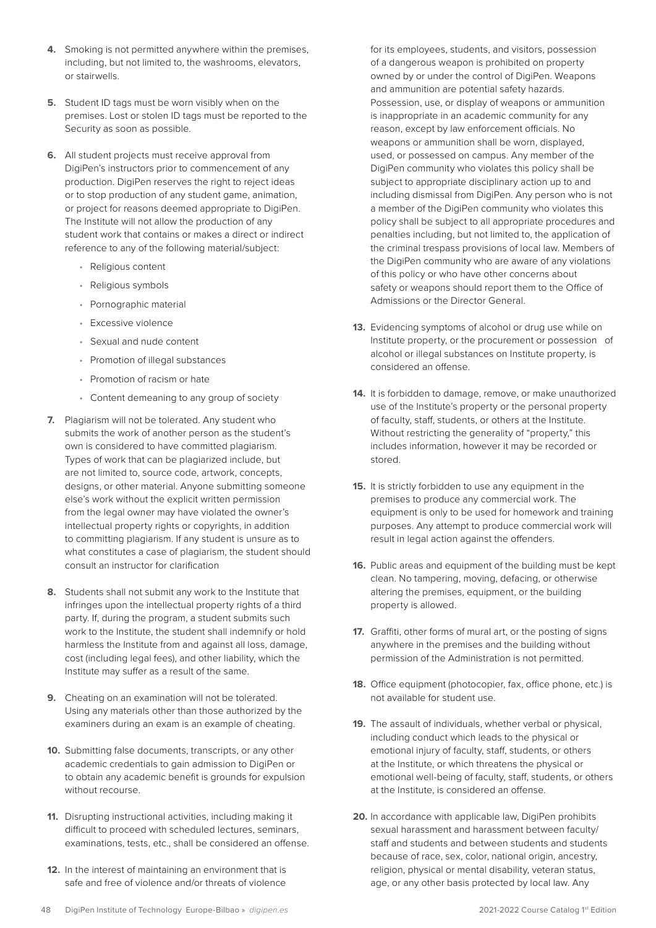- **4.** Smoking is not permitted anywhere within the premises, including, but not limited to, the washrooms, elevators, or stairwells.
- **5.** Student ID tags must be worn visibly when on the premises. Lost or stolen ID tags must be reported to the Security as soon as possible.
- **6.** All student projects must receive approval from DigiPen's instructors prior to commencement of any production. DigiPen reserves the right to reject ideas or to stop production of any student game, animation, or project for reasons deemed appropriate to DigiPen. The Institute will not allow the production of any student work that contains or makes a direct or indirect reference to any of the following material/subject:
	- Religious content
	- Religious symbols
	- Pornographic material
	- Excessive violence
	- Sexual and nude content
	- Promotion of illegal substances
	- Promotion of racism or hate
	- Content demeaning to any group of society
- **7.** Plagiarism will not be tolerated. Any student who submits the work of another person as the student's own is considered to have committed plagiarism. Types of work that can be plagiarized include, but are not limited to, source code, artwork, concepts, designs, or other material. Anyone submitting someone else's work without the explicit written permission from the legal owner may have violated the owner's intellectual property rights or copyrights, in addition to committing plagiarism. If any student is unsure as to what constitutes a case of plagiarism, the student should consult an instructor for clarification
- **8.** Students shall not submit any work to the Institute that infringes upon the intellectual property rights of a third party. If, during the program, a student submits such work to the Institute, the student shall indemnify or hold harmless the Institute from and against all loss, damage, cost (including legal fees), and other liability, which the Institute may suffer as a result of the same.
- **9.** Cheating on an examination will not be tolerated. Using any materials other than those authorized by the examiners during an exam is an example of cheating.
- **10.** Submitting false documents, transcripts, or any other academic credentials to gain admission to DigiPen or to obtain any academic benefit is grounds for expulsion without recourse.
- **11.** Disrupting instructional activities, including making it difficult to proceed with scheduled lectures, seminars, examinations, tests, etc., shall be considered an offense.
- **12.** In the interest of maintaining an environment that is safe and free of violence and/or threats of violence

for its employees, students, and visitors, possession of a dangerous weapon is prohibited on property owned by or under the control of DigiPen. Weapons and ammunition are potential safety hazards. Possession, use, or display of weapons or ammunition is inappropriate in an academic community for any reason, except by law enforcement officials. No weapons or ammunition shall be worn, displayed, used, or possessed on campus. Any member of the DigiPen community who violates this policy shall be subject to appropriate disciplinary action up to and including dismissal from DigiPen. Any person who is not a member of the DigiPen community who violates this policy shall be subject to all appropriate procedures and penalties including, but not limited to, the application of the criminal trespass provisions of local law. Members of the DigiPen community who are aware of any violations of this policy or who have other concerns about safety or weapons should report them to the Office of Admissions or the Director General.

- **13.** Evidencing symptoms of alcohol or drug use while on Institute property, or the procurement or possession of alcohol or illegal substances on Institute property, is considered an offense.
- **14.** It is forbidden to damage, remove, or make unauthorized use of the Institute's property or the personal property of faculty, staff, students, or others at the Institute. Without restricting the generality of "property," this includes information, however it may be recorded or stored.
- **15.** It is strictly forbidden to use any equipment in the premises to produce any commercial work. The equipment is only to be used for homework and training purposes. Any attempt to produce commercial work will result in legal action against the offenders.
- **16.** Public areas and equipment of the building must be kept clean. No tampering, moving, defacing, or otherwise altering the premises, equipment, or the building property is allowed.
- **17.** Graffiti, other forms of mural art, or the posting of signs anywhere in the premises and the building without permission of the Administration is not permitted.
- **18.** Office equipment (photocopier, fax, office phone, etc.) is not available for student use.
- **19.** The assault of individuals, whether verbal or physical, including conduct which leads to the physical or emotional injury of faculty, staff, students, or others at the Institute, or which threatens the physical or emotional well-being of faculty, staff, students, or others at the Institute, is considered an offense.
- **20.** In accordance with applicable law, DigiPen prohibits sexual harassment and harassment between faculty/ staff and students and between students and students because of race, sex, color, national origin, ancestry, religion, physical or mental disability, veteran status, age, or any other basis protected by local law. Any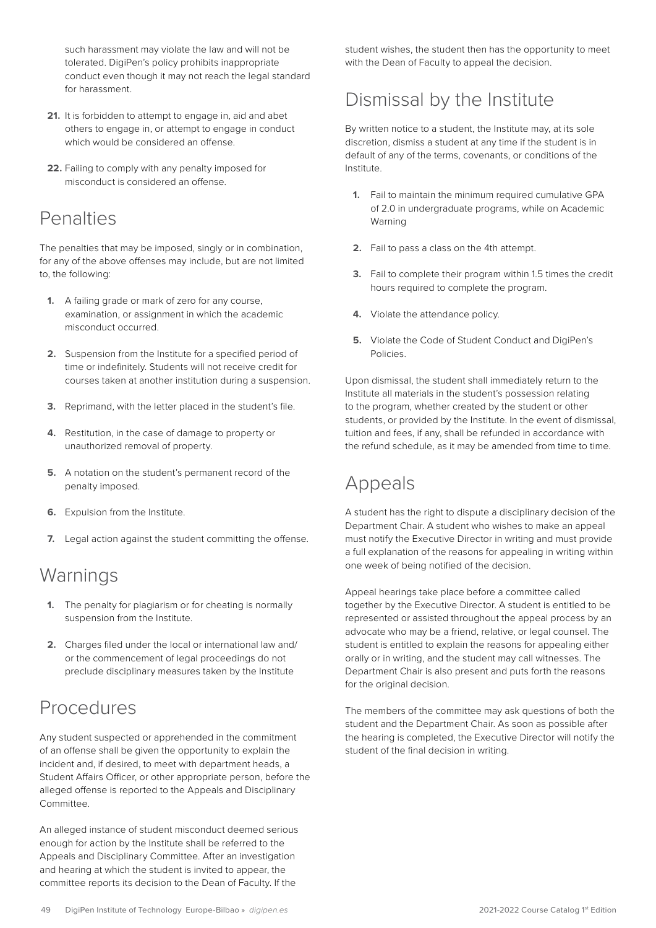<span id="page-48-0"></span>such harassment may violate the law and will not be tolerated. DigiPen's policy prohibits inappropriate conduct even though it may not reach the legal standard for harassment.

- **21.** It is forbidden to attempt to engage in, aid and abet others to engage in, or attempt to engage in conduct which would be considered an offense.
- **22.** Failing to comply with any penalty imposed for misconduct is considered an offense.

### **Penalties**

The penalties that may be imposed, singly or in combination, for any of the above offenses may include, but are not limited to, the following:

- **1.** A failing grade or mark of zero for any course, examination, or assignment in which the academic misconduct occurred.
- **2.** Suspension from the Institute for a specified period of time or indefinitely. Students will not receive credit for courses taken at another institution during a suspension.
- **3.** Reprimand, with the letter placed in the student's file.
- **4.** Restitution, in the case of damage to property or unauthorized removal of property.
- **5.** A notation on the student's permanent record of the penalty imposed.
- **6.** Expulsion from the Institute.
- **7.** Legal action against the student committing the offense.

### Warnings

- **1.** The penalty for plagiarism or for cheating is normally suspension from the Institute.
- **2.** Charges filed under the local or international law and/ or the commencement of legal proceedings do not preclude disciplinary measures taken by the Institute

# **Procedures**

Any student suspected or apprehended in the commitment of an offense shall be given the opportunity to explain the incident and, if desired, to meet with department heads, a Student Affairs Officer, or other appropriate person, before the alleged offense is reported to the Appeals and Disciplinary Committee.

An alleged instance of student misconduct deemed serious enough for action by the Institute shall be referred to the Appeals and Disciplinary Committee. After an investigation and hearing at which the student is invited to appear, the committee reports its decision to the Dean of Faculty. If the

student wishes, the student then has the opportunity to meet with the Dean of Faculty to appeal the decision.

### Dismissal by the Institute

By written notice to a student, the Institute may, at its sole discretion, dismiss a student at any time if the student is in default of any of the terms, covenants, or conditions of the Institute.

- **1.** Fail to maintain the minimum required cumulative GPA of 2.0 in undergraduate programs, while on Academic Warning
- **2.** Fail to pass a class on the 4th attempt.
- **3.** Fail to complete their program within 1.5 times the credit hours required to complete the program.
- **4.** Violate the attendance policy.
- **5.** Violate the Code of Student Conduct and DigiPen's Policies.

Upon dismissal, the student shall immediately return to the Institute all materials in the student's possession relating to the program, whether created by the student or other students, or provided by the Institute. In the event of dismissal, tuition and fees, if any, shall be refunded in accordance with the refund schedule, as it may be amended from time to time.

### Appeals

A student has the right to dispute a disciplinary decision of the Department Chair. A student who wishes to make an appeal must notify the Executive Director in writing and must provide a full explanation of the reasons for appealing in writing within one week of being notified of the decision.

Appeal hearings take place before a committee called together by the Executive Director. A student is entitled to be represented or assisted throughout the appeal process by an advocate who may be a friend, relative, or legal counsel. The student is entitled to explain the reasons for appealing either orally or in writing, and the student may call witnesses. The Department Chair is also present and puts forth the reasons for the original decision.

The members of the committee may ask questions of both the student and the Department Chair. As soon as possible after the hearing is completed, the Executive Director will notify the student of the final decision in writing.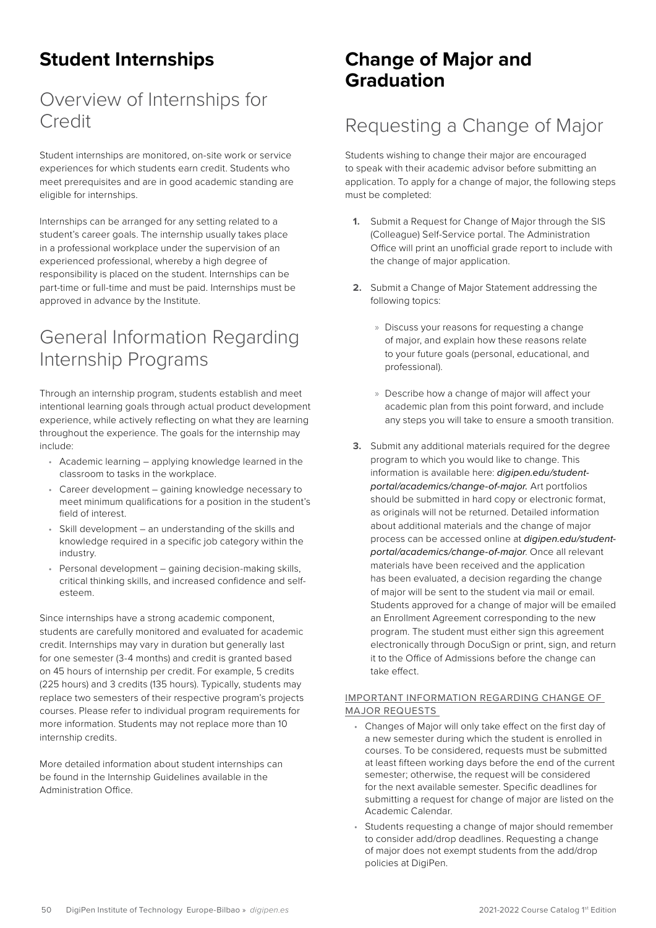# <span id="page-49-0"></span>**Student Internships**

# Overview of Internships for Credit

Student internships are monitored, on-site work or service experiences for which students earn credit. Students who meet prerequisites and are in good academic standing are eligible for internships.

Internships can be arranged for any setting related to a student's career goals. The internship usually takes place in a professional workplace under the supervision of an experienced professional, whereby a high degree of responsibility is placed on the student. Internships can be part-time or full-time and must be paid. Internships must be approved in advance by the Institute.

### General Information Regarding Internship Programs

Through an internship program, students establish and meet intentional learning goals through actual product development experience, while actively reflecting on what they are learning throughout the experience. The goals for the internship may include:

- Academic learning applying knowledge learned in the classroom to tasks in the workplace.
- Career development gaining knowledge necessary to meet minimum qualifications for a position in the student's field of interest.
- Skill development an understanding of the skills and knowledge required in a specific job category within the industry.
- Personal development gaining decision-making skills, critical thinking skills, and increased confidence and selfesteem.

Since internships have a strong academic component, students are carefully monitored and evaluated for academic credit. Internships may vary in duration but generally last for one semester (3-4 months) and credit is granted based on 45 hours of internship per credit. For example, 5 credits (225 hours) and 3 credits (135 hours). Typically, students may replace two semesters of their respective program's projects courses. Please refer to individual program requirements for more information. Students may not replace more than 10 internship credits.

More detailed information about student internships can be found in the Internship Guidelines available in the Administration Office.

### **Change of Major and Graduation**

### Requesting a Change of Major

Students wishing to change their major are encouraged to speak with their academic advisor before submitting an application. To apply for a change of major, the following steps must be completed:

- **1.** Submit a Request for Change of Major through the SIS (Colleague) Self-Service portal. The Administration Office will print an unofficial grade report to include with the change of major application.
- **2.** Submit a Change of Major Statement addressing the following topics:
	- » Discuss your reasons for requesting a change of major, and explain how these reasons relate to your future goals (personal, educational, and professional).
	- » Describe how a change of major will affect your academic plan from this point forward, and include any steps you will take to ensure a smooth transition.
- **3.** Submit any additional materials required for the degree program to which you would like to change. This information is available here: *[digipen.edu/student](https://www.digipen.edu/student-portal/academics/change-of-major)[portal/academics/change-of-major](https://www.digipen.edu/student-portal/academics/change-of-major).* Art portfolios should be submitted in hard copy or electronic format, as originals will not be returned. Detailed information about additional materials and the change of major process can be accessed online at *[digipen.edu/student](https://www.digipen.edu/student-portal/academics/change-of-major)[portal/academics/change-of-major](https://www.digipen.edu/student-portal/academics/change-of-major)*. Once all relevant materials have been received and the application has been evaluated, a decision regarding the change of major will be sent to the student via mail or email. Students approved for a change of major will be emailed an Enrollment Agreement corresponding to the new program. The student must either sign this agreement electronically through DocuSign or print, sign, and return it to the Office of Admissions before the change can take effect.

#### IMPORTANT INFORMATION REGARDING CHANGE OF MAJOR REQUESTS

- Changes of Major will only take effect on the first day of a new semester during which the student is enrolled in courses. To be considered, requests must be submitted at least fifteen working days before the end of the current semester; otherwise, the request will be considered for the next available semester. Specific deadlines for submitting a request for change of major are listed on the Academic Calendar.
- Students requesting a change of major should remember to consider add/drop deadlines. Requesting a change of major does not exempt students from the add/drop policies at DigiPen.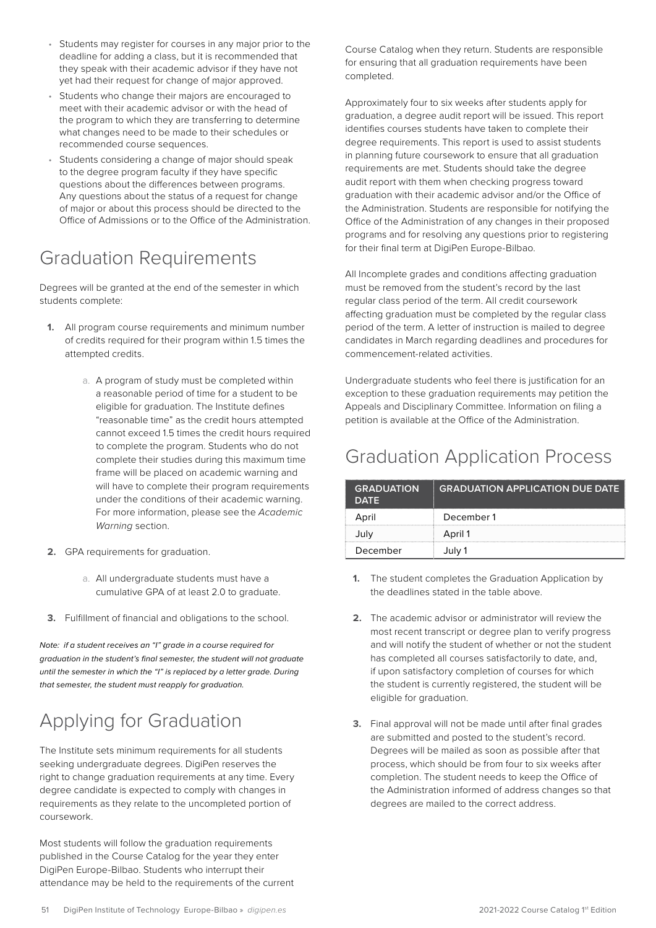- <span id="page-50-0"></span>• Students may register for courses in any major prior to the deadline for adding a class, but it is recommended that they speak with their academic advisor if they have not yet had their request for change of major approved.
- Students who change their majors are encouraged to meet with their academic advisor or with the head of the program to which they are transferring to determine what changes need to be made to their schedules or recommended course sequences.
- Students considering a change of major should speak to the degree program faculty if they have specific questions about the differences between programs. Any questions about the status of a request for change of major or about this process should be directed to the Office of Admissions or to the Office of the Administration.

### Graduation Requirements

Degrees will be granted at the end of the semester in which students complete:

- **1.** All program course requirements and minimum number of credits required for their program within 1.5 times the attempted credits.
	- a. A program of study must be completed within a reasonable period of time for a student to be eligible for graduation. The Institute defines "reasonable time" as the credit hours attempted cannot exceed 1.5 times the credit hours required to complete the program. Students who do not complete their studies during this maximum time frame will be placed on academic warning and will have to complete their program requirements under the conditions of their academic warning. For more information, please see the *Academic Warning* section.
- **2.** GPA requirements for graduation.
	- a. All undergraduate students must have a cumulative GPA of at least 2.0 to graduate.
- **3.** Fulfillment of financial and obligations to the school.

*Note: if a student receives an "I" grade in a course required for graduation in the student's final semester, the student will not graduate until the semester in which the "I" is replaced by a letter grade. During that semester, the student must reapply for graduation.*

# Applying for Graduation

The Institute sets minimum requirements for all students seeking undergraduate degrees. DigiPen reserves the right to change graduation requirements at any time. Every degree candidate is expected to comply with changes in requirements as they relate to the uncompleted portion of coursework.

Most students will follow the graduation requirements published in the Course Catalog for the year they enter DigiPen Europe-Bilbao. Students who interrupt their attendance may be held to the requirements of the current

Course Catalog when they return. Students are responsible for ensuring that all graduation requirements have been completed.

Approximately four to six weeks after students apply for graduation, a degree audit report will be issued. This report identifies courses students have taken to complete their degree requirements. This report is used to assist students in planning future coursework to ensure that all graduation requirements are met. Students should take the degree audit report with them when checking progress toward graduation with their academic advisor and/or the Office of the Administration. Students are responsible for notifying the Office of the Administration of any changes in their proposed programs and for resolving any questions prior to registering for their final term at DigiPen Europe-Bilbao.

All Incomplete grades and conditions affecting graduation must be removed from the student's record by the last regular class period of the term. All credit coursework affecting graduation must be completed by the regular class period of the term. A letter of instruction is mailed to degree candidates in March regarding deadlines and procedures for commencement-related activities.

Undergraduate students who feel there is justification for an exception to these graduation requirements may petition the Appeals and Disciplinary Committee. Information on filing a petition is available at the Office of the Administration.

### Graduation Application Process

| <b>GRADUATION</b><br><b>DATE</b> | <b>GRADUATION APPLICATION DUE DATE</b> |
|----------------------------------|----------------------------------------|
| April                            | December 1                             |
| July                             | April 1                                |
| December                         | July 1                                 |

- **1.** The student completes the Graduation Application by the deadlines stated in the table above.
- **2.** The academic advisor or administrator will review the most recent transcript or degree plan to verify progress and will notify the student of whether or not the student has completed all courses satisfactorily to date, and, if upon satisfactory completion of courses for which the student is currently registered, the student will be eligible for graduation.
- **3.** Final approval will not be made until after final grades are submitted and posted to the student's record. Degrees will be mailed as soon as possible after that process, which should be from four to six weeks after completion. The student needs to keep the Office of the Administration informed of address changes so that degrees are mailed to the correct address.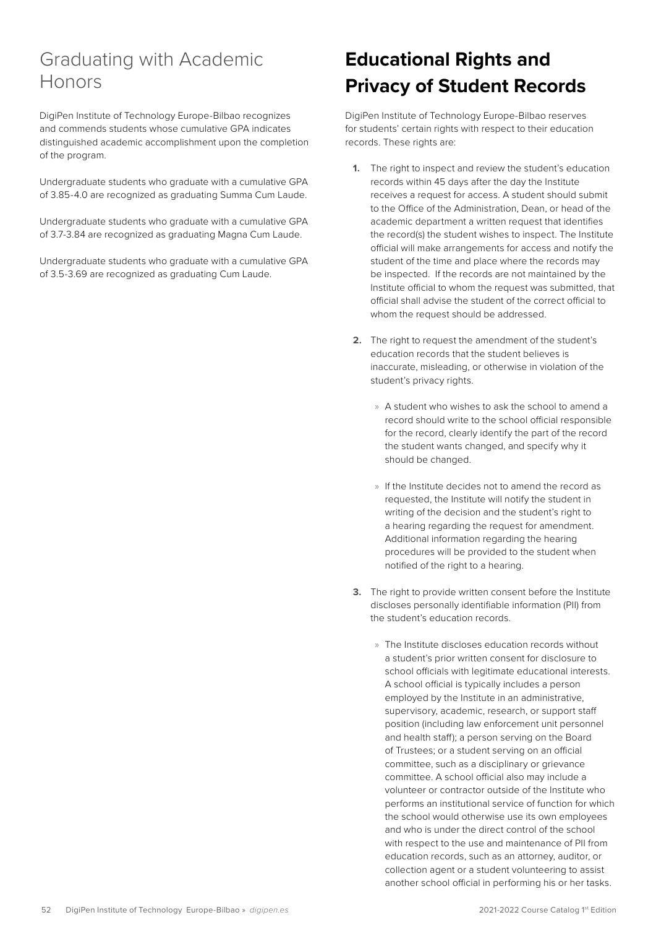### <span id="page-51-0"></span>Graduating with Academic Honors

DigiPen Institute of Technology Europe-Bilbao recognizes and commends students whose cumulative GPA indicates distinguished academic accomplishment upon the completion of the program.

Undergraduate students who graduate with a cumulative GPA of 3.85-4.0 are recognized as graduating Summa Cum Laude.

Undergraduate students who graduate with a cumulative GPA of 3.7-3.84 are recognized as graduating Magna Cum Laude.

Undergraduate students who graduate with a cumulative GPA of 3.5-3.69 are recognized as graduating Cum Laude.

# **Educational Rights and Privacy of Student Records**

DigiPen Institute of Technology Europe-Bilbao reserves for students' certain rights with respect to their education records. These rights are:

- **1.** The right to inspect and review the student's education records within 45 days after the day the Institute receives a request for access. A student should submit to the Office of the Administration, Dean, or head of the academic department a written request that identifies the record(s) the student wishes to inspect. The Institute official will make arrangements for access and notify the student of the time and place where the records may be inspected. If the records are not maintained by the Institute official to whom the request was submitted, that official shall advise the student of the correct official to whom the request should be addressed.
- **2.** The right to request the amendment of the student's education records that the student believes is inaccurate, misleading, or otherwise in violation of the student's privacy rights.
	- » A student who wishes to ask the school to amend a record should write to the school official responsible for the record, clearly identify the part of the record the student wants changed, and specify why it should be changed.
	- » If the Institute decides not to amend the record as requested, the Institute will notify the student in writing of the decision and the student's right to a hearing regarding the request for amendment. Additional information regarding the hearing procedures will be provided to the student when notified of the right to a hearing.
- **3.** The right to provide written consent before the Institute discloses personally identifiable information (PII) from the student's education records.
	- » The Institute discloses education records without a student's prior written consent for disclosure to school officials with legitimate educational interests. A school official is typically includes a person employed by the Institute in an administrative, supervisory, academic, research, or support staff position (including law enforcement unit personnel and health staff); a person serving on the Board of Trustees; or a student serving on an official committee, such as a disciplinary or grievance committee. A school official also may include a volunteer or contractor outside of the Institute who performs an institutional service of function for which the school would otherwise use its own employees and who is under the direct control of the school with respect to the use and maintenance of PII from education records, such as an attorney, auditor, or collection agent or a student volunteering to assist another school official in performing his or her tasks.